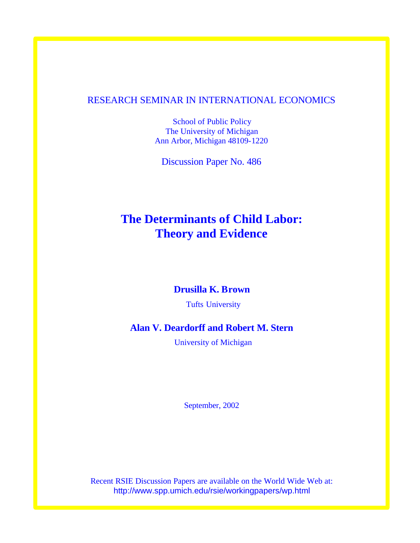### RESEARCH SEMINAR IN INTERNATIONAL ECONOMICS

School of Public Policy The University of Michigan Ann Arbor, Michigan 48109-1220

Discussion Paper No. 486

# **The Determinants of Child Labor: Theory and Evidence**

## **Drusilla K. Brown**

Tufts University

## **Alan V. Deardorff and Robert M. Stern**

University of Michigan

September, 2002

Recent RSIE Discussion Papers are available on the World Wide Web at: http://www.spp.umich.edu/rsie/workingpapers/wp.html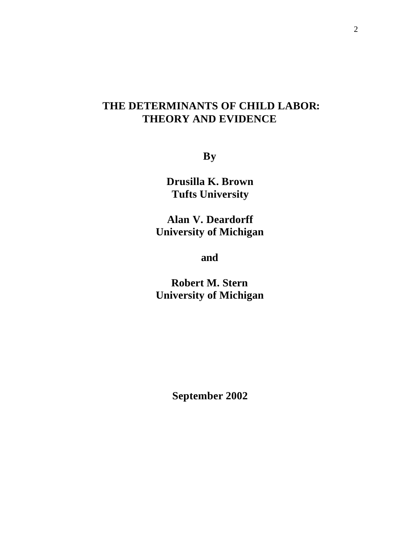## **THE DETERMINANTS OF CHILD LABOR: THEORY AND EVIDENCE**

**By**

**Drusilla K. Brown Tufts University**

**Alan V. Deardorff University of Michigan**

**and**

**Robert M. Stern University of Michigan**

**September 2002**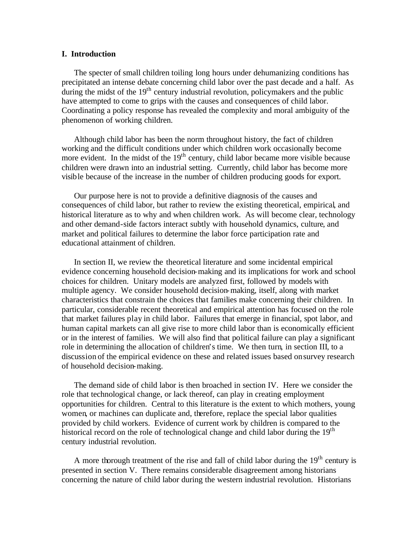#### **I. Introduction**

The specter of small children toiling long hours under dehumanizing conditions has precipitated an intense debate concerning child labor over the past decade and a half. As during the midst of the  $19<sup>th</sup>$  century industrial revolution, policymakers and the public have attempted to come to grips with the causes and consequences of child labor. Coordinating a policy response has revealed the complexity and moral ambiguity of the phenomenon of working children.

Although child labor has been the norm throughout history, the fact of children working and the difficult conditions under which children work occasionally become more evident. In the midst of the  $19<sup>th</sup>$  century, child labor became more visible because children were drawn into an industrial setting. Currently, child labor has become more visible because of the increase in the number of children producing goods for export.

Our purpose here is not to provide a definitive diagnosis of the causes and consequences of child labor, but rather to review the existing theoretical, empirical, and historical literature as to why and when children work. As will become clear, technology and other demand-side factors interact subtly with household dynamics, culture, and market and political failures to determine the labor force participation rate and educational attainment of children.

In section II, we review the theoretical literature and some incidental empirical evidence concerning household decision-making and its implications for work and school choices for children. Unitary models are analyzed first, followed by models with multiple agency. We consider household decision-making, itself, along with market characteristics that constrain the choices that families make concerning their children. In particular, considerable recent theoretical and empirical attention has focused on the role that market failures play in child labor. Failures that emerge in financial, spot labor, and human capital markets can all give rise to more child labor than is economically efficient or in the interest of families. We will also find that political failure can play a significant role in determining the allocation of children's time. We then turn, in section III, to a discussion of the empirical evidence on these and related issues based on survey research of household decision-making.

The demand side of child labor is then broached in section IV. Here we consider the role that technological change, or lack thereof, can play in creating employment opportunities for children. Central to this literature is the extent to which mothers, young women, or machines can duplicate and, therefore, replace the special labor qualities provided by child workers. Evidence of current work by children is compared to the historical record on the role of technological change and child labor during the 19<sup>th</sup> century industrial revolution.

A more thorough treatment of the rise and fall of child labor during the  $19<sup>th</sup>$  century is presented in section V. There remains considerable disagreement among historians concerning the nature of child labor during the western industrial revolution. Historians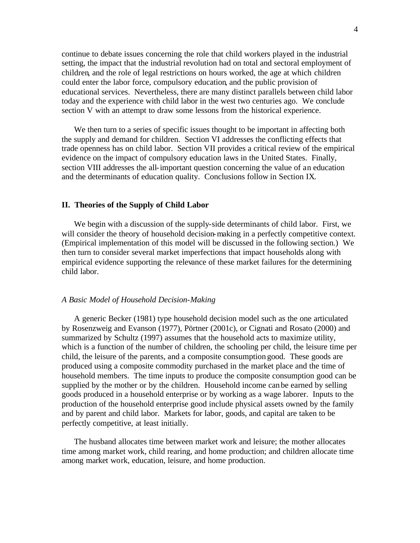continue to debate issues concerning the role that child workers played in the industrial setting, the impact that the industrial revolution had on total and sectoral employment of children, and the role of legal restrictions on hours worked, the age at which children could enter the labor force, compulsory education, and the public provision of educational services. Nevertheless, there are many distinct parallels between child labor today and the experience with child labor in the west two centuries ago. We conclude section V with an attempt to draw some lessons from the historical experience.

We then turn to a series of specific issues thought to be important in affecting both the supply and demand for children. Section VI addresses the conflicting effects that trade openness has on child labor. Section VII provides a critical review of the empirical evidence on the impact of compulsory education laws in the United States. Finally, section VIII addresses the all-important question concerning the value of an education and the determinants of education quality. Conclusions follow in Section IX.

#### **II. Theories of the Supply of Child Labor**

We begin with a discussion of the supply-side determinants of child labor. First, we will consider the theory of household decision-making in a perfectly competitive context. (Empirical implementation of this model will be discussed in the following section.) We then turn to consider several market imperfections that impact households along with empirical evidence supporting the relevance of these market failures for the determining child labor.

#### *A Basic Model of Household Decision-Making*

A generic Becker (1981) type household decision model such as the one articulated by Rosenzweig and Evanson (1977), Pörtner (2001c), or Cignati and Rosato (2000) and summarized by Schultz (1997) assumes that the household acts to maximize utility, which is a function of the number of children, the schooling per child, the leisure time per child, the leisure of the parents, and a composite consumption good. These goods are produced using a composite commodity purchased in the market place and the time of household members. The time inputs to produce the composite consumption good can be supplied by the mother or by the children. Household income can be earned by selling goods produced in a household enterprise or by working as a wage laborer. Inputs to the production of the household enterprise good include physical assets owned by the family and by parent and child labor. Markets for labor, goods, and capital are taken to be perfectly competitive, at least initially.

The husband allocates time between market work and leisure; the mother allocates time among market work, child rearing, and home production; and children allocate time among market work, education, leisure, and home production.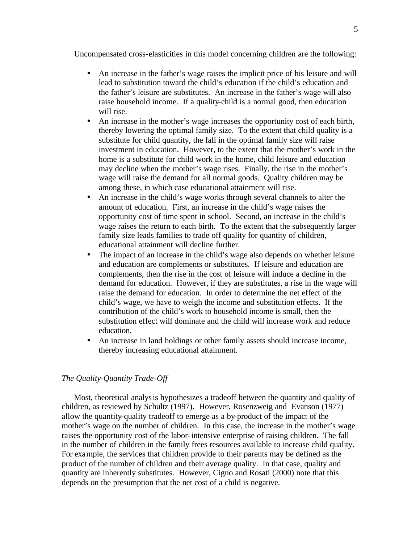Uncompensated cross-elasticities in this model concerning children are the following:

- An increase in the father's wage raises the implicit price of his leisure and will lead to substitution toward the child's education if the child's education and the father's leisure are substitutes. An increase in the father's wage will also raise household income. If a quality-child is a normal good, then education will rise.
- An increase in the mother's wage increases the opportunity cost of each birth, thereby lowering the optimal family size. To the extent that child quality is a substitute for child quantity, the fall in the optimal family size will raise investment in education. However, to the extent that the mother's work in the home is a substitute for child work in the home, child leisure and education may decline when the mother's wage rises. Finally, the rise in the mother's wage will raise the demand for all normal goods. Quality children may be among these, in which case educational attainment will rise.
- An increase in the child's wage works through several channels to alter the amount of education. First, an increase in the child's wage raises the opportunity cost of time spent in school. Second, an increase in the child's wage raises the return to each birth. To the extent that the subsequently larger family size leads families to trade off quality for quantity of children, educational attainment will decline further.
- The impact of an increase in the child's wage also depends on whether leisure and education are complements or substitutes. If leisure and education are complements, then the rise in the cost of leisure will induce a decline in the demand for education. However, if they are substitutes, a rise in the wage will raise the demand for education. In order to determine the net effect of the child's wage, we have to weigh the income and substitution effects. If the contribution of the child's work to household income is small, then the substitution effect will dominate and the child will increase work and reduce education.
- An increase in land holdings or other family assets should increase income, thereby increasing educational attainment.

#### *The Quality-Quantity Trade-Off*

Most, theoretical analysis hypothesizes a tradeoff between the quantity and quality of children, as reviewed by Schultz (1997). However, Rosenzweig and Evanson (1977) allow the quantity-quality tradeoff to emerge as a by-product of the impact of the mother's wage on the number of children. In this case, the increase in the mother's wage raises the opportunity cost of the labor-intensive enterprise of raising children. The fall in the number of children in the family frees resources available to increase child quality. For example, the services that children provide to their parents may be defined as the product of the number of children and their average quality. In that case, quality and quantity are inherently substitutes. However, Cigno and Rosati (2000) note that this depends on the presumption that the net cost of a child is negative.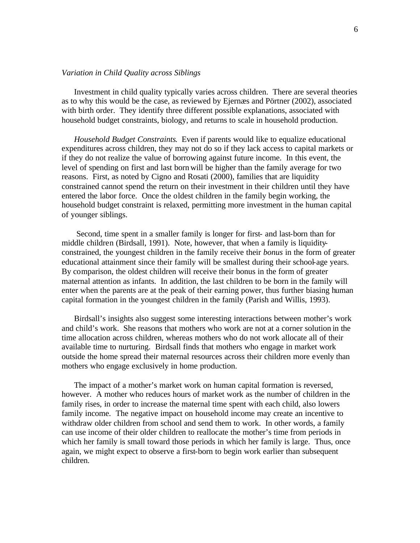#### *Variation in Child Quality across Siblings*

Investment in child quality typically varies across children. There are several theories as to why this would be the case, as reviewed by Ejernæs and Pörtner (2002), associated with birth order. They identify three different possible explanations, associated with household budget constraints, biology, and returns to scale in household production.

*Household Budget Constraints*. Even if parents would like to equalize educational expenditures across children, they may not do so if they lack access to capital markets or if they do not realize the value of borrowing against future income. In this event, the level of spending on first and last born will be higher than the family average for two reasons. First, as noted by Cigno and Rosati (2000), families that are liquidity constrained cannot spend the return on their investment in their children until they have entered the labor force. Once the oldest children in the family begin working, the household budget constraint is relaxed, permitting more investment in the human capital of younger siblings.

 Second, time spent in a smaller family is longer for first- and last-born than for middle children (Birdsall, 1991). Note, however, that when a family is liquidityconstrained, the youngest children in the family receive their *bonus* in the form of greater educational attainment since their family will be smallest during their school-age years. By comparison, the oldest children will receive their bonus in the form of greater maternal attention as infants. In addition, the last children to be born in the family will enter when the parents are at the peak of their earning power, thus further biasing human capital formation in the youngest children in the family (Parish and Willis, 1993).

Birdsall's insights also suggest some interesting interactions between mother's work and child's work. She reasons that mothers who work are not at a corner solution in the time allocation across children, whereas mothers who do not work allocate all of their available time to nurturing. Birdsall finds that mothers who engage in market work outside the home spread their maternal resources across their children more evenly than mothers who engage exclusively in home production.

The impact of a mother's market work on human capital formation is reversed, however. A mother who reduces hours of market work as the number of children in the family rises, in order to increase the maternal time spent with each child, also lowers family income. The negative impact on household income may create an incentive to withdraw older children from school and send them to work. In other words, a family can use income of their older children to reallocate the mother's time from periods in which her family is small toward those periods in which her family is large. Thus, once again, we might expect to observe a first-born to begin work earlier than subsequent children.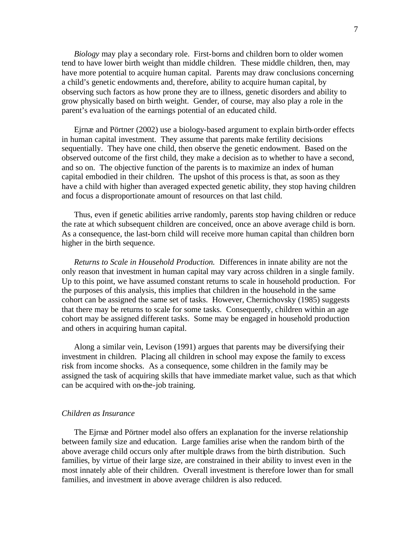*Biology* may play a secondary role. First-borns and children born to older women tend to have lower birth weight than middle children. These middle children, then, may have more potential to acquire human capital. Parents may draw conclusions concerning a child's genetic endowments and, therefore, ability to acquire human capital, by observing such factors as how prone they are to illness, genetic disorders and ability to grow physically based on birth weight. Gender, of course, may also play a role in the parent's eva luation of the earnings potential of an educated child.

Ejrnæ and Pörtner (2002) use a biology-based argument to explain birth-order effects in human capital investment. They assume that parents make fertility decisions sequentially. They have one child, then observe the genetic endowment. Based on the observed outcome of the first child, they make a decision as to whether to have a second, and so on. The objective function of the parents is to maximize an index of human capital embodied in their children. The upshot of this process is that, as soon as they have a child with higher than averaged expected genetic ability, they stop having children and focus a disproportionate amount of resources on that last child.

Thus, even if genetic abilities arrive randomly, parents stop having children or reduce the rate at which subsequent children are conceived, once an above average child is born. As a consequence, the last-born child will receive more human capital than children born higher in the birth sequence.

*Returns to Scale in Household Production.* Differences in innate ability are not the only reason that investment in human capital may vary across children in a single family. Up to this point, we have assumed constant returns to scale in household production. For the purposes of this analysis, this implies that children in the household in the same cohort can be assigned the same set of tasks. However, Chernichovsky (1985) suggests that there may be returns to scale for some tasks. Consequently, children within an age cohort may be assigned different tasks. Some may be engaged in household production and others in acquiring human capital.

Along a similar vein, Levison (1991) argues that parents may be diversifying their investment in children. Placing all children in school may expose the family to excess risk from income shocks. As a consequence, some children in the family may be assigned the task of acquiring skills that have immediate market value, such as that which can be acquired with on-the-job training.

#### *Children as Insurance*

The Ejrnæ and Pörtner model also offers an explanation for the inverse relationship between family size and education. Large families arise when the random birth of the above average child occurs only after multiple draws from the birth distribution. Such families, by virtue of their large size, are constrained in their ability to invest even in the most innately able of their children. Overall investment is therefore lower than for small families, and investment in above average children is also reduced.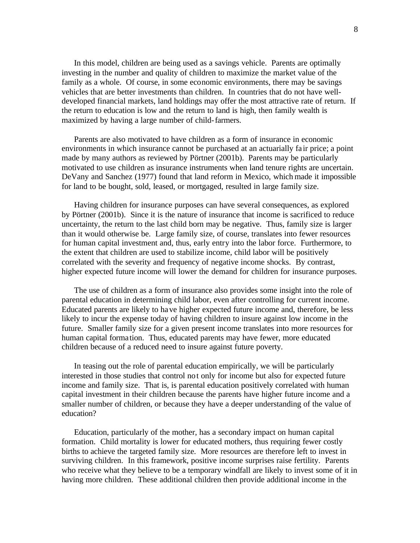In this model, children are being used as a savings vehicle. Parents are optimally investing in the number and quality of children to maximize the market value of the family as a whole. Of course, in some economic environments, there may be savings vehicles that are better investments than children. In countries that do not have welldeveloped financial markets, land holdings may offer the most attractive rate of return. If the return to education is low and the return to land is high, then family wealth is maximized by having a large number of child-farmers.

Parents are also motivated to have children as a form of insurance in economic environments in which insurance cannot be purchased at an actuarially fair price; a point made by many authors as reviewed by Pörtner (2001b). Parents may be particularly motivated to use children as insurance instruments when land tenure rights are uncertain. DeVany and Sanchez (1977) found that land reform in Mexico, which made it impossible for land to be bought, sold, leased, or mortgaged, resulted in large family size.

Having children for insurance purposes can have several consequences, as explored by Pörtner (2001b). Since it is the nature of insurance that income is sacrificed to reduce uncertainty, the return to the last child born may be negative. Thus, family size is larger than it would otherwise be. Large family size, of course, translates into fewer resources for human capital investment and, thus, early entry into the labor force. Furthermore, to the extent that children are used to stabilize income, child labor will be positively correlated with the severity and frequency of negative income shocks. By contrast, higher expected future income will lower the demand for children for insurance purposes.

The use of children as a form of insurance also provides some insight into the role of parental education in determining child labor, even after controlling for current income. Educated parents are likely to have higher expected future income and, therefore, be less likely to incur the expense today of having children to insure against low income in the future. Smaller family size for a given present income translates into more resources for human capital forma tion. Thus, educated parents may have fewer, more educated children because of a reduced need to insure against future poverty.

In teasing out the role of parental education empirically, we will be particularly interested in those studies that control not only for income but also for expected future income and family size. That is, is parental education positively correlated with human capital investment in their children because the parents have higher future income and a smaller number of children, or because they have a deeper understanding of the value of education?

Education, particularly of the mother, has a secondary impact on human capital formation. Child mortality is lower for educated mothers, thus requiring fewer costly births to achieve the targeted family size. More resources are therefore left to invest in surviving children. In this framework, positive income surprises raise fertility. Parents who receive what they believe to be a temporary windfall are likely to invest some of it in having more children. These additional children then provide additional income in the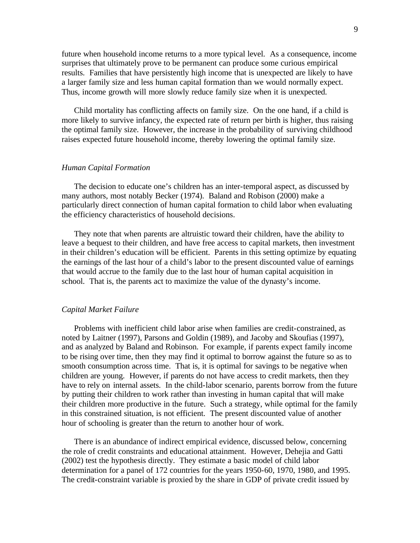future when household income returns to a more typical level. As a consequence, income surprises that ultimately prove to be permanent can produce some curious empirical results. Families that have persistently high income that is unexpected are likely to have a larger family size and less human capital formation than we would normally expect. Thus, income growth will more slowly reduce family size when it is unexpected.

Child mortality has conflicting affects on family size. On the one hand, if a child is more likely to survive infancy, the expected rate of return per birth is higher, thus raising the optimal family size. However, the increase in the probability of surviving childhood raises expected future household income, thereby lowering the optimal family size.

#### *Human Capital Formation*

The decision to educate one's children has an inter-temporal aspect, as discussed by many authors, most notably Becker (1974). Baland and Robison (2000) make a particularly direct connection of human capital formation to child labor when evaluating the efficiency characteristics of household decisions.

They note that when parents are altruistic toward their children, have the ability to leave a bequest to their children, and have free access to capital markets, then investment in their children's education will be efficient. Parents in this setting optimize by equating the earnings of the last hour of a child's labor to the present discounted value of earnings that would accrue to the family due to the last hour of human capital acquisition in school. That is, the parents act to maximize the value of the dynasty's income.

#### *Capital Market Failure*

Problems with inefficient child labor arise when families are credit-constrained, as noted by Laitner (1997), Parsons and Goldin (1989), and Jacoby and Skoufias (1997), and as analyzed by Baland and Robinson. For example, if parents expect family income to be rising over time, then they may find it optimal to borrow against the future so as to smooth consumption across time. That is, it is optimal for savings to be negative when children are young. However, if parents do not have access to credit markets, then they have to rely on internal assets. In the child-labor scenario, parents borrow from the future by putting their children to work rather than investing in human capital that will make their children more productive in the future. Such a strategy, while optimal for the family in this constrained situation, is not efficient. The present discounted value of another hour of schooling is greater than the return to another hour of work.

There is an abundance of indirect empirical evidence, discussed below, concerning the role of credit constraints and educational attainment. However, Dehejia and Gatti (2002) test the hypothesis directly. They estimate a basic model of child labor determination for a panel of 172 countries for the years 1950-60, 1970, 1980, and 1995. The credit-constraint variable is proxied by the share in GDP of private credit issued by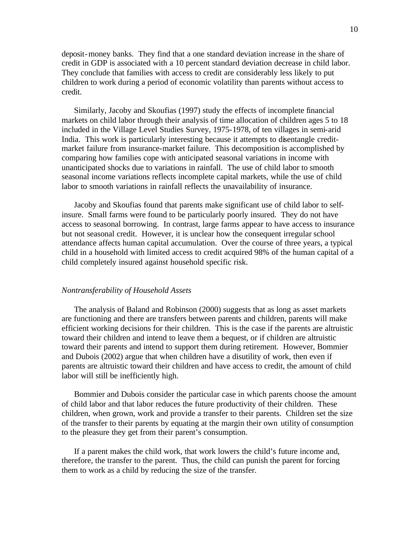deposit-money banks. They find that a one standard deviation increase in the share of credit in GDP is associated with a 10 percent standard deviation decrease in child labor. They conclude that families with access to credit are considerably less likely to put children to work during a period of economic volatility than parents without access to credit.

Similarly, Jacoby and Skoufias (1997) study the effects of incomplete financial markets on child labor through their analysis of time allocation of children ages 5 to 18 included in the Village Level Studies Survey, 1975-1978, of ten villages in semi-arid India. This work is particularly interesting because it attempts to disentangle creditmarket failure from insurance-market failure. This decomposition is accomplished by comparing how families cope with anticipated seasonal variations in income with unanticipated shocks due to variations in rainfall. The use of child labor to smooth seasonal income variations reflects incomplete capital markets, while the use of child labor to smooth variations in rainfall reflects the unavailability of insurance.

Jacoby and Skoufias found that parents make significant use of child labor to selfinsure. Small farms were found to be particularly poorly insured. They do not have access to seasonal borrowing. In contrast, large farms appear to have access to insurance but not seasonal credit. However, it is unclear how the consequent irregular school attendance affects human capital accumulation. Over the course of three years, a typical child in a household with limited access to credit acquired 98% of the human capital of a child completely insured against household specific risk.

#### *Nontransferability of Household Assets*

The analysis of Baland and Robinson (2000) suggests that as long as asset markets are functioning and there are transfers between parents and children, parents will make efficient working decisions for their children. This is the case if the parents are altruistic toward their children and intend to leave them a bequest, or if children are altruistic toward their parents and intend to support them during retirement. However, Bommier and Dubois (2002) argue that when children have a disutility of work, then even if parents are altruistic toward their children and have access to credit, the amount of child labor will still be inefficiently high.

Bommier and Dubois consider the particular case in which parents choose the amount of child labor and that labor reduces the future productivity of their children. These children, when grown, work and provide a transfer to their parents. Children set the size of the transfer to their parents by equating at the margin their own utility of consumption to the pleasure they get from their parent's consumption.

If a parent makes the child work, that work lowers the child's future income and, therefore, the transfer to the parent. Thus, the child can punish the parent for forcing them to work as a child by reducing the size of the transfer.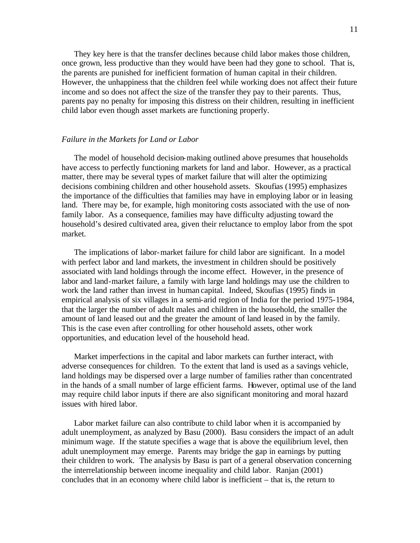They key here is that the transfer declines because child labor makes those children, once grown, less productive than they would have been had they gone to school. That is, the parents are punished for inefficient formation of human capital in their children. However, the unhappiness that the children feel while working does not affect their future income and so does not affect the size of the transfer they pay to their parents. Thus, parents pay no penalty for imposing this distress on their children, resulting in inefficient child labor even though asset markets are functioning properly.

#### *Failure in the Markets for Land or Labor*

The model of household decision-making outlined above presumes that households have access to perfectly functioning markets for land and labor. However, as a practical matter, there may be several types of market failure that will alter the optimizing decisions combining children and other household assets. Skoufias (1995) emphasizes the importance of the difficulties that families may have in employing labor or in leasing land. There may be, for example, high monitoring costs associated with the use of nonfamily labor. As a consequence, families may have difficulty adjusting toward the household's desired cultivated area, given their reluctance to employ labor from the spot market.

The implications of labor-market failure for child labor are significant. In a model with perfect labor and land markets, the investment in children should be positively associated with land holdings through the income effect. However, in the presence of labor and land-market failure, a family with large land holdings may use the children to work the land rather than invest in human capital. Indeed, Skoufias (1995) finds in empirical analysis of six villages in a semi-arid region of India for the period 1975-1984, that the larger the number of adult males and children in the household, the smaller the amount of land leased out and the greater the amount of land leased in by the family. This is the case even after controlling for other household assets, other work opportunities, and education level of the household head.

Market imperfections in the capital and labor markets can further interact, with adverse consequences for children. To the extent that land is used as a savings vehicle, land holdings may be dispersed over a large number of families rather than concentrated in the hands of a small number of large efficient farms. However, optimal use of the land may require child labor inputs if there are also significant monitoring and moral hazard issues with hired labor.

Labor market failure can also contribute to child labor when it is accompanied by adult unemployment, as analyzed by Basu (2000). Basu considers the impact of an adult minimum wage. If the statute specifies a wage that is above the equilibrium level, then adult unemployment may emerge. Parents may bridge the gap in earnings by putting their children to work. The analysis by Basu is part of a general observation concerning the interrelationship between income inequality and child labor. Ranjan (2001) concludes that in an economy where child labor is inefficient – that is, the return to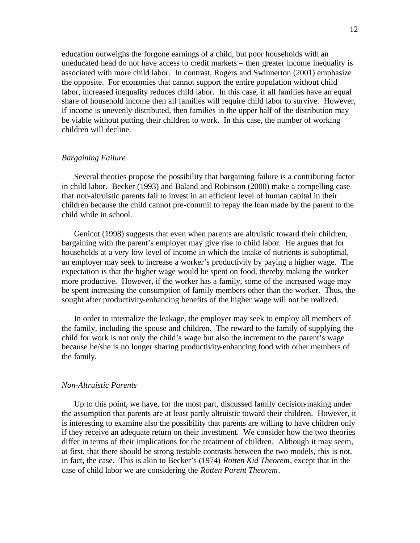education outweighs the forgone earnings of a child, but poor households with an uneducated head do not have access to credit markets – then greater income inequality is associated with more child labor. In contrast, Rogers and Swinnerton (2001) emphasize the opposite. For economies that cannot support the entire population without child labor, increased inequality reduces child labor. In this case, if all families have an equal share of household income then all families will require child labor to survive. However, if income is unevenly distributed, then families in the upper half of the distribution may be viable without putting their children to work. In this case, the number of working children will decline.

#### *Bargaining Failure*

Several theories propose the possibility that bargaining failure is a contributing factor in child labor. Becker (1993) and Baland and Robinson (2000) make a compelling case that non-altruistic parents fail to invest in an efficient level of human capital in their children because the child cannot pre-commit to repay the loan made by the parent to the child while in school.

Genicot (1998) suggests that even when parents are altruistic toward their children, bargaining with the parent's employer may give rise to child labor. He argues that for households at a very low level of income in which the intake of nutrients is suboptimal, an employer may seek to increase a worker's productivity by paying a higher wage. The expectation is that the higher wage would be spent on food, thereby making the worker more productive. However, if the worker has a family, some of the increased wage may be spent increasing the consumption of family members other than the worker. Thus, the sought after productivity-enhancing benefits of the higher wage will not be realized.

In order to internalize the leakage, the employer may seek to employ all members of the family, including the spouse and children. The reward to the family of supplying the child for work is not only the child's wage but also the increment to the parent's wage because he/she is no longer sharing productivity-enhancing food with other members of the family.

#### *Non-Altruistic Parents*

Up to this point, we have, for the most part, discussed family decision-making under the assumption that parents are at least partly altruistic toward their children. However, it is interesting to examine also the possibility that parents are willing to have children only if they receive an adequate return on their investment. We consider how the two theories differ in terms of their implications for the treatment of children. Although it may seem, at first, that there should be strong testable contrasts between the two models, this is not, in fact, the case. This is akin to Becker's (1974) *Rotten Kid Theorem*, except that in the case of child labor we are considering the *Rotten Parent Theorem*.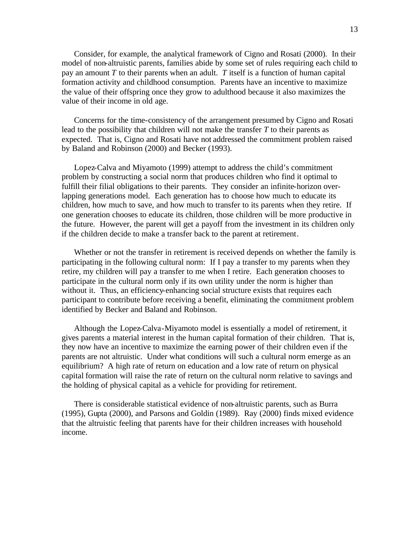Consider, for example, the analytical framework of Cigno and Rosati (2000). In their model of non-altruistic parents, families abide by some set of rules requiring each child to pay an amount *T* to their parents when an adult. *T* itself is a function of human capital formation activity and childhood consumption. Parents have an incentive to maximize the value of their offspring once they grow to adulthood because it also maximizes the value of their income in old age.

Concerns for the time-consistency of the arrangement presumed by Cigno and Rosati lead to the possibility that children will not make the transfer *T* to their parents as expected. That is, Cigno and Rosati have not addressed the commitment problem raised by Baland and Robinson (2000) and Becker (1993).

Lopez-Calva and Miyamoto (1999) attempt to address the child's commitment problem by constructing a social norm that produces children who find it optimal to fulfill their filial obligations to their parents. They consider an infinite-horizon overlapping generations model. Each generation has to choose how much to educate its children, how much to save, and how much to transfer to its parents when they retire. If one generation chooses to educate its children, those children will be more productive in the future. However, the parent will get a payoff from the investment in its children only if the children decide to make a transfer back to the parent at retirement.

Whether or not the transfer in retirement is received depends on whether the family is participating in the following cultural norm: If I pay a transfer to my parents when they retire, my children will pay a transfer to me when I retire. Each generation chooses to participate in the cultural norm only if its own utility under the norm is higher than without it. Thus, an efficiency-enhancing social structure exists that requires each participant to contribute before receiving a benefit, eliminating the commitment problem identified by Becker and Baland and Robinson.

Although the Lopez-Calva-Miyamoto model is essentially a model of retirement, it gives parents a material interest in the human capital formation of their children. That is, they now have an incentive to maximize the earning power of their children even if the parents are not altruistic. Under what conditions will such a cultural norm emerge as an equilibrium? A high rate of return on education and a low rate of return on physical capital formation will raise the rate of return on the cultural norm relative to savings and the holding of physical capital as a vehicle for providing for retirement.

There is considerable statistical evidence of non-altruistic parents, such as Burra (1995), Gupta (2000), and Parsons and Goldin (1989). Ray (2000) finds mixed evidence that the altruistic feeling that parents have for their children increases with household income.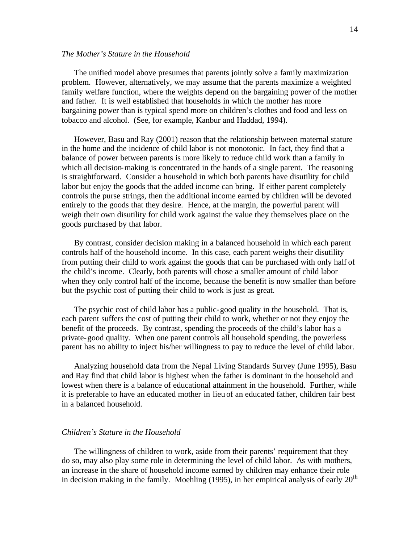#### *The Mother's Stature in the Household*

The unified model above presumes that parents jointly solve a family maximization problem. However, alternatively, we may assume that the parents maximize a weighted family welfare function, where the weights depend on the bargaining power of the mother and father. It is well established that households in which the mother has more bargaining power than is typical spend more on children's clothes and food and less on tobacco and alcohol. (See, for example, Kanbur and Haddad, 1994).

However, Basu and Ray (2001) reason that the relationship between maternal stature in the home and the incidence of child labor is not monotonic. In fact, they find that a balance of power between parents is more likely to reduce child work than a family in which all decision-making is concentrated in the hands of a single parent. The reasoning is straightforward. Consider a household in which both parents have disutility for child labor but enjoy the goods that the added income can bring. If either parent completely controls the purse strings, then the additional income earned by children will be devoted entirely to the goods that they desire. Hence, at the margin, the powerful parent will weigh their own disutility for child work against the value they themselves place on the goods purchased by that labor.

By contrast, consider decision making in a balanced household in which each parent controls half of the household income. In this case, each parent weighs their disutility from putting their child to work against the goods that can be purchased with only half of the child's income. Clearly, both parents will chose a smaller amount of child labor when they only control half of the income, because the benefit is now smaller than before but the psychic cost of putting their child to work is just as great.

The psychic cost of child labor has a public-good quality in the household. That is, each parent suffers the cost of putting their child to work, whether or not they enjoy the benefit of the proceeds. By contrast, spending the proceeds of the child's labor ha s a private-good quality. When one parent controls all household spending, the powerless parent has no ability to inject his/her willingness to pay to reduce the level of child labor.

Analyzing household data from the Nepal Living Standards Survey (June 1995), Basu and Ray find that child labor is highest when the father is dominant in the household and lowest when there is a balance of educational attainment in the household. Further, while it is preferable to have an educated mother in lieu of an educated father, children fair best in a balanced household.

#### *Children's Stature in the Household*

The willingness of children to work, aside from their parents' requirement that they do so, may also play some role in determining the level of child labor. As with mothers, an increase in the share of household income earned by children may enhance their role in decision making in the family. Moehling (1995), in her empirical analysis of early  $20<sup>th</sup>$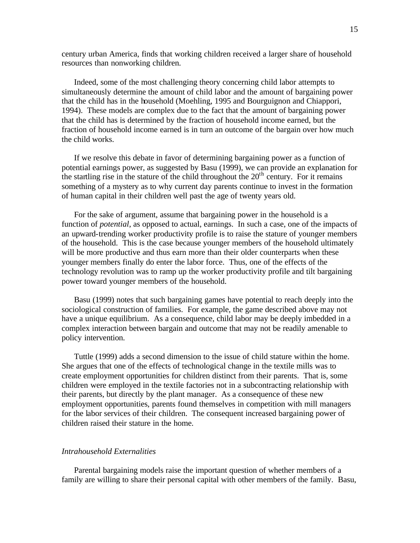century urban America, finds that working children received a larger share of household resources than nonworking children.

Indeed, some of the most challenging theory concerning child labor attempts to simultaneously determine the amount of child labor and the amount of bargaining power that the child has in the household (Moehling, 1995 and Bourguignon and Chiappori, 1994). These models are complex due to the fact that the amount of bargaining power that the child has is determined by the fraction of household income earned, but the fraction of household income earned is in turn an outcome of the bargain over how much the child works.

If we resolve this debate in favor of determining bargaining power as a function of potential earnings power, as suggested by Basu (1999), we can provide an explanation for the startling rise in the stature of the child throughout the  $20<sup>th</sup>$  century. For it remains something of a mystery as to why current day parents continue to invest in the formation of human capital in their children well past the age of twenty years old.

For the sake of argument, assume that bargaining power in the household is a function of *potential*, as opposed to actual, earnings. In such a case, one of the impacts of an upward-trending worker productivity profile is to raise the stature of younger members of the household. This is the case because younger members of the household ultimately will be more productive and thus earn more than their older counterparts when these younger members finally do enter the labor force. Thus, one of the effects of the technology revolution was to ramp up the worker productivity profile and tilt bargaining power toward younger members of the household.

Basu (1999) notes that such bargaining games have potential to reach deeply into the sociological construction of families. For example, the game described above may not have a unique equilibrium. As a consequence, child labor may be deeply imbedded in a complex interaction between bargain and outcome that may not be readily amenable to policy intervention.

Tuttle (1999) adds a second dimension to the issue of child stature within the home. She argues that one of the effects of technological change in the textile mills was to create employment opportunities for children distinct from their parents. That is, some children were employed in the textile factories not in a subcontracting relationship with their parents, but directly by the plant manager. As a consequence of these new employment opportunities, parents found themselves in competition with mill managers for the labor services of their children. The consequent increased bargaining power of children raised their stature in the home.

#### *Intrahousehold Externalities*

Parental bargaining models raise the important question of whether members of a family are willing to share their personal capital with other members of the family. Basu,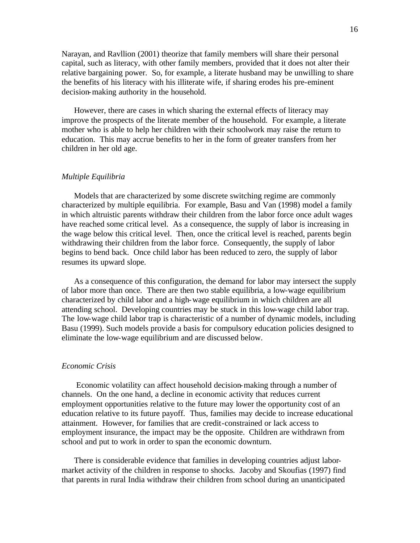Narayan, and Ravllion (2001) theorize that family members will share their personal capital, such as literacy, with other family members, provided that it does not alter their relative bargaining power. So, for example, a literate husband may be unwilling to share the benefits of his literacy with his illiterate wife, if sharing erodes his pre-eminent decision-making authority in the household.

However, there are cases in which sharing the external effects of literacy may improve the prospects of the literate member of the household. For example, a literate mother who is able to help her children with their schoolwork may raise the return to education. This may accrue benefits to her in the form of greater transfers from her children in her old age.

#### *Multiple Equilibria*

Models that are characterized by some discrete switching regime are commonly characterized by multiple equilibria. For example, Basu and Van (1998) model a family in which altruistic parents withdraw their children from the labor force once adult wages have reached some critical level. As a consequence, the supply of labor is increasing in the wage below this critical level. Then, once the critical level is reached, parents begin withdrawing their children from the labor force. Consequently, the supply of labor begins to bend back. Once child labor has been reduced to zero, the supply of labor resumes its upward slope.

As a consequence of this configuration, the demand for labor may intersect the supply of labor more than once. There are then two stable equilibria, a low-wage equilibrium characterized by child labor and a high-wage equilibrium in which children are all attending school. Developing countries may be stuck in this low-wage child labor trap. The low-wage child labor trap is characteristic of a number of dynamic models, including Basu (1999). Such models provide a basis for compulsory education policies designed to eliminate the low-wage equilibrium and are discussed below.

#### *Economic Crisis*

 Economic volatility can affect household decision-making through a number of channels. On the one hand, a decline in economic activity that reduces current employment opportunities relative to the future may lower the opportunity cost of an education relative to its future payoff. Thus, families may decide to increase educational attainment. However, for families that are credit-constrained or lack access to employment insurance, the impact may be the opposite. Children are withdrawn from school and put to work in order to span the economic downturn.

There is considerable evidence that families in developing countries adjust labormarket activity of the children in response to shocks. Jacoby and Skoufias (1997) find that parents in rural India withdraw their children from school during an unanticipated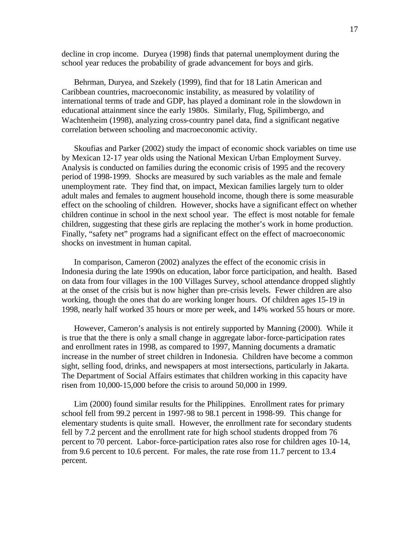decline in crop income. Duryea (1998) finds that paternal unemployment during the school year reduces the probability of grade advancement for boys and girls.

Behrman, Duryea, and Szekely (1999), find that for 18 Latin American and Caribbean countries, macroeconomic instability, as measured by volatility of international terms of trade and GDP, has played a dominant role in the slowdown in educational attainment since the early 1980s. Similarly, Flug, Spilimbergo, and Wachtenheim (1998), analyzing cross-country panel data, find a significant negative correlation between schooling and macroeconomic activity.

Skoufias and Parker (2002) study the impact of economic shock variables on time use by Mexican 12-17 year olds using the National Mexican Urban Employment Survey. Analysis is conducted on families during the economic crisis of 1995 and the recovery period of 1998-1999. Shocks are measured by such variables as the male and female unemployment rate. They find that, on impact, Mexican families largely turn to older adult males and females to augment household income, though there is some measurable effect on the schooling of children. However, shocks have a significant effect on whether children continue in school in the next school year. The effect is most notable for female children, suggesting that these girls are replacing the mother's work in home production. Finally, "safety net" programs had a significant effect on the effect of macroeconomic shocks on investment in human capital.

In comparison, Cameron (2002) analyzes the effect of the economic crisis in Indonesia during the late 1990s on education, labor force participation, and health. Based on data from four villages in the 100 Villages Survey, school attendance dropped slightly at the onset of the crisis but is now higher than pre-crisis levels. Fewer children are also working, though the ones that do are working longer hours. Of children ages 15-19 in 1998, nearly half worked 35 hours or more per week, and 14% worked 55 hours or more.

However, Cameron's analysis is not entirely supported by Manning (2000). While it is true that the there is only a small change in aggregate labor-force-participation rates and enrollment rates in 1998, as compared to 1997, Manning documents a dramatic increase in the number of street children in Indonesia. Children have become a common sight, selling food, drinks, and newspapers at most intersections, particularly in Jakarta. The Department of Social Affairs estimates that children working in this capacity have risen from 10,000-15,000 before the crisis to around 50,000 in 1999.

Lim (2000) found similar results for the Philippines. Enrollment rates for primary school fell from 99.2 percent in 1997-98 to 98.1 percent in 1998-99. This change for elementary students is quite small. However, the enrollment rate for secondary students fell by 7.2 percent and the enrollment rate for high school students dropped from 76 percent to 70 percent. Labor-force-participation rates also rose for children ages 10-14, from 9.6 percent to 10.6 percent. For males, the rate rose from 11.7 percent to 13.4 percent.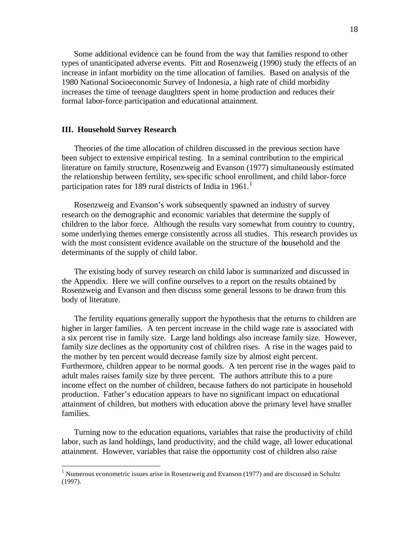Some additional evidence can be found from the way that families respond to other types of unanticipated adverse events. Pitt and Rosenzweig (1990) study the effects of an increase in infant morbidity on the time allocation of families. Based on analysis of the 1980 National Socioeconomic Survey of Indonesia, a high rate of child morbidity increases the time of teenage daughters spent in home production and reduces their formal labor-force participation and educational attainment.

#### **III. Household Survey Research**

 $\overline{a}$ 

Theories of the time allocation of children discussed in the previous section have been subject to extensive empirical testing. In a seminal contribution to the empirical literature on family structure, Rosenzweig and Evanson (1977) simultaneously estimated the relationship between fertility, sex-specific school enrollment, and child labor-force participation rates for 189 rural districts of India in  $1961$ .<sup>1</sup>

Rosenzweig and Evanson's work subsequently spawned an industry of survey research on the demographic and economic variables that determine the supply of children to the labor force. Although the results vary somewhat from country to country, some underlying themes emerge consistently across all studies. This research provides us with the most consistent evidence available on the structure of the household and the determinants of the supply of child labor.

The existing body of survey research on child labor is summarized and discussed in the Appendix. Here we will confine ourselves to a report on the results obtained by Rosenzweig and Evanson and then discuss some general lessons to be drawn from this body of literature.

The fertility equations generally support the hypothesis that the returns to children are higher in larger families. A ten percent increase in the child wage rate is associated with a six percent rise in family size. Large land holdings also increase family size. However, family size declines as the opportunity cost of children rises. A rise in the wages paid to the mother by ten percent would decrease family size by almost eight percent. Furthermore, children appear to be normal goods. A ten percent rise in the wages paid to adult males raises family size by three percent. The authors attribute this to a pure income effect on the number of children, because fathers do not participate in household production. Father's education appears to have no significant impact on educational attainment of children, but mothers with education above the primary level have smaller families.

Turning now to the education equations, variables that raise the productivity of child labor, such as land holdings, land productivity, and the child wage, all lower educational attainment. However, variables that raise the opportunity cost of children also raise

 $<sup>1</sup>$  Numerous econometric issues arise in Rosenzweig and Evanson (1977) and are discussed in Schultz</sup> (1997).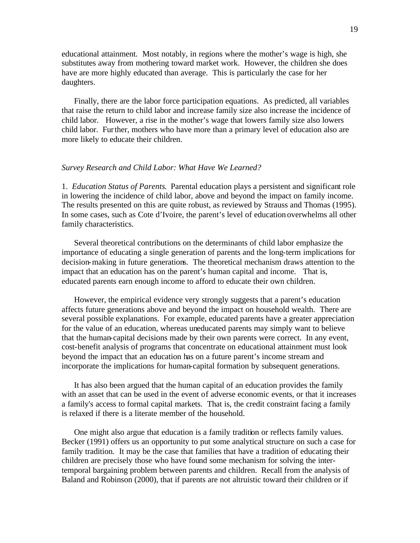educational attainment. Most notably, in regions where the mother's wage is high, she substitutes away from mothering toward market work. However, the children she does have are more highly educated than average. This is particularly the case for her daughters.

Finally, there are the labor force participation equations. As predicted, all variables that raise the return to child labor and increase family size also increase the incidence of child labor. However, a rise in the mother's wage that lowers family size also lowers child labor. Further, mothers who have more than a primary level of education also are more likely to educate their children.

#### *Survey Research and Child Labor: What Have We Learned?*

1. *Education Status of Parents*. Parental education plays a persistent and significant role in lowering the incidence of child labor, above and beyond the impact on family income. The results presented on this are quite robust, as reviewed by Strauss and Thomas (1995). In some cases, such as Cote d'Ivoire, the parent's level of education overwhelms all other family characteristics.

Several theoretical contributions on the determinants of child labor emphasize the importance of educating a single generation of parents and the long-term implications for decision-making in future generations. The theoretical mechanism draws attention to the impact that an education has on the parent's human capital and income. That is, educated parents earn enough income to afford to educate their own children.

However, the empirical evidence very strongly suggests that a parent's education affects future generations above and beyond the impact on household wealth. There are several possible explanations. For example, educated parents have a greater appreciation for the value of an education, whereas uneducated parents may simply want to believe that the human-capital decisions made by their own parents were correct. In any event, cost-benefit analysis of programs that concentrate on educational attainment must look beyond the impact that an education has on a future parent's income stream and incorporate the implications for human-capital formation by subsequent generations.

It has also been argued that the human capital of an education provides the family with an asset that can be used in the event of adverse economic events, or that it increases a family's access to formal capital markets. That is, the credit constraint facing a family is relaxed if there is a literate member of the household.

One might also argue that education is a family tradition or reflects family values. Becker (1991) offers us an opportunity to put some analytical structure on such a case for family tradition. It may be the case that families that have a tradition of educating their children are precisely those who have found some mechanism for solving the intertemporal bargaining problem between parents and children. Recall from the analysis of Baland and Robinson (2000), that if parents are not altruistic toward their children or if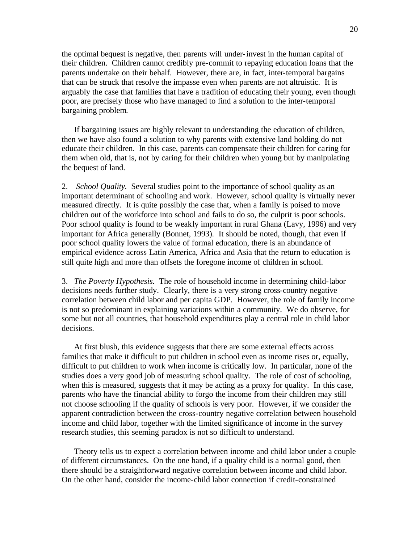the optimal bequest is negative, then parents will under-invest in the human capital of their children. Children cannot credibly pre-commit to repaying education loans that the parents undertake on their behalf. However, there are, in fact, inter-temporal bargains that can be struck that resolve the impasse even when parents are not altruistic. It is arguably the case that families that have a tradition of educating their young, even though poor, are precisely those who have managed to find a solution to the inter-temporal bargaining problem.

If bargaining issues are highly relevant to understanding the education of children, then we have also found a solution to why parents with extensive land holding do not educate their children. In this case, parents can compensate their children for caring for them when old, that is, not by caring for their children when young but by manipulating the bequest of land.

2. *School Quality.* Several studies point to the importance of school quality as an important determinant of schooling and work. However, school quality is virtually never measured directly. It is quite possibly the case that, when a family is poised to move children out of the workforce into school and fails to do so, the culprit is poor schools. Poor school quality is found to be weakly important in rural Ghana (Lavy, 1996) and very important for Africa generally (Bonnet, 1993). It should be noted, though, that even if poor school quality lowers the value of formal education, there is an abundance of empirical evidence across Latin America, Africa and Asia that the return to education is still quite high and more than offsets the foregone income of children in school.

3. *The Poverty Hypothesis.* The role of household income in determining child-labor decisions needs further study. Clearly, there is a very strong cross-country negative correlation between child labor and per capita GDP. However, the role of family income is not so predominant in explaining variations within a community. We do observe, for some but not all countries, that household expenditures play a central role in child labor decisions.

At first blush, this evidence suggests that there are some external effects across families that make it difficult to put children in school even as income rises or, equally, difficult to put children to work when income is critically low. In particular, none of the studies does a very good job of measuring school quality. The role of cost of schooling, when this is measured, suggests that it may be acting as a proxy for quality. In this case, parents who have the financial ability to forgo the income from their children may still not choose schooling if the quality of schools is very poor. However, if we consider the apparent contradiction between the cross-country negative correlation between household income and child labor, together with the limited significance of income in the survey research studies, this seeming paradox is not so difficult to understand.

Theory tells us to expect a correlation between income and child labor under a couple of different circumstances. On the one hand, if a quality child is a normal good, then there should be a straightforward negative correlation between income and child labor. On the other hand, consider the income-child labor connection if credit-constrained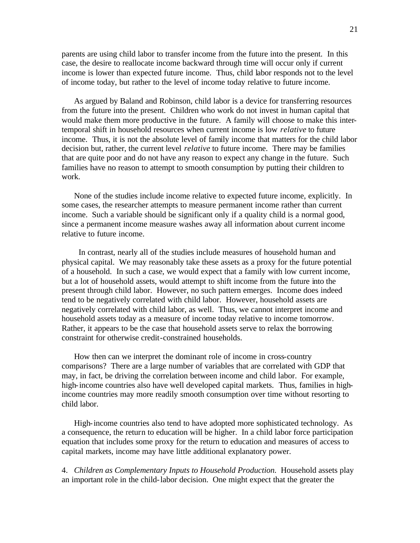parents are using child labor to transfer income from the future into the present. In this case, the desire to reallocate income backward through time will occur only if current income is lower than expected future income. Thus, child labor responds not to the level of income today, but rather to the level of income today relative to future income.

As argued by Baland and Robinson, child labor is a device for transferring resources from the future into the present. Children who work do not invest in human capital that would make them more productive in the future. A family will choose to make this intertemporal shift in household resources when current income is low *relative* to future income. Thus, it is not the absolute level of family income that matters for the child labor decision but, rather, the current level *relative* to future income. There may be families that are quite poor and do not have any reason to expect any change in the future. Such families have no reason to attempt to smooth consumption by putting their children to work.

None of the studies include income relative to expected future income, explicitly. In some cases, the researcher attempts to measure permanent income rather than current income. Such a variable should be significant only if a quality child is a normal good, since a permanent income measure washes away all information about current income relative to future income.

 In contrast, nearly all of the studies include measures of household human and physical capital. We may reasonably take these assets as a proxy for the future potential of a household. In such a case, we would expect that a family with low current income, but a lot of household assets, would attempt to shift income from the future into the present through child labor. However, no such pattern emerges. Income does indeed tend to be negatively correlated with child labor. However, household assets are negatively correlated with child labor, as well. Thus, we cannot interpret income and household assets today as a measure of income today relative to income tomorrow. Rather, it appears to be the case that household assets serve to relax the borrowing constraint for otherwise credit-constrained households.

How then can we interpret the dominant role of income in cross-country comparisons? There are a large number of variables that are correlated with GDP that may, in fact, be driving the correlation between income and child labor. For example, high-income countries also have well developed capital markets. Thus, families in highincome countries may more readily smooth consumption over time without resorting to child labor.

High-income countries also tend to have adopted more sophisticated technology. As a consequence, the return to education will be higher. In a child labor force participation equation that includes some proxy for the return to education and measures of access to capital markets, income may have little additional explanatory power.

4. *Children as Complementary Inputs to Household Production.* Household assets play an important role in the child-labor decision. One might expect that the greater the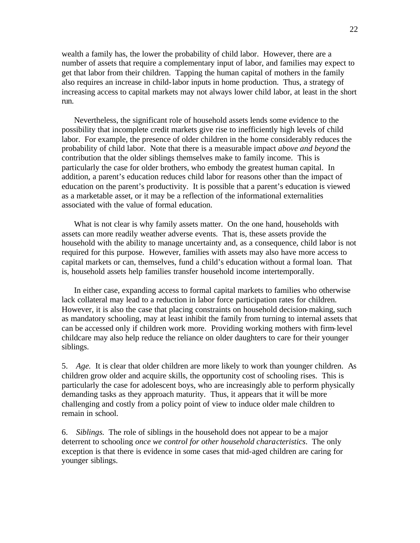wealth a family has, the lower the probability of child labor. However, there are a number of assets that require a complementary input of labor, and families may expect to get that labor from their children. Tapping the human capital of mothers in the family also requires an increase in child-labor inputs in home production. Thus, a strategy of increasing access to capital markets may not always lower child labor, at least in the short run.

Nevertheless, the significant role of household assets lends some evidence to the possibility that incomplete credit markets give rise to inefficiently high levels of child labor. For example, the presence of older children in the home considerably reduces the probability of child labor. Note that there is a measurable impact *above and beyond* the contribution that the older siblings themselves make to family income. This is particularly the case for older brothers, who embody the greatest human capital. In addition, a parent's education reduces child labor for reasons other than the impact of education on the parent's productivity. It is possible that a parent's education is viewed as a marketable asset, or it may be a reflection of the informational externalities associated with the value of formal education.

What is not clear is why family assets matter. On the one hand, households with assets can more readily weather adverse events. That is, these assets provide the household with the ability to manage uncertainty and, as a consequence, child labor is not required for this purpose. However, families with assets may also have more access to capital markets or can, themselves, fund a child's education without a formal loan. That is, household assets help families transfer household income intertemporally.

In either case, expanding access to formal capital markets to families who otherwise lack collateral may lead to a reduction in labor force participation rates for children. However, it is also the case that placing constraints on household decision-making, such as mandatory schooling, may at least inhibit the family from turning to internal assets that can be accessed only if children work more. Providing working mothers with firm-level childcare may also help reduce the reliance on older daughters to care for their younger siblings.

5. *Age.* It is clear that older children are more likely to work than younger children. As children grow older and acquire skills, the opportunity cost of schooling rises. This is particularly the case for adolescent boys, who are increasingly able to perform physically demanding tasks as they approach maturity. Thus, it appears that it will be more challenging and costly from a policy point of view to induce older male children to remain in school.

6. *Siblings.* The role of siblings in the household does not appear to be a major deterrent to schooling *once we control for other household characteristics*. The only exception is that there is evidence in some cases that mid-aged children are caring for younger siblings.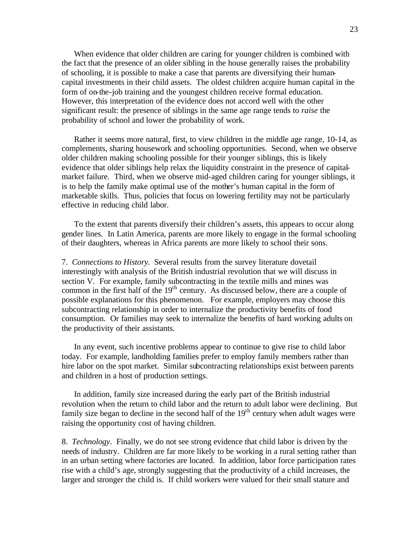When evidence that older children are caring for younger children is combined with the fact that the presence of an older sibling in the house generally raises the probability of schooling, it is possible to make a case that parents are diversifying their humancapital investments in their child assets. The oldest children acquire human capital in the form of on-the-job training and the youngest children receive formal education. However, this interpretation of the evidence does not accord well with the other significant result: the presence of siblings in the same age range tends to *raise* the probability of school and lower the probability of work.

Rather it seems more natural, first, to view children in the middle age range, 10-14, as complements, sharing housework and schooling opportunities. Second, when we observe older children making schooling possible for their younger siblings, this is likely evidence that older siblings help relax the liquidity constraint in the presence of capitalmarket failure. Third, when we observe mid-aged children caring for younger siblings, it is to help the family make optimal use of the mother's human capital in the form of marketable skills. Thus, policies that focus on lowering fertility may not be particularly effective in reducing child labor.

To the extent that parents diversify their children's assets, this appears to occur along gender lines. In Latin America, parents are more likely to engage in the formal schooling of their daughters, whereas in Africa parents are more likely to school their sons.

7. *Connections to History.* Several results from the survey literature dovetail interestingly with analysis of the British industrial revolution that we will discuss in section V. For example, family subcontracting in the textile mills and mines was common in the first half of the  $19<sup>th</sup>$  century. As discussed below, there are a couple of possible explanations for this phenomenon. For example, employers may choose this subcontracting relationship in order to internalize the productivity benefits of food consumption. Or families may seek to internalize the benefits of hard working adults on the productivity of their assistants.

In any event, such incentive problems appear to continue to give rise to child labor today. For example, landholding families prefer to employ family members rather than hire labor on the spot market. Similar subcontracting relationships exist between parents and children in a host of production settings.

In addition, family size increased during the early part of the British industrial revolution when the return to child labor and the return to adult labor were declining. But family size began to decline in the second half of the  $19<sup>th</sup>$  century when adult wages were raising the opportunity cost of having children.

8. *Technology*. Finally, we do not see strong evidence that child labor is driven by the needs of industry. Children are far more likely to be working in a rural setting rather than in an urban setting where factories are located. In addition, labor force participation rates rise with a child's age, strongly suggesting that the productivity of a child increases, the larger and stronger the child is. If child workers were valued for their small stature and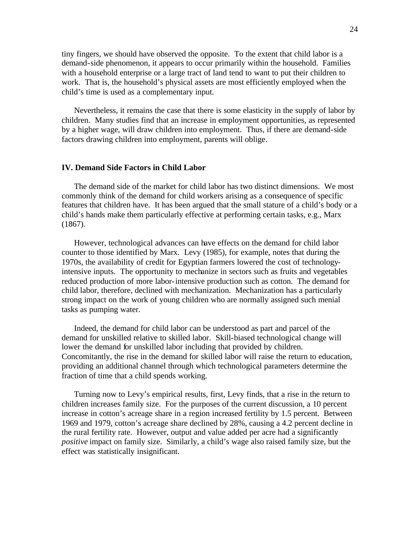tiny fingers, we should have observed the opposite. To the extent that child labor is a demand-side phenomenon, it appears to occur primarily within the household. Families with a household enterprise or a large tract of land tend to want to put their children to work. That is, the household's physical assets are most efficiently employed when the child's time is used as a complementary input.

Nevertheless, it remains the case that there is some elasticity in the supply of labor by children. Many studies find that an increase in employment opportunities, as represented by a higher wage, will draw children into employment. Thus, if there are demand-side factors drawing children into employment, parents will oblige.

#### **IV. Demand Side Factors in Child Labor**

The demand side of the market for child labor has two distinct dimensions. We most commonly think of the demand for child workers arising as a consequence of specific features that children have. It has been argued that the small stature of a child's body or a child's hands make them particularly effective at performing certain tasks, e.g., Marx (1867).

However, technological advances can have effects on the demand for child labor counter to those identified by Marx. Levy (1985), for example, notes that during the 1970s, the availability of credit for Egyptian farmers lowered the cost of technologyintensive inputs. The opportunity to mechanize in sectors such as fruits and vegetables reduced production of more labor-intensive production such as cotton. The demand for child labor, therefore, declined with mechanization. Mechanization has a particularly strong impact on the work of young children who are normally assigned such menial tasks as pumping water.

Indeed, the demand for child labor can be understood as part and parcel of the demand for unskilled relative to skilled labor. Skill-biased technological change will lower the demand for unskilled labor including that provided by children. Concomitantly, the rise in the demand for skilled labor will raise the return to education, providing an additional channel through which technological parameters determine the fraction of time that a child spends working.

Turning now to Levy's empirical results, first, Levy finds, that a rise in the return to children increases family size. For the purposes of the current discussion, a 10 percent increase in cotton's acreage share in a region increased fertility by 1.5 percent. Between 1969 and 1979, cotton's acreage share declined by 28%, causing a 4.2 percent decline in the rural fertility rate. However, output and value added per acre had a significantly *positive* impact on family size. Similarly, a child's wage also raised family size, but the effect was statistically insignificant.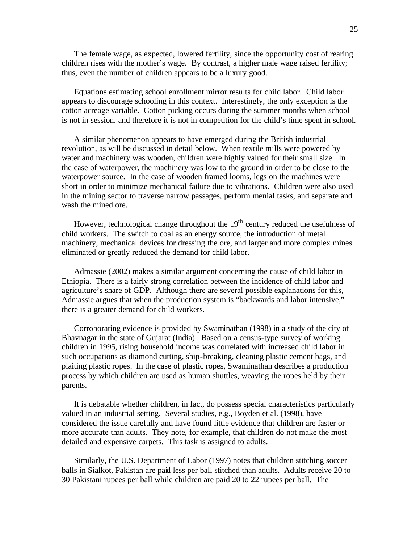The female wage, as expected, lowered fertility, since the opportunity cost of rearing children rises with the mother's wage. By contrast, a higher male wage raised fertility; thus, even the number of children appears to be a luxury good.

Equations estimating school enrollment mirror results for child labor. Child labor appears to discourage schooling in this context. Interestingly, the only exception is the cotton acreage variable. Cotton picking occurs during the summer months when school is not in session. and therefore it is not in competition for the child's time spent in school.

A similar phenomenon appears to have emerged during the British industrial revolution, as will be discussed in detail below. When textile mills were powered by water and machinery was wooden, children were highly valued for their small size. In the case of waterpower, the machinery was low to the ground in order to be close to the waterpower source. In the case of wooden framed looms, legs on the machines were short in order to minimize mechanical failure due to vibrations. Children were also used in the mining sector to traverse narrow passages, perform menial tasks, and separate and wash the mined ore.

However, technological change throughout the  $19<sup>th</sup>$  century reduced the usefulness of child workers. The switch to coal as an energy source, the introduction of metal machinery, mechanical devices for dressing the ore, and larger and more complex mines eliminated or greatly reduced the demand for child labor.

Admassie (2002) makes a similar argument concerning the cause of child labor in Ethiopia. There is a fairly strong correlation between the incidence of child labor and agriculture's share of GDP. Although there are several possible explanations for this, Admassie argues that when the production system is "backwards and labor intensive," there is a greater demand for child workers.

Corroborating evidence is provided by Swaminathan (1998) in a study of the city of Bhavnagar in the state of Gujarat (India). Based on a census-type survey of working children in 1995, rising household income was correlated with increased child labor in such occupations as diamond cutting, ship-breaking, cleaning plastic cement bags, and plaiting plastic ropes. In the case of plastic ropes, Swaminathan describes a production process by which children are used as human shuttles, weaving the ropes held by their parents.

It is debatable whether children, in fact, do possess special characteristics particularly valued in an industrial setting. Several studies, e.g., Boyden et al. (1998), have considered the issue carefully and have found little evidence that children are faster or more accurate than adults. They note, for example, that children do not make the most detailed and expensive carpets. This task is assigned to adults.

Similarly, the U.S. Department of Labor (1997) notes that children stitching soccer balls in Sialkot, Pakistan are paid less per ball stitched than adults. Adults receive 20 to 30 Pakistani rupees per ball while children are paid 20 to 22 rupees per ball. The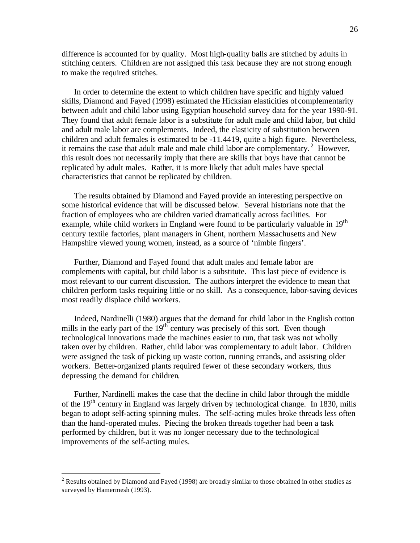difference is accounted for by quality. Most high-quality balls are stitched by adults in stitching centers. Children are not assigned this task because they are not strong enough to make the required stitches.

In order to determine the extent to which children have specific and highly valued skills, Diamond and Fayed (1998) estimated the Hicksian elasticities of complementarity between adult and child labor using Egyptian household survey data for the year 1990-91. They found that adult female labor is a substitute for adult male and child labor, but child and adult male labor are complements. Indeed, the elasticity of substitution between children and adult females is estimated to be -11.4419, quite a high figure. Nevertheless, it remains the case that adult male and male child labor are complementary.<sup>2</sup> However, this result does not necessarily imply that there are skills that boys have that cannot be replicated by adult males. Rather, it is more likely that adult males have special characteristics that cannot be replicated by children.

The results obtained by Diamond and Fayed provide an interesting perspective on some historical evidence that will be discussed below. Several historians note that the fraction of employees who are children varied dramatically across facilities. For example, while child workers in England were found to be particularly valuable in 19<sup>th</sup> century textile factories, plant managers in Ghent, northern Massachusetts and New Hampshire viewed young women, instead, as a source of 'nimble fingers'.

Further, Diamond and Fayed found that adult males and female labor are complements with capital, but child labor is a substitute. This last piece of evidence is most relevant to our current discussion. The authors interpret the evidence to mean that children perform tasks requiring little or no skill. As a consequence, labor-saving devices most readily displace child workers.

Indeed, Nardinelli (1980) argues that the demand for child labor in the English cotton mills in the early part of the  $19<sup>th</sup>$  century was precisely of this sort. Even though technological innovations made the machines easier to run, that task was not wholly taken over by children. Rather, child labor was complementary to adult labor. Children were assigned the task of picking up waste cotton, running errands, and assisting older workers. Better-organized plants required fewer of these secondary workers, thus depressing the demand for children.

Further, Nardinelli makes the case that the decline in child labor through the middle of the 19<sup>th</sup> century in England was largely driven by technological change. In 1830, mills began to adopt self-acting spinning mules. The self-acting mules broke threads less often than the hand-operated mules. Piecing the broken threads together had been a task performed by children, but it was no longer necessary due to the technological improvements of the self-acting mules.

 $\overline{a}$ 

 $2$  Results obtained by Diamond and Fayed (1998) are broadly similar to those obtained in other studies as surveyed by Hamermesh (1993).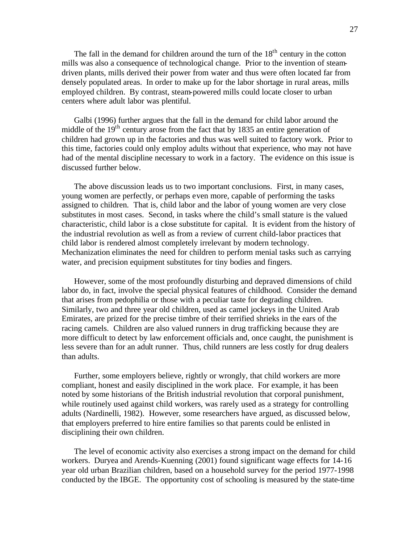The fall in the demand for children around the turn of the  $18<sup>th</sup>$  century in the cotton mills was also a consequence of technological change. Prior to the invention of steamdriven plants, mills derived their power from water and thus were often located far from densely populated areas. In order to make up for the labor shortage in rural areas, mills employed children. By contrast, steam-powered mills could locate closer to urban centers where adult labor was plentiful.

Galbi (1996) further argues that the fall in the demand for child labor around the middle of the  $19<sup>th</sup>$  century arose from the fact that by 1835 an entire generation of children had grown up in the factories and thus was well suited to factory work. Prior to this time, factories could only employ adults without that experience, who may not have had of the mental discipline necessary to work in a factory. The evidence on this issue is discussed further below.

The above discussion leads us to two important conclusions. First, in many cases, young women are perfectly, or perhaps even more, capable of performing the tasks assigned to children. That is, child labor and the labor of young women are very close substitutes in most cases. Second, in tasks where the child's small stature is the valued characteristic, child labor is a close substitute for capital. It is evident from the history of the industrial revolution as well as from a review of current child-labor practices that child labor is rendered almost completely irrelevant by modern technology. Mechanization eliminates the need for children to perform menial tasks such as carrying water, and precision equipment substitutes for tiny bodies and fingers.

However, some of the most profoundly disturbing and depraved dimensions of child labor do, in fact, involve the special physical features of childhood. Consider the demand that arises from pedophilia or those with a peculiar taste for degrading children. Similarly, two and three year old children, used as camel jockeys in the United Arab Emirates, are prized for the precise timbre of their terrified shrieks in the ears of the racing camels. Children are also valued runners in drug trafficking because they are more difficult to detect by law enforcement officials and, once caught, the punishment is less severe than for an adult runner. Thus, child runners are less costly for drug dealers than adults.

Further, some employers believe, rightly or wrongly, that child workers are more compliant, honest and easily disciplined in the work place. For example, it has been noted by some historians of the British industrial revolution that corporal punishment, while routinely used against child workers, was rarely used as a strategy for controlling adults (Nardinelli, 1982). However, some researchers have argued, as discussed below, that employers preferred to hire entire families so that parents could be enlisted in disciplining their own children.

The level of economic activity also exercises a strong impact on the demand for child workers. Duryea and Arends-Kuenning (2001) found significant wage effects for 14-16 year old urban Brazilian children, based on a household survey for the period 1977-1998 conducted by the IBGE. The opportunity cost of schooling is measured by the state-time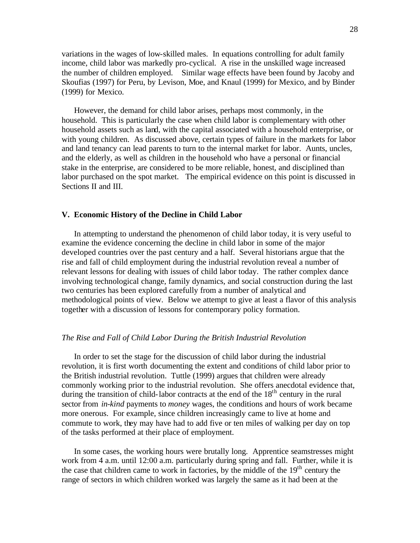variations in the wages of low-skilled males. In equations controlling for adult family income, child labor was markedly pro-cyclical. A rise in the unskilled wage increased the number of children employed. Similar wage effects have been found by Jacoby and Skoufias (1997) for Peru, by Levison, Moe, and Knaul (1999) for Mexico, and by Binder (1999) for Mexico.

However, the demand for child labor arises, perhaps most commonly, in the household. This is particularly the case when child labor is complementary with other household assets such as land, with the capital associated with a household enterprise, or with young children. As discussed above, certain types of failure in the markets for labor and land tenancy can lead parents to turn to the internal market for labor. Aunts, uncles, and the elderly, as well as children in the household who have a personal or financial stake in the enterprise, are considered to be more reliable, honest, and disciplined than labor purchased on the spot market. The empirical evidence on this point is discussed in Sections II and III.

#### **V. Economic History of the Decline in Child Labor**

In attempting to understand the phenomenon of child labor today, it is very useful to examine the evidence concerning the decline in child labor in some of the major developed countries over the past century and a half. Several historians argue that the rise and fall of child employment during the industrial revolution reveal a number of relevant lessons for dealing with issues of child labor today. The rather complex dance involving technological change, family dynamics, and social construction during the last two centuries has been explored carefully from a number of analytical and methodological points of view. Below we attempt to give at least a flavor of this analysis together with a discussion of lessons for contemporary policy formation.

#### *The Rise and Fall of Child Labor During the British Industrial Revolution*

In order to set the stage for the discussion of child labor during the industrial revolution, it is first worth documenting the extent and conditions of child labor prior to the British industrial revolution. Tuttle (1999) argues that children were already commonly working prior to the industrial revolution. She offers anecdotal evidence that, during the transition of child-labor contracts at the end of the  $18<sup>th</sup>$  century in the rural sector from *in-kind* payments to *money* wages, the conditions and hours of work became more onerous. For example, since children increasingly came to live at home and commute to work, they may have had to add five or ten miles of walking per day on top of the tasks performed at their place of employment.

In some cases, the working hours were brutally long. Apprentice seamstresses might work from 4 a.m. until 12:00 a.m. particularly during spring and fall. Further, while it is the case that children came to work in factories, by the middle of the  $19<sup>th</sup>$  century the range of sectors in which children worked was largely the same as it had been at the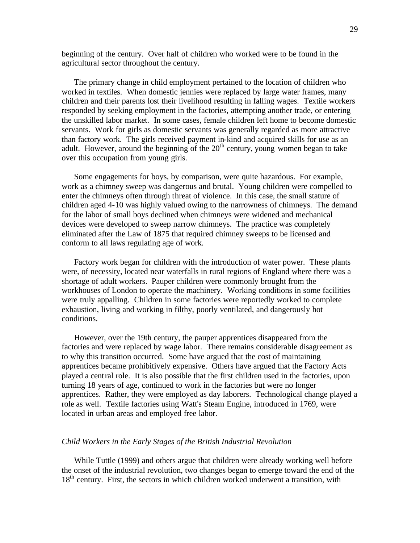beginning of the century. Over half of children who worked were to be found in the agricultural sector throughout the century.

The primary change in child employment pertained to the location of children who worked in textiles. When domestic jennies were replaced by large water frames, many children and their parents lost their livelihood resulting in falling wages. Textile workers responded by seeking employment in the factories, attempting another trade, or entering the unskilled labor market. In some cases, female children left home to become domestic servants. Work for girls as domestic servants was generally regarded as more attractive than factory work. The girls received payment in-kind and acquired skills for use as an adult. However, around the beginning of the  $20<sup>th</sup>$  century, young women began to take over this occupation from young girls.

Some engagements for boys, by comparison, were quite hazardous. For example, work as a chimney sweep was dangerous and brutal. Young children were compelled to enter the chimneys often through threat of violence. In this case, the small stature of children aged 4-10 was highly valued owing to the narrowness of chimneys. The demand for the labor of small boys declined when chimneys were widened and mechanical devices were developed to sweep narrow chimneys. The practice was completely eliminated after the Law of 1875 that required chimney sweeps to be licensed and conform to all laws regulating age of work.

Factory work began for children with the introduction of water power. These plants were, of necessity, located near waterfalls in rural regions of England where there was a shortage of adult workers. Pauper children were commonly brought from the workhouses of London to operate the machinery. Working conditions in some facilities were truly appalling. Children in some factories were reportedly worked to complete exhaustion, living and working in filthy, poorly ventilated, and dangerously hot conditions.

However, over the 19th century, the pauper apprentices disappeared from the factories and were replaced by wage labor. There remains considerable disagreement as to why this transition occurred. Some have argued that the cost of maintaining apprentices became prohibitively expensive. Others have argued that the Factory Acts played a central role. It is also possible that the first children used in the factories, upon turning 18 years of age, continued to work in the factories but were no longer apprentices. Rather, they were employed as day laborers. Technological change played a role as well. Textile factories using Watt's Steam Engine, introduced in 1769, were located in urban areas and employed free labor.

#### *Child Workers in the Early Stages of the British Industrial Revolution*

While Tuttle (1999) and others argue that children were already working well before the onset of the industrial revolution, two changes began to emerge toward the end of the 18<sup>th</sup> century. First, the sectors in which children worked underwent a transition, with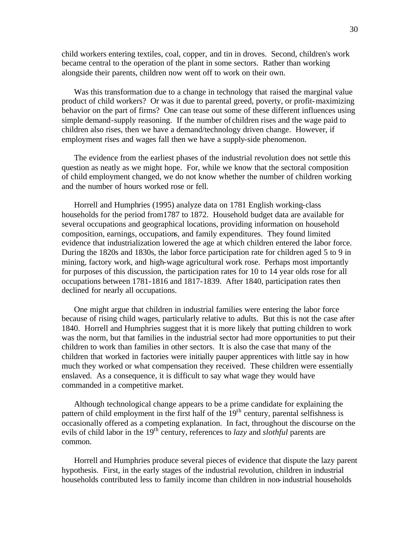child workers entering textiles, coal, copper, and tin in droves. Second, children's work became central to the operation of the plant in some sectors. Rather than working alongside their parents, children now went off to work on their own.

Was this transformation due to a change in technology that raised the marginal value product of child workers? Or was it due to parental greed, poverty, or profit-maximizing behavior on the part of firms? One can tease out some of these different influences using simple demand-supply reasoning. If the number of children rises and the wage paid to children also rises, then we have a demand/technology driven change. However, if employment rises and wages fall then we have a supply-side phenomenon.

The evidence from the earliest phases of the industrial revolution does not settle this question as neatly as we might hope. For, while we know that the sectoral composition of child employment changed, we do not know whether the number of children working and the number of hours worked rose or fell.

Horrell and Humphries (1995) analyze data on 1781 English working-class households for the period from1787 to 1872. Household budget data are available for several occupations and geographical locations, providing information on household composition, earnings, occupations, and family expenditures. They found limited evidence that industrialization lowered the age at which children entered the labor force. During the 1820s and 1830s, the labor force participation rate for children aged 5 to 9 in mining, factory work, and high-wage agricultural work rose. Perhaps most importantly for purposes of this discussion, the participation rates for 10 to 14 year olds rose for all occupations between 1781-1816 and 1817-1839. After 1840, participation rates then declined for nearly all occupations.

One might argue that children in industrial families were entering the labor force because of rising child wages, particularly relative to adults. But this is not the case after 1840. Horrell and Humphries suggest that it is more likely that putting children to work was the norm, but that families in the industrial sector had more opportunities to put their children to work than families in other sectors. It is also the case that many of the children that worked in factories were initially pauper apprentices with little say in how much they worked or what compensation they received. These children were essentially enslaved. As a consequence, it is difficult to say what wage they would have commanded in a competitive market.

Although technological change appears to be a prime candidate for explaining the pattern of child employment in the first half of the  $19<sup>th</sup>$  century, parental selfishness is occasionally offered as a competing explanation. In fact, throughout the discourse on the evils of child labor in the 19<sup>th</sup> century, references to *lazy* and *slothful* parents are common.

Horrell and Humphries produce several pieces of evidence that dispute the lazy parent hypothesis. First, in the early stages of the industrial revolution, children in industrial households contributed less to family income than children in non-industrial households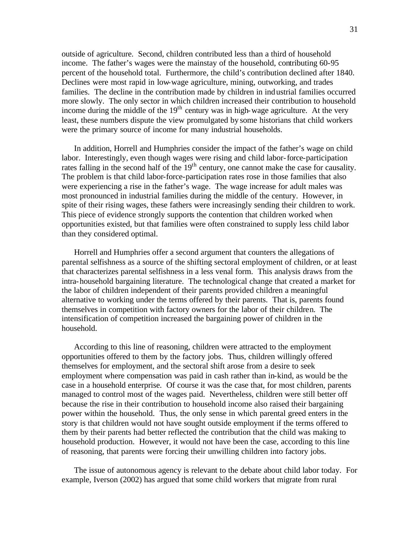outside of agriculture. Second, children contributed less than a third of household income. The father's wages were the mainstay of the household, contributing 60-95 percent of the household total. Furthermore, the child's contribution declined after 1840. Declines were most rapid in low-wage agriculture, mining, outworking, and trades families. The decline in the contribution made by children in industrial families occurred more slowly. The only sector in which children increased their contribution to household income during the middle of the  $19<sup>th</sup>$  century was in high-wage agriculture. At the very least, these numbers dispute the view promulgated by some historians that child workers were the primary source of income for many industrial households.

In addition, Horrell and Humphries consider the impact of the father's wage on child labor. Interestingly, even though wages were rising and child labor-force-participation rates falling in the second half of the 19<sup>th</sup> century, one cannot make the case for causality. The problem is that child labor-force-participation rates rose in those families that also were experiencing a rise in the father's wage. The wage increase for adult males was most pronounced in industrial families during the middle of the century. However, in spite of their rising wages, these fathers were increasingly sending their children to work. This piece of evidence strongly supports the contention that children worked when opportunities existed, but that families were often constrained to supply less child labor than they considered optimal.

Horrell and Humphries offer a second argument that counters the allegations of parental selfishness as a source of the shifting sectoral employment of children, or at least that characterizes parental selfishness in a less venal form. This analysis draws from the intra-household bargaining literature. The technological change that created a market for the labor of children independent of their parents provided children a meaningful alternative to working under the terms offered by their parents. That is, parents found themselves in competition with factory owners for the labor of their children. The intensification of competition increased the bargaining power of children in the household.

According to this line of reasoning, children were attracted to the employment opportunities offered to them by the factory jobs. Thus, children willingly offered themselves for employment, and the sectoral shift arose from a desire to seek employment where compensation was paid in cash rather than in-kind, as would be the case in a household enterprise. Of course it was the case that, for most children, parents managed to control most of the wages paid. Nevertheless, children were still better off because the rise in their contribution to household income also raised their bargaining power within the household. Thus, the only sense in which parental greed enters in the story is that children would not have sought outside employment if the terms offered to them by their parents had better reflected the contribution that the child was making to household production. However, it would not have been the case, according to this line of reasoning, that parents were forcing their unwilling children into factory jobs.

The issue of autonomous agency is relevant to the debate about child labor today. For example, Iverson (2002) has argued that some child workers that migrate from rural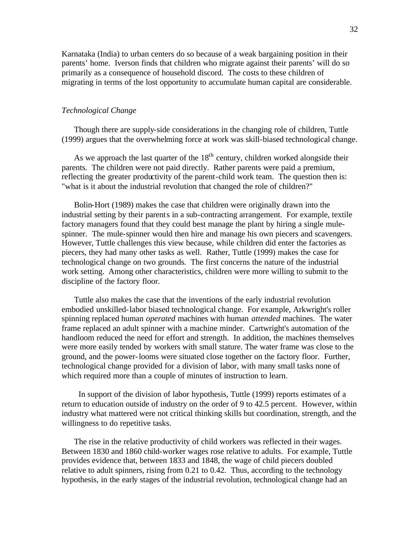Karnataka (India) to urban centers do so because of a weak bargaining position in their parents' home. Iverson finds that children who migrate against their parents' will do so primarily as a consequence of household discord. The costs to these children of migrating in terms of the lost opportunity to accumulate human capital are considerable.

#### *Technological Change*

Though there are supply-side considerations in the changing role of children, Tuttle (1999) argues that the overwhelming force at work was skill-biased technological change.

As we approach the last quarter of the  $18<sup>th</sup>$  century, children worked alongside their parents. The children were not paid directly. Rather parents were paid a premium, reflecting the greater productivity of the parent-child work team. The question then is: "what is it about the industrial revolution that changed the role of children?"

Bolin-Hort (1989) makes the case that children were originally drawn into the industrial setting by their parents in a sub-contracting arrangement. For example, textile factory managers found that they could best manage the plant by hiring a single mulespinner. The mule-spinner would then hire and manage his own piecers and scavengers. However, Tuttle challenges this view because, while children did enter the factories as piecers, they had many other tasks as well. Rather, Tuttle (1999) makes the case for technological change on two grounds. The first concerns the nature of the industrial work setting. Among other characteristics, children were more willing to submit to the discipline of the factory floor.

Tuttle also makes the case that the inventions of the early industrial revolution embodied unskilled-labor biased technological change. For example, Arkwright's roller spinning replaced human *operated* machines with human *attended* machines. The water frame replaced an adult spinner with a machine minder. Cartwright's automation of the handloom reduced the need for effort and strength. In addition, the machines themselves were more easily tended by workers with small stature. The water frame was close to the ground, and the power-looms were situated close together on the factory floor. Further, technological change provided for a division of labor, with many small tasks none of which required more than a couple of minutes of instruction to learn.

 In support of the division of labor hypothesis, Tuttle (1999) reports estimates of a return to education outside of industry on the order of 9 to 42.5 percent. However, within industry what mattered were not critical thinking skills but coordination, strength, and the willingness to do repetitive tasks.

The rise in the relative productivity of child workers was reflected in their wages. Between 1830 and 1860 child-worker wages rose relative to adults. For example, Tuttle provides evidence that, between 1833 and 1848, the wage of child piecers doubled relative to adult spinners, rising from 0.21 to 0.42. Thus, according to the technology hypothesis, in the early stages of the industrial revolution, technological change had an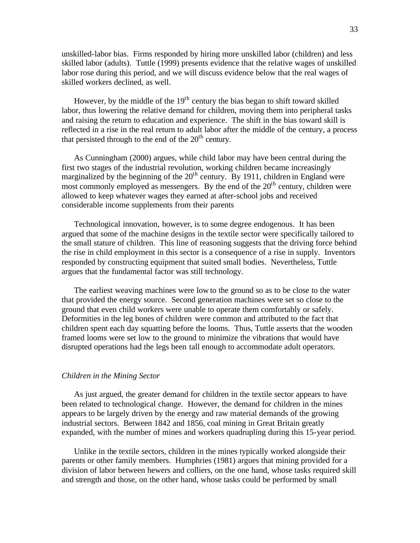unskilled-labor bias. Firms responded by hiring more unskilled labor (children) and less skilled labor (adults). Tuttle (1999) presents evidence that the relative wages of unskilled labor rose during this period, and we will discuss evidence below that the real wages of skilled workers declined, as well.

However, by the middle of the  $19<sup>th</sup>$  century the bias began to shift toward skilled labor, thus lowering the relative demand for children, moving them into peripheral tasks and raising the return to education and experience. The shift in the bias toward skill is reflected in a rise in the real return to adult labor after the middle of the century, a process that persisted through to the end of the  $20<sup>th</sup>$  century.

As Cunningham (2000) argues, while child labor may have been central during the first two stages of the industrial revolution, working children became increasingly marginalized by the beginning of the  $20<sup>th</sup>$  century. By 1911, children in England were most commonly employed as messengers. By the end of the  $20<sup>th</sup>$  century, children were allowed to keep whatever wages they earned at after-school jobs and received considerable income supplements from their parents

Technological innovation, however, is to some degree endogenous. It has been argued that some of the machine designs in the textile sector were specifically tailored to the small stature of children. This line of reasoning suggests that the driving force behind the rise in child employment in this sector is a consequence of a rise in supply. Inventors responded by constructing equipment that suited small bodies. Nevertheless, Tuttle argues that the fundamental factor was still technology.

The earliest weaving machines were low to the ground so as to be close to the water that provided the energy source. Second generation machines were set so close to the ground that even child workers were unable to operate them comfortably or safely. Deformities in the leg bones of children were common and attributed to the fact that children spent each day squatting before the looms. Thus, Tuttle asserts that the wooden framed looms were set low to the ground to minimize the vibrations that would have disrupted operations had the legs been tall enough to accommodate adult operators.

#### *Children in the Mining Sector*

As just argued, the greater demand for children in the textile sector appears to have been related to technological change. However, the demand for children in the mines appears to be largely driven by the energy and raw material demands of the growing industrial sectors. Between 1842 and 1856, coal mining in Great Britain greatly expanded, with the number of mines and workers quadrupling during this 15-year period.

Unlike in the textile sectors, children in the mines typically worked alongside their parents or other family members. Humphries (1981) argues that mining provided for a division of labor between hewers and colliers, on the one hand, whose tasks required skill and strength and those, on the other hand, whose tasks could be performed by small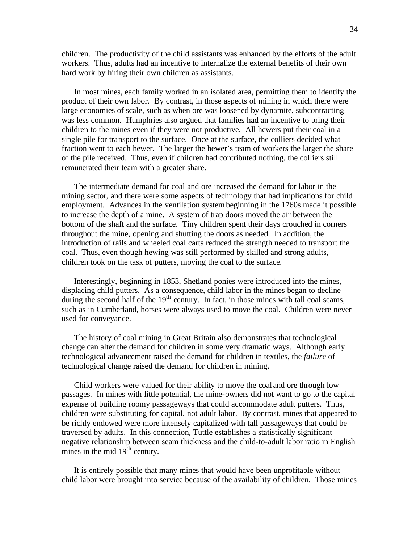children. The productivity of the child assistants was enhanced by the efforts of the adult workers. Thus, adults had an incentive to internalize the external benefits of their own hard work by hiring their own children as assistants.

In most mines, each family worked in an isolated area, permitting them to identify the product of their own labor. By contrast, in those aspects of mining in which there were large economies of scale, such as when ore was loosened by dynamite, subcontracting was less common. Humphries also argued that families had an incentive to bring their children to the mines even if they were not productive. All hewers put their coal in a single pile for transport to the surface. Once at the surface, the colliers decided what fraction went to each hewer. The larger the hewer's team of workers the larger the share of the pile received. Thus, even if children had contributed nothing, the colliers still remunerated their team with a greater share.

The intermediate demand for coal and ore increased the demand for labor in the mining sector, and there were some aspects of technology that had implications for child employment. Advances in the ventilation system beginning in the 1760s made it possible to increase the depth of a mine. A system of trap doors moved the air between the bottom of the shaft and the surface. Tiny children spent their days crouched in corners throughout the mine, opening and shutting the doors as needed. In addition, the introduction of rails and wheeled coal carts reduced the strength needed to transport the coal. Thus, even though hewing was still performed by skilled and strong adults, children took on the task of putters, moving the coal to the surface.

Interestingly, beginning in 1853, Shetland ponies were introduced into the mines, displacing child putters. As a consequence, child labor in the mines began to decline during the second half of the  $19<sup>th</sup>$  century. In fact, in those mines with tall coal seams, such as in Cumberland, horses were always used to move the coal. Children were never used for conveyance.

The history of coal mining in Great Britain also demonstrates that technological change can alter the demand for children in some very dramatic ways. Although early technological advancement raised the demand for children in textiles, the *failure* of technological change raised the demand for children in mining.

Child workers were valued for their ability to move the coal and ore through low passages. In mines with little potential, the mine-owners did not want to go to the capital expense of building roomy passageways that could accommodate adult putters. Thus, children were substituting for capital, not adult labor. By contrast, mines that appeared to be richly endowed were more intensely capitalized with tall passageways that could be traversed by adults. In this connection, Tuttle establishes a statistically significant negative relationship between seam thickness and the child-to-adult labor ratio in English mines in the mid  $19<sup>th</sup>$  century.

It is entirely possible that many mines that would have been unprofitable without child labor were brought into service because of the availability of children. Those mines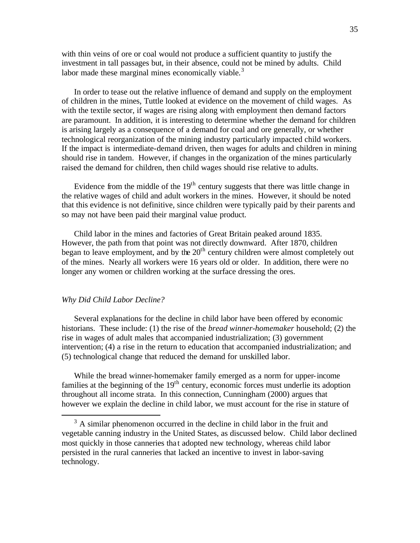with thin veins of ore or coal would not produce a sufficient quantity to justify the investment in tall passages but, in their absence, could not be mined by adults. Child labor made these marginal mines economically viable.<sup>3</sup>

In order to tease out the relative influence of demand and supply on the employment of children in the mines, Tuttle looked at evidence on the movement of child wages. As with the textile sector, if wages are rising along with employment then demand factors are paramount. In addition, it is interesting to determine whether the demand for children is arising largely as a consequence of a demand for coal and ore generally, or whether technological reorganization of the mining industry particularly impacted child workers. If the impact is intermediate-demand driven, then wages for adults and children in mining should rise in tandem. However, if changes in the organization of the mines particularly raised the demand for children, then child wages should rise relative to adults.

Evidence from the middle of the  $19<sup>th</sup>$  century suggests that there was little change in the relative wages of child and adult workers in the mines. However, it should be noted that this evidence is not definitive, since children were typically paid by their parents and so may not have been paid their marginal value product.

Child labor in the mines and factories of Great Britain peaked around 1835. However, the path from that point was not directly downward. After 1870, children began to leave employment, and by the  $20<sup>th</sup>$  century children were almost completely out of the mines. Nearly all workers were 16 years old or older. In addition, there were no longer any women or children working at the surface dressing the ores.

#### *Why Did Child Labor Decline?*

 $\overline{a}$ 

Several explanations for the decline in child labor have been offered by economic historians. These include: (1) the rise of the *bread winner-homemaker* household; (2) the rise in wages of adult males that accompanied industrialization; (3) government intervention; (4) a rise in the return to education that accompanied industrialization; and (5) technological change that reduced the demand for unskilled labor.

While the bread winner-homemaker family emerged as a norm for upper-income families at the beginning of the 19<sup>th</sup> century, economic forces must underlie its adoption throughout all income strata. In this connection, Cunningham (2000) argues that however we explain the decline in child labor, we must account for the rise in stature of

<sup>&</sup>lt;sup>3</sup> A similar phenomenon occurred in the decline in child labor in the fruit and vegetable canning industry in the United States, as discussed below. Child labor declined most quickly in those canneries that adopted new technology, whereas child labor persisted in the rural canneries that lacked an incentive to invest in labor-saving technology.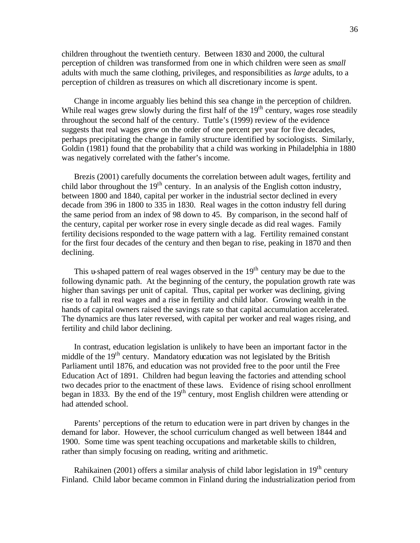children throughout the twentieth century. Between 1830 and 2000, the cultural perception of children was transformed from one in which children were seen as *small* adults with much the same clothing, privileges, and responsibilities as *large* adults, to a perception of children as treasures on which all discretionary income is spent.

Change in income arguably lies behind this sea change in the perception of children. While real wages grew slowly during the first half of the  $19<sup>th</sup>$  century, wages rose steadily throughout the second half of the century. Tuttle's (1999) review of the evidence suggests that real wages grew on the order of one percent per year for five decades, perhaps precipitating the change in family structure identified by sociologists. Similarly, Goldin (1981) found that the probability that a child was working in Philadelphia in 1880 was negatively correlated with the father's income.

Brezis (2001) carefully documents the correlation between adult wages, fertility and child labor throughout the  $19<sup>th</sup>$  century. In an analysis of the English cotton industry, between 1800 and 1840, capital per worker in the industrial sector declined in every decade from 396 in 1800 to 335 in 1830. Real wages in the cotton industry fell during the same period from an index of 98 down to 45. By comparison, in the second half of the century, capital per worker rose in every single decade as did real wages. Family fertility decisions responded to the wage pattern with a lag. Fertility remained constant for the first four decades of the century and then began to rise, peaking in 1870 and then declining.

This u-shaped pattern of real wages observed in the  $19<sup>th</sup>$  century may be due to the following dynamic path. At the beginning of the century, the population growth rate was higher than savings per unit of capital. Thus, capital per worker was declining, giving rise to a fall in real wages and a rise in fertility and child labor. Growing wealth in the hands of capital owners raised the savings rate so that capital accumulation accelerated. The dynamics are thus later reversed, with capital per worker and real wages rising, and fertility and child labor declining.

In contrast, education legislation is unlikely to have been an important factor in the middle of the  $19<sup>th</sup>$  century. Mandatory education was not legislated by the British Parliament until 1876, and education was not provided free to the poor until the Free Education Act of 1891. Children had begun leaving the factories and attending school two decades prior to the enactment of these laws. Evidence of rising school enrollment began in 1833. By the end of the  $19<sup>th</sup>$  century, most English children were attending or had attended school.

Parents' perceptions of the return to education were in part driven by changes in the demand for labor. However, the school curriculum changed as well between 1844 and 1900. Some time was spent teaching occupations and marketable skills to children, rather than simply focusing on reading, writing and arithmetic.

Rahikainen (2001) offers a similar analysis of child labor legislation in  $19<sup>th</sup>$  century Finland. Child labor became common in Finland during the industrialization period from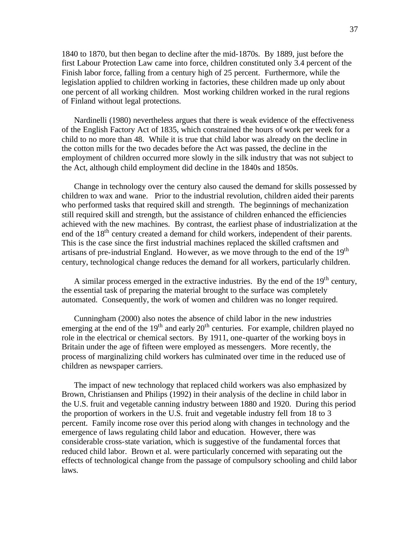1840 to 1870, but then began to decline after the mid-1870s. By 1889, just before the first Labour Protection Law came into force, children constituted only 3.4 percent of the Finish labor force, falling from a century high of 25 percent. Furthermore, while the legislation applied to children working in factories, these children made up only about one percent of all working children. Most working children worked in the rural regions of Finland without legal protections.

Nardinelli (1980) nevertheless argues that there is weak evidence of the effectiveness of the English Factory Act of 1835, which constrained the hours of work per week for a child to no more than 48. While it is true that child labor was already on the decline in the cotton mills for the two decades before the Act was passed, the decline in the employment of children occurred more slowly in the silk industry that was not subject to the Act, although child employment did decline in the 1840s and 1850s.

Change in technology over the century also caused the demand for skills possessed by children to wax and wane. Prior to the industrial revolution, children aided their parents who performed tasks that required skill and strength. The beginnings of mechanization still required skill and strength, but the assistance of children enhanced the efficiencies achieved with the new machines. By contrast, the earliest phase of industrialization at the end of the 18<sup>th</sup> century created a demand for child workers, independent of their parents. This is the case since the first industrial machines replaced the skilled craftsmen and artisans of pre-industrial England. However, as we move through to the end of the 19<sup>th</sup> century, technological change reduces the demand for all workers, particularly children.

A similar process emerged in the extractive industries. By the end of the  $19<sup>th</sup>$  century, the essential task of preparing the material brought to the surface was completely automated. Consequently, the work of women and children was no longer required.

Cunningham (2000) also notes the absence of child labor in the new industries emerging at the end of the  $19<sup>th</sup>$  and early  $20<sup>th</sup>$  centuries. For example, children played no role in the electrical or chemical sectors. By 1911, one-quarter of the working boys in Britain under the age of fifteen were employed as messengers. More recently, the process of marginalizing child workers has culminated over time in the reduced use of children as newspaper carriers.

The impact of new technology that replaced child workers was also emphasized by Brown, Christiansen and Philips (1992) in their analysis of the decline in child labor in the U.S. fruit and vegetable canning industry between 1880 and 1920. During this period the proportion of workers in the U.S. fruit and vegetable industry fell from 18 to 3 percent. Family income rose over this period along with changes in technology and the emergence of laws regulating child labor and education. However, there was considerable cross-state variation, which is suggestive of the fundamental forces that reduced child labor. Brown et al. were particularly concerned with separating out the effects of technological change from the passage of compulsory schooling and child labor laws.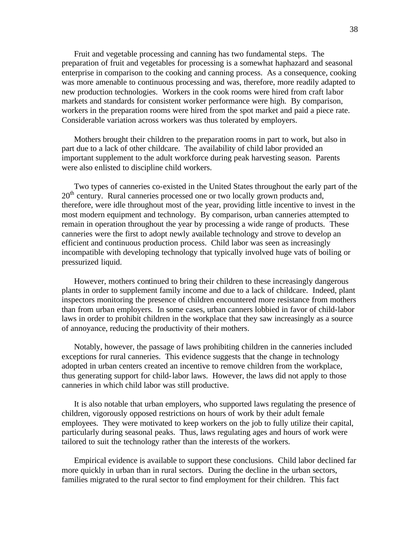Fruit and vegetable processing and canning has two fundamental steps. The preparation of fruit and vegetables for processing is a somewhat haphazard and seasonal enterprise in comparison to the cooking and canning process. As a consequence, cooking was more amenable to continuous processing and was, therefore, more readily adapted to new production technologies. Workers in the cook rooms were hired from craft labor markets and standards for consistent worker performance were high. By comparison, workers in the preparation rooms were hired from the spot market and paid a piece rate. Considerable variation across workers was thus tolerated by employers.

Mothers brought their children to the preparation rooms in part to work, but also in part due to a lack of other childcare. The availability of child labor provided an important supplement to the adult workforce during peak harvesting season. Parents were also enlisted to discipline child workers.

Two types of canneries co-existed in the United States throughout the early part of the 20<sup>th</sup> century. Rural canneries processed one or two locally grown products and, therefore, were idle throughout most of the year, providing little incentive to invest in the most modern equipment and technology. By comparison, urban canneries attempted to remain in operation throughout the year by processing a wide range of products. These canneries were the first to adopt newly available technology and strove to develop an efficient and continuous production process. Child labor was seen as increasingly incompatible with developing technology that typically involved huge vats of boiling or pressurized liquid.

However, mothers continued to bring their children to these increasingly dangerous plants in order to supplement family income and due to a lack of childcare. Indeed, plant inspectors monitoring the presence of children encountered more resistance from mothers than from urban employers. In some cases, urban canners lobbied in favor of child-labor laws in order to prohibit children in the workplace that they saw increasingly as a source of annoyance, reducing the productivity of their mothers.

Notably, however, the passage of laws prohibiting children in the canneries included exceptions for rural canneries. This evidence suggests that the change in technology adopted in urban centers created an incentive to remove children from the workplace, thus generating support for child-labor laws. However, the laws did not apply to those canneries in which child labor was still productive.

It is also notable that urban employers, who supported laws regulating the presence of children, vigorously opposed restrictions on hours of work by their adult female employees. They were motivated to keep workers on the job to fully utilize their capital, particularly during seasonal peaks. Thus, laws regulating ages and hours of work were tailored to suit the technology rather than the interests of the workers.

Empirical evidence is available to support these conclusions. Child labor declined far more quickly in urban than in rural sectors. During the decline in the urban sectors, families migrated to the rural sector to find employment for their children. This fact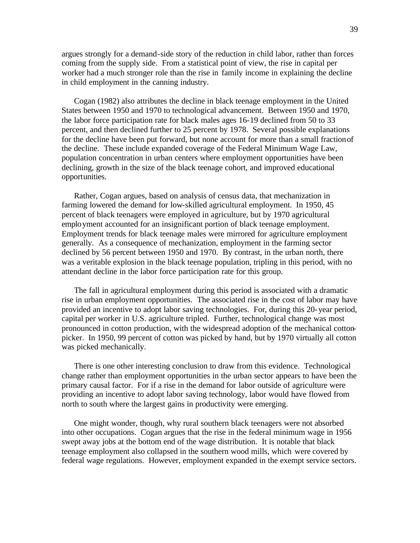argues strongly for a demand-side story of the reduction in child labor, rather than forces coming from the supply side. From a statistical point of view, the rise in capital per worker had a much stronger role than the rise in family income in explaining the decline in child employment in the canning industry.

Cogan (1982) also attributes the decline in black teenage employment in the United States between 1950 and 1970 to technological advancement. Between 1950 and 1970, the labor force participation rate for black males ages 16-19 declined from 50 to 33 percent, and then declined further to 25 percent by 1978. Several possible explanations for the decline have been put forward, but none account for more than a small fraction of the decline. These include expanded coverage of the Federal Minimum Wage Law, population concentration in urban centers where employment opportunities have been declining, growth in the size of the black teenage cohort, and improved educational opportunities.

Rather, Cogan argues, based on analysis of census data, that mechanization in farming lowered the demand for low-skilled agricultural employment. In 1950, 45 percent of black teenagers were employed in agriculture, but by 1970 agricultural employment accounted for an insignificant portion of black teenage employment. Employment trends for black teenage males were mirrored for agriculture employment generally. As a consequence of mechanization, employment in the farming sector declined by 56 percent between 1950 and 1970. By contrast, in the urban north, there was a veritable explosion in the black teenage population, tripling in this period, with no attendant decline in the labor force participation rate for this group.

The fall in agricultural employment during this period is associated with a dramatic rise in urban employment opportunities. The associated rise in the cost of labor may have provided an incentive to adopt labor saving technologies. For, during this 20-year period, capital per worker in U.S. agriculture tripled. Further, technological change was most pronounced in cotton production, with the widespread adoption of the mechanical cottonpicker. In 1950, 99 percent of cotton was picked by hand, but by 1970 virtually all cotton was picked mechanically.

There is one other interesting conclusion to draw from this evidence. Technological change rather than employment opportunities in the urban sector appears to have been the primary causal factor. For if a rise in the demand for labor outside of agriculture were providing an incentive to adopt labor saving technology, labor would have flowed from north to south where the largest gains in productivity were emerging.

One might wonder, though, why rural southern black teenagers were not absorbed into other occupations. Cogan argues that the rise in the federal minimum wage in 1956 swept away jobs at the bottom end of the wage distribution. It is notable that black teenage employment also collapsed in the southern wood mills, which were covered by federal wage regulations. However, employment expanded in the exempt service sectors.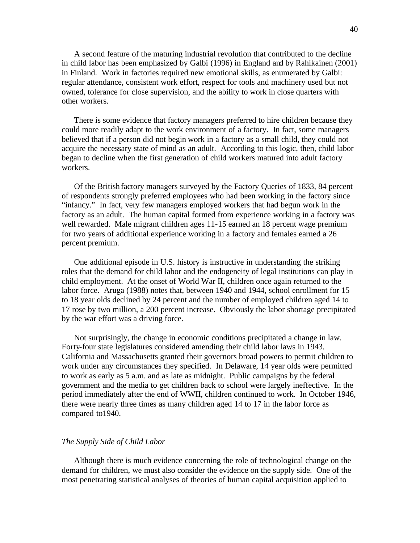A second feature of the maturing industrial revolution that contributed to the decline in child labor has been emphasized by Galbi (1996) in England and by Rahikainen (2001) in Finland. Work in factories required new emotional skills, as enumerated by Galbi: regular attendance, consistent work effort, respect for tools and machinery used but not owned, tolerance for close supervision, and the ability to work in close quarters with other workers.

There is some evidence that factory managers preferred to hire children because they could more readily adapt to the work environment of a factory. In fact, some managers believed that if a person did not begin work in a factory as a small child, they could not acquire the necessary state of mind as an adult. According to this logic, then, child labor began to decline when the first generation of child workers matured into adult factory workers.

Of the British factory managers surveyed by the Factory Queries of 1833, 84 percent of respondents strongly preferred employees who had been working in the factory since "infancy." In fact, very few managers employed workers that had begun work in the factory as an adult. The human capital formed from experience working in a factory was well rewarded. Male migrant children ages 11-15 earned an 18 percent wage premium for two years of additional experience working in a factory and females earned a 26 percent premium.

One additional episode in U.S. history is instructive in understanding the striking roles that the demand for child labor and the endogeneity of legal institutions can play in child employment. At the onset of World War II, children once again returned to the labor force. Aruga (1988) notes that, between 1940 and 1944, school enrollment for 15 to 18 year olds declined by 24 percent and the number of employed children aged 14 to 17 rose by two million, a 200 percent increase. Obviously the labor shortage precipitated by the war effort was a driving force.

Not surprisingly, the change in economic conditions precipitated a change in law. Forty-four state legislatures considered amending their child labor laws in 1943. California and Massachusetts granted their governors broad powers to permit children to work under any circumstances they specified. In Delaware, 14 year olds were permitted to work as early as 5 a.m. and as late as midnight. Public campaigns by the federal government and the media to get children back to school were largely ineffective. In the period immediately after the end of WWII, children continued to work. In October 1946, there were nearly three times as many children aged 14 to 17 in the labor force as compared to1940.

## *The Supply Side of Child Labor*

Although there is much evidence concerning the role of technological change on the demand for children, we must also consider the evidence on the supply side. One of the most penetrating statistical analyses of theories of human capital acquisition applied to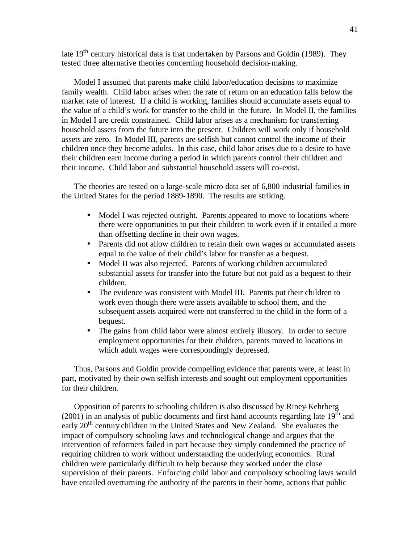late 19<sup>th</sup> century historical data is that undertaken by Parsons and Goldin (1989). They tested three alternative theories concerning household decision-making.

Model I assumed that parents make child labor/education decisions to maximize family wealth. Child labor arises when the rate of return on an education falls below the market rate of interest. If a child is working, families should accumulate assets equal to the value of a child's work for transfer to the child in the future. In Model II, the families in Model I are credit constrained. Child labor arises as a mechanism for transferring household assets from the future into the present. Children will work only if household assets are zero. In Model III, parents are selfish but cannot control the income of their children once they become adults. In this case, child labor arises due to a desire to have their children earn income during a period in which parents control their children and their income. Child labor and substantial household assets will co-exist.

The theories are tested on a large-scale micro data set of 6,800 industrial families in the United States for the period 1889-1890. The results are striking.

- Model I was rejected outright. Parents appeared to move to locations where there were opportunities to put their children to work even if it entailed a more than offsetting decline in their own wages.
- Parents did not allow children to retain their own wages or accumulated assets equal to the value of their child's labor for transfer as a bequest.
- Model II was also rejected. Parents of working children accumulated substantial assets for transfer into the future but not paid as a bequest to their children.
- The evidence was consistent with Model III. Parents put their children to work even though there were assets available to school them, and the subsequent assets acquired were not transferred to the child in the form of a bequest.
- The gains from child labor were almost entirely illusory. In order to secure employment opportunities for their children, parents moved to locations in which adult wages were correspondingly depressed.

Thus, Parsons and Goldin provide compelling evidence that parents were, at least in part, motivated by their own selfish interests and sought out employment opportunities for their children.

Opposition of parents to schooling children is also discussed by Riney-Kehrberg  $(2001)$  in an analysis of public documents and first hand accounts regarding late  $19<sup>th</sup>$  and early 20<sup>th</sup> century children in the United States and New Zealand. She evaluates the impact of compulsory schooling laws and technological change and argues that the intervention of reformers failed in part because they simply condemned the practice of requiring children to work without understanding the underlying economics. Rural children were particularly difficult to help because they worked under the close supervision of their parents. Enforcing child labor and compulsory schooling laws would have entailed overturning the authority of the parents in their home, actions that public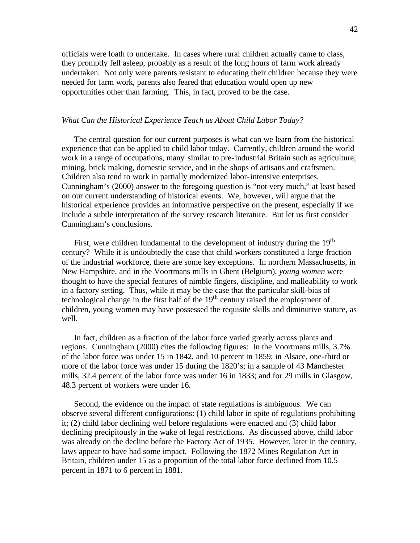officials were loath to undertake. In cases where rural children actually came to class, they promptly fell asleep, probably as a result of the long hours of farm work already undertaken. Not only were parents resistant to educating their children because they were needed for farm work, parents also feared that education would open up new opportunities other than farming. This, in fact, proved to be the case.

## *What Can the Historical Experience Teach us About Child Labor Today?*

The central question for our current purposes is what can we learn from the historical experience that can be applied to child labor today. Currently, children around the world work in a range of occupations, many similar to pre-industrial Britain such as agriculture, mining, brick making, domestic service, and in the shops of artisans and craftsmen. Children also tend to work in partially modernized labor-intensive enterprises. Cunningham's (2000) answer to the foregoing question is "not very much," at least based on our current understanding of historical events. We, however, will argue that the historical experience provides an informative perspective on the present, especially if we include a subtle interpretation of the survey research literature. But let us first consider Cunningham's conclusions.

First, were children fundamental to the development of industry during the 19<sup>th</sup> century? While it is undoubtedly the case that child workers constituted a large fraction of the industrial workforce, there are some key exceptions. In northern Massachusetts, in New Hampshire, and in the Voortmans mills in Ghent (Belgium), *young women* were thought to have the special features of nimble fingers, discipline, and malleability to work in a factory setting. Thus, while it may be the case that the particular skill-bias of technological change in the first half of the  $19<sup>th</sup>$  century raised the employment of children, young women may have possessed the requisite skills and diminutive stature, as well.

In fact, children as a fraction of the labor force varied greatly across plants and regions. Cunningham (2000) cites the following figures: In the Voortmans mills, 3.7% of the labor force was under 15 in 1842, and 10 percent in 1859; in Alsace, one-third or more of the labor force was under 15 during the 1820's; in a sample of 43 Manchester mills, 32.4 percent of the labor force was under 16 in 1833; and for 29 mills in Glasgow, 48.3 percent of workers were under 16.

Second, the evidence on the impact of state regulations is ambiguous. We can observe several different configurations: (1) child labor in spite of regulations prohibiting it; (2) child labor declining well before regulations were enacted and (3) child labor declining precipitously in the wake of legal restrictions. As discussed above, child labor was already on the decline before the Factory Act of 1935. However, later in the century, laws appear to have had some impact. Following the 1872 Mines Regulation Act in Britain, children under 15 as a proportion of the total labor force declined from 10.5 percent in 1871 to 6 percent in 1881.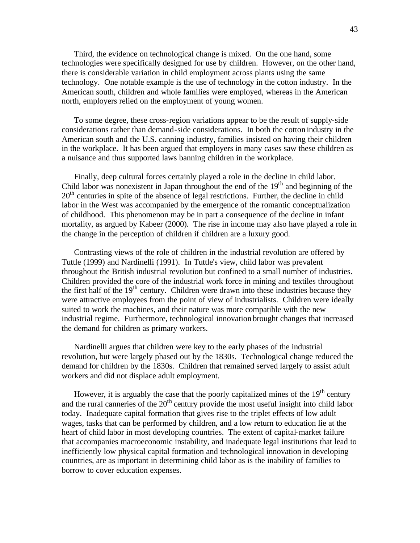Third, the evidence on technological change is mixed. On the one hand, some technologies were specifically designed for use by children. However, on the other hand, there is considerable variation in child employment across plants using the same technology. One notable example is the use of technology in the cotton industry. In the American south, children and whole families were employed, whereas in the American north, employers relied on the employment of young women.

To some degree, these cross-region variations appear to be the result of supply-side considerations rather than demand-side considerations. In both the cotton industry in the American south and the U.S. canning industry, families insisted on having their children in the workplace. It has been argued that employers in many cases saw these children as a nuisance and thus supported laws banning children in the workplace.

Finally, deep cultural forces certainly played a role in the decline in child labor. Child labor was nonexistent in Japan throughout the end of the  $19<sup>th</sup>$  and beginning of the  $20<sup>th</sup>$  centuries in spite of the absence of legal restrictions. Further, the decline in child labor in the West was accompanied by the emergence of the romantic conceptualization of childhood. This phenomenon may be in part a consequence of the decline in infant mortality, as argued by Kabeer (2000). The rise in income may also have played a role in the change in the perception of children if children are a luxury good.

Contrasting views of the role of children in the industrial revolution are offered by Tuttle (1999) and Nardinelli (1991). In Tuttle's view, child labor was prevalent throughout the British industrial revolution but confined to a small number of industries. Children provided the core of the industrial work force in mining and textiles throughout the first half of the  $19<sup>th</sup>$  century. Children were drawn into these industries because they were attractive employees from the point of view of industrialists. Children were ideally suited to work the machines, and their nature was more compatible with the new industrial regime. Furthermore, technological innovation brought changes that increased the demand for children as primary workers.

Nardinelli argues that children were key to the early phases of the industrial revolution, but were largely phased out by the 1830s. Technological change reduced the demand for children by the 1830s. Children that remained served largely to assist adult workers and did not displace adult employment.

However, it is arguably the case that the poorly capitalized mines of the  $19<sup>th</sup>$  century and the rural canneries of the  $20<sup>th</sup>$  century provide the most useful insight into child labor today. Inadequate capital formation that gives rise to the triplet effects of low adult wages, tasks that can be performed by children, and a low return to education lie at the heart of child labor in most developing countries. The extent of capital-market failure that accompanies macroeconomic instability, and inadequate legal institutions that lead to inefficiently low physical capital formation and technological innovation in developing countries, are as important in determining child labor as is the inability of families to borrow to cover education expenses.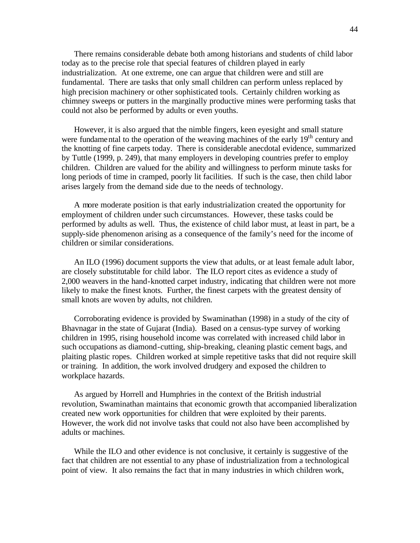There remains considerable debate both among historians and students of child labor today as to the precise role that special features of children played in early industrialization. At one extreme, one can argue that children were and still are fundamental. There are tasks that only small children can perform unless replaced by high precision machinery or other sophisticated tools. Certainly children working as chimney sweeps or putters in the marginally productive mines were performing tasks that could not also be performed by adults or even youths.

However, it is also argued that the nimble fingers, keen eyesight and small stature were fundamental to the operation of the weaving machines of the early  $19<sup>th</sup>$  century and the knotting of fine carpets today. There is considerable anecdotal evidence, summarized by Tuttle (1999, p. 249), that many employers in developing countries prefer to employ children. Children are valued for the ability and willingness to perform minute tasks for long periods of time in cramped, poorly lit facilities. If such is the case, then child labor arises largely from the demand side due to the needs of technology.

A more moderate position is that early industrialization created the opportunity for employment of children under such circumstances. However, these tasks could be performed by adults as well. Thus, the existence of child labor must, at least in part, be a supply-side phenomenon arising as a consequence of the family's need for the income of children or similar considerations.

An ILO (1996) document supports the view that adults, or at least female adult labor, are closely substitutable for child labor. The ILO report cites as evidence a study of 2,000 weavers in the hand-knotted carpet industry, indicating that children were not more likely to make the finest knots. Further, the finest carpets with the greatest density of small knots are woven by adults, not children.

Corroborating evidence is provided by Swaminathan (1998) in a study of the city of Bhavnagar in the state of Gujarat (India). Based on a census-type survey of working children in 1995, rising household income was correlated with increased child labor in such occupations as diamond-cutting, ship-breaking, cleaning plastic cement bags, and plaiting plastic ropes. Children worked at simple repetitive tasks that did not require skill or training. In addition, the work involved drudgery and exposed the children to workplace hazards.

As argued by Horrell and Humphries in the context of the British industrial revolution, Swaminathan maintains that economic growth that accompanied liberalization created new work opportunities for children that were exploited by their parents. However, the work did not involve tasks that could not also have been accomplished by adults or machines.

While the ILO and other evidence is not conclusive, it certainly is suggestive of the fact that children are not essential to any phase of industrialization from a technological point of view. It also remains the fact that in many industries in which children work,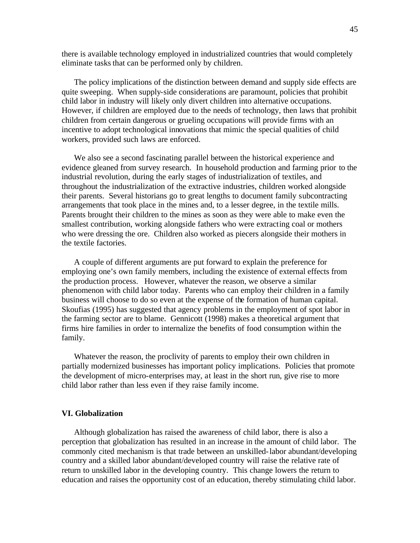there is available technology employed in industrialized countries that would completely eliminate tasks that can be performed only by children.

The policy implications of the distinction between demand and supply side effects are quite sweeping. When supply-side considerations are paramount, policies that prohibit child labor in industry will likely only divert children into alternative occupations. However, if children are employed due to the needs of technology, then laws that prohibit children from certain dangerous or grueling occupations will provide firms with an incentive to adopt technological innovations that mimic the special qualities of child workers, provided such laws are enforced.

We also see a second fascinating parallel between the historical experience and evidence gleaned from survey research. In household production and farming prior to the industrial revolution, during the early stages of industrialization of textiles, and throughout the industrialization of the extractive industries, children worked alongside their parents. Several historians go to great lengths to document family subcontracting arrangements that took place in the mines and, to a lesser degree, in the textile mills. Parents brought their children to the mines as soon as they were able to make even the smallest contribution, working alongside fathers who were extracting coal or mothers who were dressing the ore. Children also worked as piecers alongside their mothers in the textile factories.

A couple of different arguments are put forward to explain the preference for employing one's own family members, including the existence of external effects from the production process. However, whatever the reason, we observe a similar phenomenon with child labor today. Parents who can employ their children in a family business will choose to do so even at the expense of the formation of human capital. Skoufias (1995) has suggested that agency problems in the employment of spot labor in the farming sector are to blame. Gennicott (1998) makes a theoretical argument that firms hire families in order to internalize the benefits of food consumption within the family.

Whatever the reason, the proclivity of parents to employ their own children in partially modernized businesses has important policy implications. Policies that promote the development of micro-enterprises may, at least in the short run, give rise to more child labor rather than less even if they raise family income.

#### **VI. Globalization**

Although globalization has raised the awareness of child labor, there is also a perception that globalization has resulted in an increase in the amount of child labor. The commonly cited mechanism is that trade between an unskilled-labor abundant/developing country and a skilled labor abundant/developed country will raise the relative rate of return to unskilled labor in the developing country. This change lowers the return to education and raises the opportunity cost of an education, thereby stimulating child labor.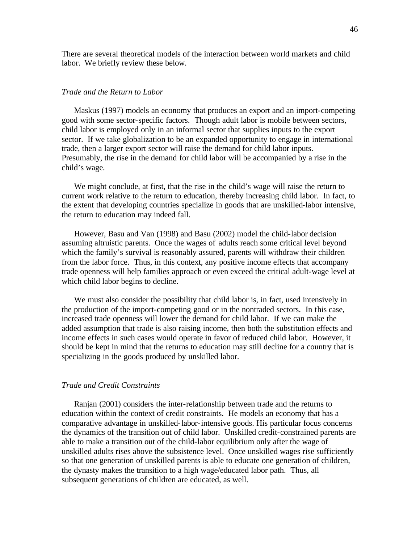There are several theoretical models of the interaction between world markets and child labor. We briefly review these below.

# *Trade and the Return to Labor*

Maskus (1997) models an economy that produces an export and an import-competing good with some sector-specific factors. Though adult labor is mobile between sectors, child labor is employed only in an informal sector that supplies inputs to the export sector. If we take globalization to be an expanded opportunity to engage in international trade, then a larger export sector will raise the demand for child labor inputs. Presumably, the rise in the demand for child labor will be accompanied by a rise in the child's wage.

We might conclude, at first, that the rise in the child's wage will raise the return to current work relative to the return to education, thereby increasing child labor. In fact, to the extent that developing countries specialize in goods that are unskilled-labor intensive, the return to education may indeed fall.

However, Basu and Van (1998) and Basu (2002) model the child-labor decision assuming altruistic parents. Once the wages of adults reach some critical level beyond which the family's survival is reasonably assured, parents will withdraw their children from the labor force. Thus, in this context, any positive income effects that accompany trade openness will help families approach or even exceed the critical adult-wage level at which child labor begins to decline.

We must also consider the possibility that child labor is, in fact, used intensively in the production of the import-competing good or in the nontraded sectors. In this case, increased trade openness will lower the demand for child labor. If we can make the added assumption that trade is also raising income, then both the substitution effects and income effects in such cases would operate in favor of reduced child labor. However, it should be kept in mind that the returns to education may still decline for a country that is specializing in the goods produced by unskilled labor.

# *Trade and Credit Constraints*

Ranjan (2001) considers the inter-relationship between trade and the returns to education within the context of credit constraints. He models an economy that has a comparative advantage in unskilled-labor-intensive goods. His particular focus concerns the dynamics of the transition out of child labor. Unskilled credit-constrained parents are able to make a transition out of the child-labor equilibrium only after the wage of unskilled adults rises above the subsistence level. Once unskilled wages rise sufficiently so that one generation of unskilled parents is able to educate one generation of children, the dynasty makes the transition to a high wage/educated labor path. Thus, all subsequent generations of children are educated, as well.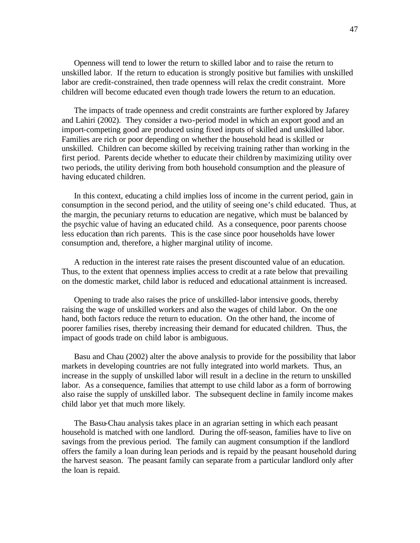Openness will tend to lower the return to skilled labor and to raise the return to unskilled labor. If the return to education is strongly positive but families with unskilled labor are credit-constrained, then trade openness will relax the credit constraint. More children will become educated even though trade lowers the return to an education.

The impacts of trade openness and credit constraints are further explored by Jafarey and Lahiri (2002). They consider a two-period model in which an export good and an import-competing good are produced using fixed inputs of skilled and unskilled labor. Families are rich or poor depending on whether the household head is skilled or unskilled. Children can become skilled by receiving training rather than working in the first period. Parents decide whether to educate their children by maximizing utility over two periods, the utility deriving from both household consumption and the pleasure of having educated children.

In this context, educating a child implies loss of income in the current period, gain in consumption in the second period, and the utility of seeing one's child educated. Thus, at the margin, the pecuniary returns to education are negative, which must be balanced by the psychic value of having an educated child. As a consequence, poor parents choose less education than rich parents. This is the case since poor households have lower consumption and, therefore, a higher marginal utility of income.

A reduction in the interest rate raises the present discounted value of an education. Thus, to the extent that openness implies access to credit at a rate below that prevailing on the domestic market, child labor is reduced and educational attainment is increased.

Opening to trade also raises the price of unskilled-labor intensive goods, thereby raising the wage of unskilled workers and also the wages of child labor. On the one hand, both factors reduce the return to education. On the other hand, the income of poorer families rises, thereby increasing their demand for educated children. Thus, the impact of goods trade on child labor is ambiguous.

Basu and Chau (2002) alter the above analysis to provide for the possibility that labor markets in developing countries are not fully integrated into world markets. Thus, an increase in the supply of unskilled labor will result in a decline in the return to unskilled labor. As a consequence, families that attempt to use child labor as a form of borrowing also raise the supply of unskilled labor. The subsequent decline in family income makes child labor yet that much more likely.

The Basu-Chau analysis takes place in an agrarian setting in which each peasant household is matched with one landlord. During the off-season, families have to live on savings from the previous period. The family can augment consumption if the landlord offers the family a loan during lean periods and is repaid by the peasant household during the harvest season. The peasant family can separate from a particular landlord only after the loan is repaid.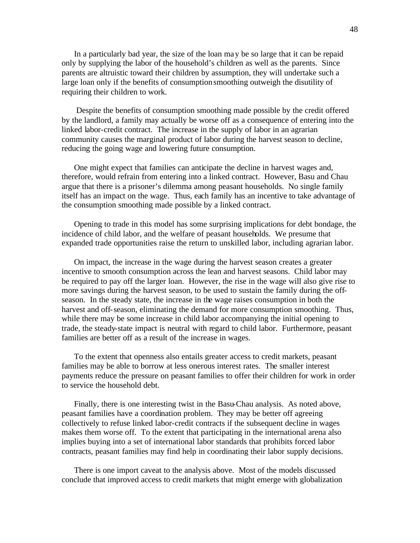In a particularly bad year, the size of the loan may be so large that it can be repaid only by supplying the labor of the household's children as well as the parents. Since parents are altruistic toward their children by assumption, they will undertake such a large loan only if the benefits of consumption smoothing outweigh the disutility of requiring their children to work.

 Despite the benefits of consumption smoothing made possible by the credit offered by the landlord, a family may actually be worse off as a consequence of entering into the linked labor-credit contract. The increase in the supply of labor in an agrarian community causes the marginal product of labor during the harvest season to decline, reducing the going wage and lowering future consumption.

One might expect that families can anticipate the decline in harvest wages and, therefore, would refrain from entering into a linked contract. However, Basu and Chau argue that there is a prisoner's dilemma among peasant households. No single family itself has an impact on the wage. Thus, each family has an incentive to take advantage of the consumption smoothing made possible by a linked contract.

Opening to trade in this model has some surprising implications for debt bondage, the incidence of child labor, and the welfare of peasant households. We presume that expanded trade opportunities raise the return to unskilled labor, including agrarian labor.

On impact, the increase in the wage during the harvest season creates a greater incentive to smooth consumption across the lean and harvest seasons. Child labor may be required to pay off the larger loan. However, the rise in the wage will also give rise to more savings during the harvest season, to be used to sustain the family during the offseason. In the steady state, the increase in the wage raises consumption in both the harvest and off-season, eliminating the demand for more consumption smoothing. Thus, while there may be some increase in child labor accompanying the initial opening to trade, the steady-state impact is neutral with regard to child labor. Furthermore, peasant families are better off as a result of the increase in wages.

To the extent that openness also entails greater access to credit markets, peasant families may be able to borrow at less onerous interest rates. The smaller interest payments reduce the pressure on peasant families to offer their children for work in order to service the household debt.

Finally, there is one interesting twist in the Basu-Chau analysis. As noted above, peasant families have a coordination problem. They may be better off agreeing collectively to refuse linked labor-credit contracts if the subsequent decline in wages makes them worse off. To the extent that participating in the international arena also implies buying into a set of international labor standards that prohibits forced labor contracts, peasant families may find help in coordinating their labor supply decisions.

There is one import caveat to the analysis above. Most of the models discussed conclude that improved access to credit markets that might emerge with globalization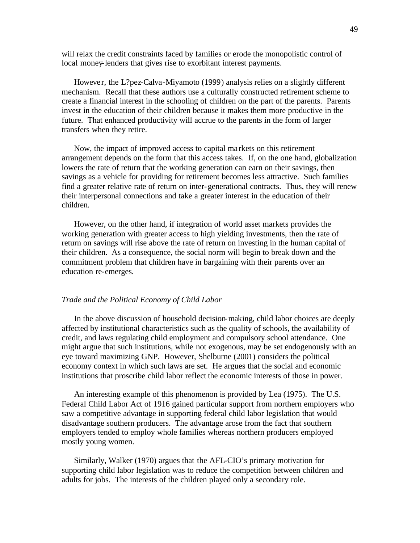will relax the credit constraints faced by families or erode the monopolistic control of local money-lenders that gives rise to exorbitant interest payments.

However, the L?pez-Calva-Miyamoto (1999) analysis relies on a slightly different mechanism. Recall that these authors use a culturally constructed retirement scheme to create a financial interest in the schooling of children on the part of the parents. Parents invest in the education of their children because it makes them more productive in the future. That enhanced productivity will accrue to the parents in the form of larger transfers when they retire.

Now, the impact of improved access to capital ma rkets on this retirement arrangement depends on the form that this access takes. If, on the one hand, globalization lowers the rate of return that the working generation can earn on their savings, then savings as a vehicle for providing for retirement becomes less attractive. Such families find a greater relative rate of return on inter-generational contracts. Thus, they will renew their interpersonal connections and take a greater interest in the education of their children.

However, on the other hand, if integration of world asset markets provides the working generation with greater access to high yielding investments, then the rate of return on savings will rise above the rate of return on investing in the human capital of their children. As a consequence, the social norm will begin to break down and the commitment problem that children have in bargaining with their parents over an education re-emerges.

#### *Trade and the Political Economy of Child Labor*

In the above discussion of household decision-making, child labor choices are deeply affected by institutional characteristics such as the quality of schools, the availability of credit, and laws regulating child employment and compulsory school attendance. One might argue that such institutions, while not exogenous, may be set endogenously with an eye toward maximizing GNP. However, Shelburne (2001) considers the political economy context in which such laws are set. He argues that the social and economic institutions that proscribe child labor reflect the economic interests of those in power.

An interesting example of this phenomenon is provided by Lea (1975). The U.S. Federal Child Labor Act of 1916 gained particular support from northern employers who saw a competitive advantage in supporting federal child labor legislation that would disadvantage southern producers. The advantage arose from the fact that southern employers tended to employ whole families whereas northern producers employed mostly young women.

Similarly, Walker (1970) argues that the AFL-CIO's primary motivation for supporting child labor legislation was to reduce the competition between children and adults for jobs. The interests of the children played only a secondary role.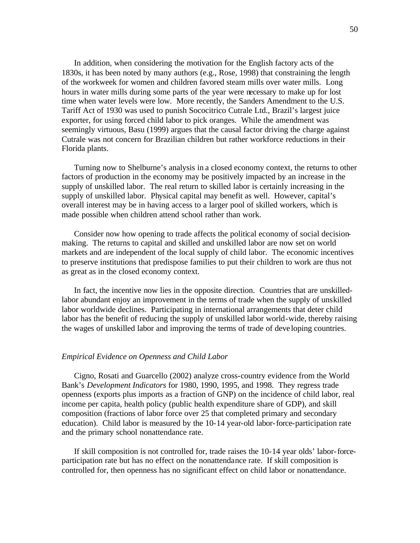In addition, when considering the motivation for the English factory acts of the 1830s, it has been noted by many authors (e.g., Rose, 1998) that constraining the length of the workweek for women and children favored steam mills over water mills. Long hours in water mills during some parts of the year were necessary to make up for lost time when water levels were low. More recently, the Sanders Amendment to the U.S. Tariff Act of 1930 was used to punish Sococitrico Cutrale Ltd., Brazil's largest juice exporter, for using forced child labor to pick oranges. While the amendment was seemingly virtuous, Basu (1999) argues that the causal factor driving the charge against Cutrale was not concern for Brazilian children but rather workforce reductions in their Florida plants.

Turning now to Shelburne's analysis in a closed economy context, the returns to other factors of production in the economy may be positively impacted by an increase in the supply of unskilled labor. The real return to skilled labor is certainly increasing in the supply of unskilled labor. Physical capital may benefit as well. However, capital's overall interest may be in having access to a larger pool of skilled workers, which is made possible when children attend school rather than work.

Consider now how opening to trade affects the political economy of social decisionmaking. The returns to capital and skilled and unskilled labor are now set on world markets and are independent of the local supply of child labor. The economic incentives to preserve institutions that predispose families to put their children to work are thus not as great as in the closed economy context.

In fact, the incentive now lies in the opposite direction. Countries that are unskilledlabor abundant enjoy an improvement in the terms of trade when the supply of unskilled labor worldwide declines. Participating in international arrangements that deter child labor has the benefit of reducing the supply of unskilled labor world-wide, thereby raising the wages of unskilled labor and improving the terms of trade of deve loping countries.

#### *Empirical Evidence on Openness and Child Labor*

Cigno, Rosati and Guarcello (2002) analyze cross-country evidence from the World Bank's *Development Indicators* for 1980, 1990, 1995, and 1998. They regress trade openness (exports plus imports as a fraction of GNP) on the incidence of child labor, real income per capita, health policy (public health expenditure share of GDP), and skill composition (fractions of labor force over 25 that completed primary and secondary education). Child labor is measured by the 10-14 year-old labor-force-participation rate and the primary school nonattendance rate.

If skill composition is not controlled for, trade raises the 10-14 year olds' labor-forceparticipation rate but has no effect on the nonattendance rate. If skill composition is controlled for, then openness has no significant effect on child labor or nonattendance.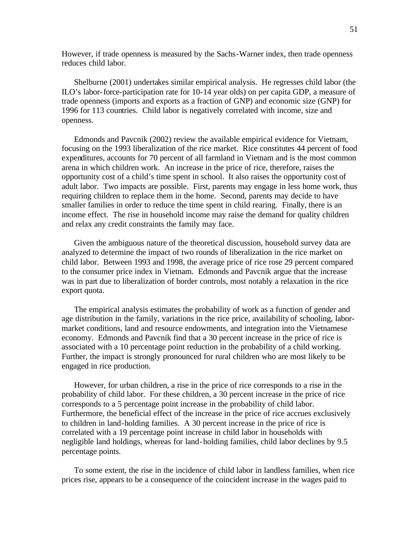However, if trade openness is measured by the Sachs-Warner index, then trade openness reduces child labor.

Shelburne (2001) undertakes similar empirical analysis. He regresses child labor (the ILO's labor-force-participation rate for 10-14 year olds) on per capita GDP, a measure of trade openness (imports and exports as a fraction of GNP) and economic size (GNP) for 1996 for 113 countries. Child labor is negatively correlated with income, size and openness.

Edmonds and Pavcnik (2002) review the available empirical evidence for Vietnam, focusing on the 1993 liberalization of the rice market. Rice constitutes 44 percent of food expenditures, accounts for 70 percent of all farmland in Vietnam and is the most common arena in which children work. An increase in the price of rice, therefore, raises the opportunity cost of a child's time spent in school. It also raises the opportunity cost of adult labor. Two impacts are possible. First, parents may engage in less home work, thus requiring children to replace them in the home. Second, parents may decide to have smaller families in order to reduce the time spent in child rearing. Finally, there is an income effect. The rise in household income may raise the demand for quality children and relax any credit constraints the family may face.

Given the ambiguous nature of the theoretical discussion, household survey data are analyzed to determine the impact of two rounds of liberalization in the rice market on child labor. Between 1993 and 1998, the average price of rice rose 29 percent compared to the consumer price index in Vietnam. Edmonds and Pavcnik argue that the increase was in part due to liberalization of border controls, most notably a relaxation in the rice export quota.

The empirical analysis estimates the probability of work as a function of gender and age distribution in the family, variations in the rice price, availability of schooling, labormarket conditions, land and resource endowments, and integration into the Vietnamese economy. Edmonds and Pavcnik find that a 30 percent increase in the price of rice is associated with a 10 percentage point reduction in the probability of a child working. Further, the impact is strongly pronounced for rural children who are most likely to be engaged in rice production.

However, for urban children, a rise in the price of rice corresponds to a rise in the probability of child labor. For these children, a 30 percent increase in the price of rice corresponds to a 5 percentage point increase in the probability of child labor. Furthermore, the beneficial effect of the increase in the price of rice accrues exclusively to children in land-holding families. A 30 percent increase in the price of rice is correlated with a 19 percentage point increase in child labor in households with negligible land holdings, whereas for land-holding families, child labor declines by 9.5 percentage points.

To some extent, the rise in the incidence of child labor in landless families, when rice prices rise, appears to be a consequence of the coincident increase in the wages paid to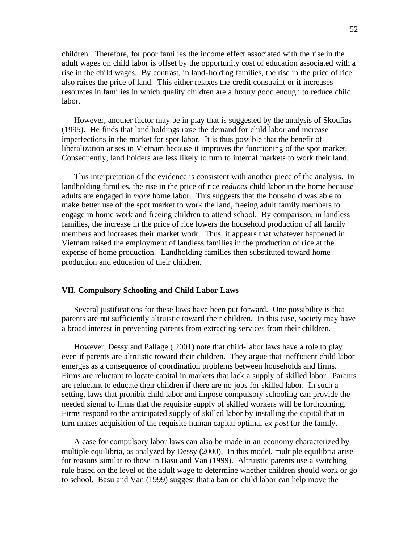children. Therefore, for poor families the income effect associated with the rise in the adult wages on child labor is offset by the opportunity cost of education associated with a rise in the child wages. By contrast, in land-holding families, the rise in the price of rice also raises the price of land. This either relaxes the credit constraint or it increases resources in families in which quality children are a luxury good enough to reduce child labor.

However, another factor may be in play that is suggested by the analysis of Skoufias (1995). He finds that land holdings raise the demand for child labor and increase imperfections in the market for spot labor. It is thus possible that the benefit of liberalization arises in Vietnam because it improves the functioning of the spot market. Consequently, land holders are less likely to turn to internal markets to work their land.

This interpretation of the evidence is consistent with another piece of the analysis. In landholding families, the rise in the price of rice *reduces* child labor in the home because adults are engaged in *more* home labor. This suggests that the household was able to make better use of the spot market to work the land, freeing adult family members to engage in home work and freeing children to attend school. By comparison, in landless families, the increase in the price of rice lowers the household production of all family members and increases their market work. Thus, it appears that whatever happened in Vietnam raised the employment of landless families in the production of rice at the expense of home production. Landholding families then substituted toward home production and education of their children.

## **VII. Compulsory Schooling and Child Labor Laws**

Several justifications for these laws have been put forward. One possibility is that parents are not sufficiently altruistic toward their children. In this case, society may have a broad interest in preventing parents from extracting services from their children.

However, Dessy and Pallage ( 2001) note that child-labor laws have a role to play even if parents are altruistic toward their children. They argue that inefficient child labor emerges as a consequence of coordination problems between households and firms. Firms are reluctant to locate capital in markets that lack a supply of skilled labor. Parents are reluctant to educate their children if there are no jobs for skilled labor. In such a setting, laws that prohibit child labor and impose compulsory schooling can provide the needed signal to firms that the requisite supply of skilled workers will be forthcoming. Firms respond to the anticipated supply of skilled labor by installing the capital that in turn makes acquisition of the requisite human capital optimal *ex post* for the family.

A case for compulsory labor laws can also be made in an economy characterized by multiple equilibria, as analyzed by Dessy (2000). In this model, multiple equilibria arise for reasons similar to those in Basu and Van (1999). Altruistic parents use a switching rule based on the level of the adult wage to determine whether children should work or go to school. Basu and Van (1999) suggest that a ban on child labor can help move the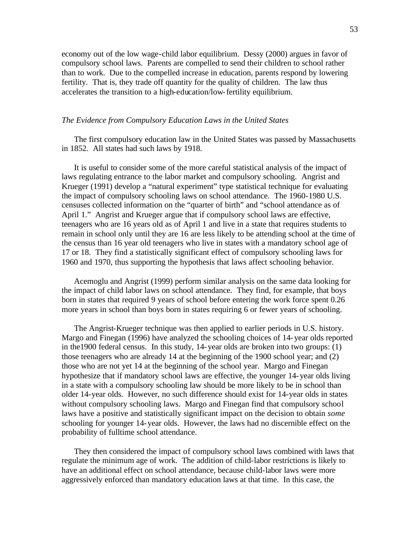economy out of the low wage-child labor equilibrium. Dessy (2000) argues in favor of compulsory school laws. Parents are compelled to send their children to school rather than to work. Due to the compelled increase in education, parents respond by lowering fertility. That is, they trade off quantity for the quality of children. The law thus accelerates the transition to a high-education/low-fertility equilibrium.

# *The Evidence from Compulsory Education Laws in the United States*

The first compulsory education law in the United States was passed by Massachusetts in 1852. All states had such laws by 1918.

It is useful to consider some of the more careful statistical analysis of the impact of laws regulating entrance to the labor market and compulsory schooling. Angrist and Krueger (1991) develop a "natural experiment" type statistical technique for evaluating the impact of compulsory schooling laws on school attendance. The 1960-1980 U.S. censuses collected information on the "quarter of birth" and "school attendance as of April 1." Angrist and Krueger argue that if compulsory school laws are effective, teenagers who are 16 years old as of April 1 and live in a state that requires students to remain in school only until they are 16 are less likely to be attending school at the time of the census than 16 year old teenagers who live in states with a mandatory school age of 17 or 18. They find a statistically significant effect of compulsory schooling laws for 1960 and 1970, thus supporting the hypothesis that laws affect schooling behavior.

Acemoglu and Angrist (1999) perform similar analysis on the same data looking for the impact of child labor laws on school attendance. They find, for example, that boys born in states that required 9 years of school before entering the work force spent 0.26 more years in school than boys born in states requiring 6 or fewer years of schooling.

The Angrist-Krueger technique was then applied to earlier periods in U.S. history. Margo and Finegan (1996) have analyzed the schooling choices of 14-year olds reported in the1900 federal census. In this study, 14-year olds are broken into two groups: (1) those teenagers who are already 14 at the beginning of the 1900 school year; and (2) those who are not yet 14 at the beginning of the school year. Margo and Finegan hypothesize that if mandatory school laws are effective, the younger 14-year olds living in a state with a compulsory schooling law should be more likely to be in school than older 14-year olds. However, no such difference should exist for 14-year olds in states without compulsory schooling laws. Margo and Finegan find that compulsory school laws have a positive and statistically significant impact on the decision to obtain *some* schooling for younger 14-year olds. However, the laws had no discernible effect on the probability of fulltime school attendance.

They then considered the impact of compulsory school laws combined with laws that regulate the minimum age of work. The addition of child-labor restrictions is likely to have an additional effect on school attendance, because child-labor laws were more aggressively enforced than mandatory education laws at that time. In this case, the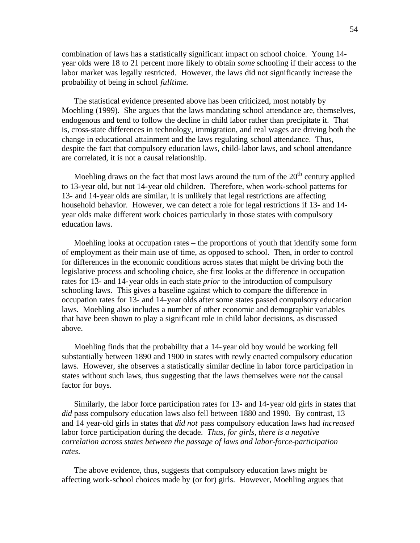combination of laws has a statistically significant impact on school choice. Young 14 year olds were 18 to 21 percent more likely to obtain *some* schooling if their access to the labor market was legally restricted. However, the laws did not significantly increase the probability of being in school *fulltime*.

The statistical evidence presented above has been criticized, most notably by Moehling (1999). She argues that the laws mandating school attendance are, themselves, endogenous and tend to follow the decline in child labor rather than precipitate it. That is, cross-state differences in technology, immigration, and real wages are driving both the change in educational attainment and the laws regulating school attendance. Thus, despite the fact that compulsory education laws, child-labor laws, and school attendance are correlated, it is not a causal relationship.

Moehling draws on the fact that most laws around the turn of the  $20<sup>th</sup>$  century applied to 13-year old, but not 14-year old children. Therefore, when work-school patterns for 13- and 14-year olds are similar, it is unlikely that legal restrictions are affecting household behavior. However, we can detect a role for legal restrictions if 13- and 14 year olds make different work choices particularly in those states with compulsory education laws.

Moehling looks at occupation rates – the proportions of youth that identify some form of employment as their main use of time, as opposed to school. Then, in order to control for differences in the economic conditions across states that might be driving both the legislative process and schooling choice, she first looks at the difference in occupation rates for 13- and 14-year olds in each state *prior* to the introduction of compulsory schooling laws. This gives a baseline against which to compare the difference in occupation rates for 13- and 14-year olds after some states passed compulsory education laws. Moehling also includes a number of other economic and demographic variables that have been shown to play a significant role in child labor decisions, as discussed above.

Moehling finds that the probability that a 14-year old boy would be working fell substantially between 1890 and 1900 in states with newly enacted compulsory education laws. However, she observes a statistically similar decline in labor force participation in states without such laws, thus suggesting that the laws themselves were *not* the causal factor for boys.

Similarly, the labor force participation rates for 13- and 14-year old girls in states that *did* pass compulsory education laws also fell between 1880 and 1990. By contrast, 13 and 14 year-old girls in states that *did not* pass compulsory education laws had *increased*  labor force participation during the decade. *Thus, for girls, there is a negative correlation across states between the passage of laws and labor-force-participation rates*.

The above evidence, thus, suggests that compulsory education laws might be affecting work-school choices made by (or for) girls. However, Moehling argues that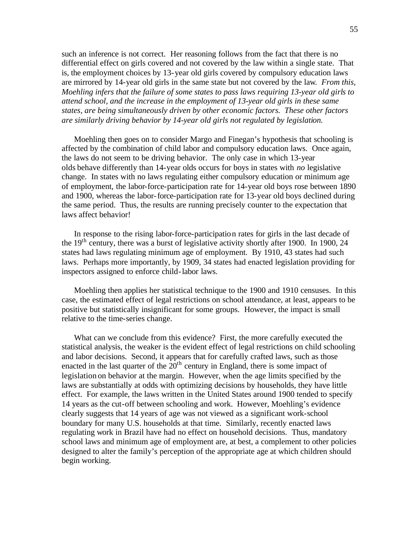such an inference is not correct. Her reasoning follows from the fact that there is no differential effect on girls covered and not covered by the law within a single state. That is, the employment choices by 13-year old girls covered by compulsory education laws are mirrored by 14-year old girls in the same state but not covered by the law*. From this, Moehling infers that the failure of some states to pass laws requiring 13-year old girls to attend school, and the increase in the employment of 13-year old girls in these same states, are being simultaneously driven by other economic factors. These other factors are similarly driving behavior by 14-year old girls not regulated by legislation.*

Moehling then goes on to consider Margo and Finegan's hypothesis that schooling is affected by the combination of child labor and compulsory education laws. Once again, the laws do not seem to be driving behavior. The only case in which 13-year olds behave differently than 14-year olds occurs for boys in states with *no* legislative change. In states with no laws regulating either compulsory education or minimum age of employment, the labor-force-participation rate for 14-year old boys rose between 1890 and 1900, whereas the labor-force-participation rate for 13-year old boys declined during the same period. Thus, the results are running precisely counter to the expectation that laws affect behavior!

In response to the rising labor-force-participation rates for girls in the last decade of the  $19<sup>th</sup>$  century, there was a burst of legislative activity shortly after 1900. In 1900, 24 states had laws regulating minimum age of employment. By 1910, 43 states had such laws. Perhaps more importantly, by 1909, 34 states had enacted legislation providing for inspectors assigned to enforce child-labor laws.

Moehling then applies her statistical technique to the 1900 and 1910 censuses. In this case, the estimated effect of legal restrictions on school attendance, at least, appears to be positive but statistically insignificant for some groups. However, the impact is small relative to the time-series change.

What can we conclude from this evidence? First, the more carefully executed the statistical analysis, the weaker is the evident effect of legal restrictions on child schooling and labor decisions. Second, it appears that for carefully crafted laws, such as those enacted in the last quarter of the  $20<sup>th</sup>$  century in England, there is some impact of legislation on behavior at the margin. However, when the age limits specified by the laws are substantially at odds with optimizing decisions by households, they have little effect. For example, the laws written in the United States around 1900 tended to specify 14 years as the cut-off between schooling and work. However, Moehling's evidence clearly suggests that 14 years of age was not viewed as a significant work-school boundary for many U.S. households at that time. Similarly, recently enacted laws regulating work in Brazil have had no effect on household decisions. Thus, mandatory school laws and minimum age of employment are, at best, a complement to other policies designed to alter the family's perception of the appropriate age at which children should begin working.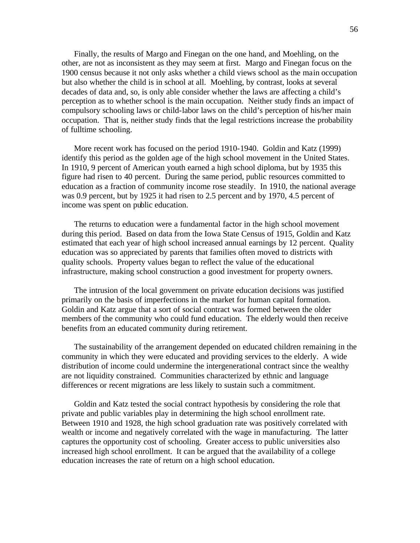Finally, the results of Margo and Finegan on the one hand, and Moehling, on the other, are not as inconsistent as they may seem at first. Margo and Finegan focus on the 1900 census because it not only asks whether a child views school as the main occupation but also whether the child is in school at all. Moehling, by contrast, looks at several decades of data and, so, is only able consider whether the laws are affecting a child's perception as to whether school is the main occupation. Neither study finds an impact of compulsory schooling laws or child-labor laws on the child's perception of his/her main occupation. That is, neither study finds that the legal restrictions increase the probability of fulltime schooling.

More recent work has focused on the period 1910-1940. Goldin and Katz (1999) identify this period as the golden age of the high school movement in the United States. In 1910, 9 percent of American youth earned a high school diploma, but by 1935 this figure had risen to 40 percent. During the same period, public resources committed to education as a fraction of community income rose steadily. In 1910, the national average was 0.9 percent, but by 1925 it had risen to 2.5 percent and by 1970, 4.5 percent of income was spent on public education.

The returns to education were a fundamental factor in the high school movement during this period. Based on data from the Iowa State Census of 1915, Goldin and Katz estimated that each year of high school increased annual earnings by 12 percent. Quality education was so appreciated by parents that families often moved to districts with quality schools. Property values began to reflect the value of the educational infrastructure, making school construction a good investment for property owners.

The intrusion of the local government on private education decisions was justified primarily on the basis of imperfections in the market for human capital formation. Goldin and Katz argue that a sort of social contract was formed between the older members of the community who could fund education. The elderly would then receive benefits from an educated community during retirement.

The sustainability of the arrangement depended on educated children remaining in the community in which they were educated and providing services to the elderly. A wide distribution of income could undermine the intergenerational contract since the wealthy are not liquidity constrained. Communities characterized by ethnic and language differences or recent migrations are less likely to sustain such a commitment.

Goldin and Katz tested the social contract hypothesis by considering the role that private and public variables play in determining the high school enrollment rate. Between 1910 and 1928, the high school graduation rate was positively correlated with wealth or income and negatively correlated with the wage in manufacturing. The latter captures the opportunity cost of schooling. Greater access to public universities also increased high school enrollment. It can be argued that the availability of a college education increases the rate of return on a high school education.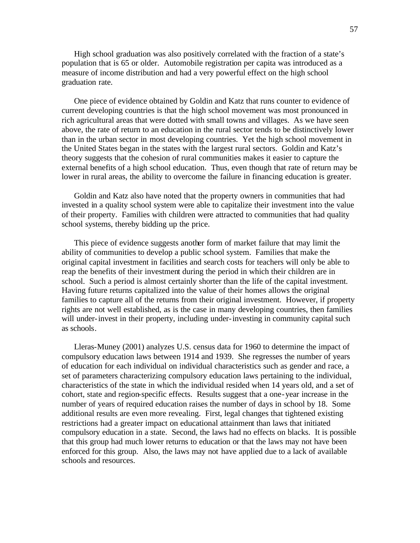High school graduation was also positively correlated with the fraction of a state's population that is 65 or older. Automobile registration per capita was introduced as a measure of income distribution and had a very powerful effect on the high school graduation rate.

One piece of evidence obtained by Goldin and Katz that runs counter to evidence of current developing countries is that the high school movement was most pronounced in rich agricultural areas that were dotted with small towns and villages. As we have seen above, the rate of return to an education in the rural sector tends to be distinctively lower than in the urban sector in most developing countries. Yet the high school movement in the United States began in the states with the largest rural sectors. Goldin and Katz's theory suggests that the cohesion of rural communities makes it easier to capture the external benefits of a high school education. Thus, even though that rate of return may be lower in rural areas, the ability to overcome the failure in financing education is greater.

Goldin and Katz also have noted that the property owners in communities that had invested in a quality school system were able to capitalize their investment into the value of their property. Families with children were attracted to communities that had quality school systems, thereby bidding up the price.

This piece of evidence suggests another form of market failure that may limit the ability of communities to develop a public school system. Families that make the original capital investment in facilities and search costs for teachers will only be able to reap the benefits of their investment during the period in which their children are in school. Such a period is almost certainly shorter than the life of the capital investment. Having future returns capitalized into the value of their homes allows the original families to capture all of the returns from their original investment. However, if property rights are not well established, as is the case in many developing countries, then families will under-invest in their property, including under-investing in community capital such as schools.

Lleras-Muney (2001) analyzes U.S. census data for 1960 to determine the impact of compulsory education laws between 1914 and 1939. She regresses the number of years of education for each individual on individual characteristics such as gender and race, a set of parameters characterizing compulsory education laws pertaining to the individual, characteristics of the state in which the individual resided when 14 years old, and a set of cohort, state and region-specific effects. Results suggest that a one-year increase in the number of years of required education raises the number of days in school by 18. Some additional results are even more revealing. First, legal changes that tightened existing restrictions had a greater impact on educational attainment than laws that initiated compulsory education in a state. Second, the laws had no effects on blacks. It is possible that this group had much lower returns to education or that the laws may not have been enforced for this group. Also, the laws may not have applied due to a lack of available schools and resources.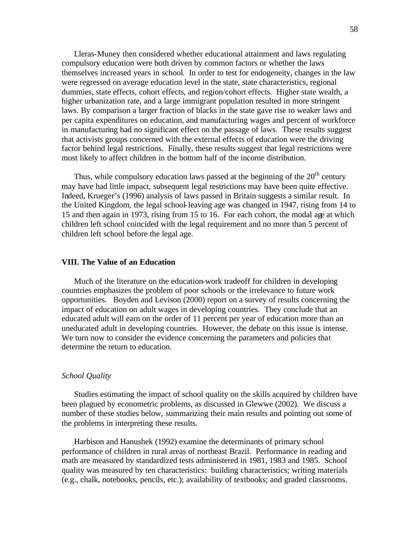Lleras-Muney then considered whether educational attainment and laws regulating compulsory education were both driven by common factors or whether the laws themselves increased years in school. In order to test for endogeneity, changes in the law were regressed on average education level in the state, state characteristics, regional dummies, state effects, cohort effects, and region/cohort effects. Higher state wealth, a higher urbanization rate, and a large immigrant population resulted in more stringent laws. By comparison a larger fraction of blacks in the state gave rise to weaker laws and per capita expenditures on education, and manufacturing wages and percent of workforce in manufacturing had no significant effect on the passage of laws. These results suggest that activists groups concerned with the external effects of education were the driving factor behind legal restrictions. Finally, these results suggest that legal restrictions were most likely to affect children in the bottom half of the income distribution.

Thus, while compulsory education laws passed at the beginning of the  $20<sup>th</sup>$  century may have had little impact, subsequent legal restrictions may have been quite effective. Indeed, Krueger's (1996) analysis of laws passed in Britain suggests a similar result. In the United Kingdom, the legal school-leaving age was changed in 1947, rising from 14 to 15 and then again in 1973, rising from 15 to 16. For each cohort, the modal age at which children left school coincided with the legal requirement and no more than 5 percent of children left school before the legal age.

# **VIII. The Value of an Education**

Much of the literature on the education-work tradeoff for children in developing countries emphasizes the problem of poor schools or the irrelevance to future work opportunities. Boyden and Levison (2000) report on a survey of results concerning the impact of education on adult wages in developing countries. They conclude that an educated adult will earn on the order of 11 percent per year of education more than an uneducated adult in developing countries. However, the debate on this issue is intense. We turn now to consider the evidence concerning the parameters and policies that determine the return to education.

### *School Quality*

Studies estimating the impact of school quality on the skills acquired by children have been plagued by econometric problems, as discussed in Glewwe (2002). We discuss a number of these studies below, summarizing their main results and pointing out some of the problems in interpreting these results.

Harbison and Hanushek (1992) examine the determinants of primary school performance of children in rural areas of northeast Brazil. Performance in reading and math are measured by standardized tests administered in 1981, 1983 and 1985. School quality was measured by ten characteristics: building characteristics; writing materials (e.g., chalk, notebooks, pencils, etc.); availability of textbooks; and graded classrooms.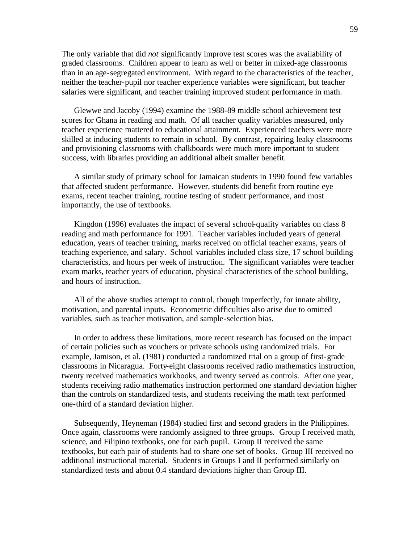The only variable that did *not* significantly improve test scores was the availability of graded classrooms. Children appear to learn as well or better in mixed-age classrooms than in an age-segregated environment. With regard to the characteristics of the teacher, neither the teacher-pupil nor teacher experience variables were significant, but teacher salaries were significant, and teacher training improved student performance in math.

Glewwe and Jacoby (1994) examine the 1988-89 middle school achievement test scores for Ghana in reading and math. Of all teacher quality variables measured, only teacher experience mattered to educational attainment. Experienced teachers were more skilled at inducing students to remain in school. By contrast, repairing leaky classrooms and provisioning classrooms with chalkboards were much more important to student success, with libraries providing an additional albeit smaller benefit.

A similar study of primary school for Jamaican students in 1990 found few variables that affected student performance. However, students did benefit from routine eye exams, recent teacher training, routine testing of student performance, and most importantly, the use of textbooks.

Kingdon (1996) evaluates the impact of several school-quality variables on class 8 reading and math performance for 1991. Teacher variables included years of general education, years of teacher training, marks received on official teacher exams, years of teaching experience, and salary. School variables included class size, 17 school building characteristics, and hours per week of instruction. The significant variables were teacher exam marks, teacher years of education, physical characteristics of the school building, and hours of instruction.

All of the above studies attempt to control, though imperfectly, for innate ability, motivation, and parental inputs. Econometric difficulties also arise due to omitted variables, such as teacher motivation, and sample-selection bias.

In order to address these limitations, more recent research has focused on the impact of certain policies such as vouchers or private schools using randomized trials. For example, Jamison, et al. (1981) conducted a randomized trial on a group of first-grade classrooms in Nicaragua. Forty-eight classrooms received radio mathematics instruction, twenty received mathematics workbooks, and twenty served as controls. After one year, students receiving radio mathematics instruction performed one standard deviation higher than the controls on standardized tests, and students receiving the math text performed one-third of a standard deviation higher.

Subsequently, Heyneman (1984) studied first and second graders in the Philippines. Once again, classrooms were randomly assigned to three groups. Group I received math, science, and Filipino textbooks, one for each pupil. Group II received the same textbooks, but each pair of students had to share one set of books. Group III received no additional instructional material. Students in Groups I and II performed similarly on standardized tests and about 0.4 standard deviations higher than Group III.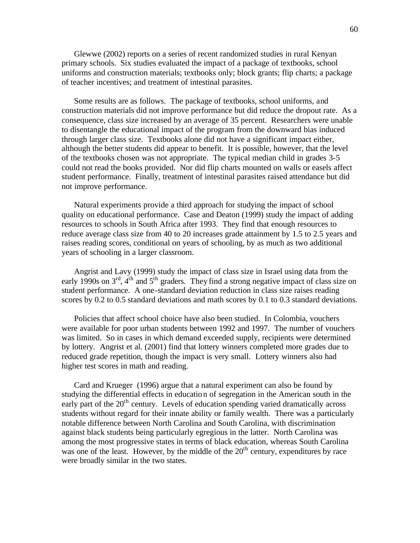Glewwe (2002) reports on a series of recent randomized studies in rural Kenyan primary schools. Six studies evaluated the impact of a package of textbooks, school uniforms and construction materials; textbooks only; block grants; flip charts; a package of teacher incentives; and treatment of intestinal parasites.

Some results are as follows. The package of textbooks, school uniforms, and construction materials did not improve performance but did reduce the dropout rate. As a consequence, class size increased by an average of 35 percent. Researchers were unable to disentangle the educational impact of the program from the downward bias induced through larger class size. Textbooks alone did not have a significant impact either, although the better students did appear to benefit. It is possible, however, that the level of the textbooks chosen was not appropriate. The typical median child in grades 3-5 could not read the books provided. Nor did flip charts mounted on walls or easels affect student performance. Finally, treatment of intestinal parasites raised attendance but did not improve performance.

Natural experiments provide a third approach for studying the impact of school quality on educational performance. Case and Deaton (1999) study the impact of adding resources to schools in South Africa after 1993. They find that enough resources to reduce average class size from 40 to 20 increases grade attainment by 1.5 to 2.5 years and raises reading scores, conditional on years of schooling, by as much as two additional years of schooling in a larger classroom.

Angrist and Lavy (1999) study the impact of class size in Israel using data from the early 1990s on  $3<sup>rd</sup>$ ,  $4<sup>th</sup>$  and  $5<sup>th</sup>$  graders. They find a strong negative impact of class size on student performance. A one-standard deviation reduction in class size raises reading scores by 0.2 to 0.5 standard deviations and math scores by 0.1 to 0.3 standard deviations.

Policies that affect school choice have also been studied. In Colombia, vouchers were available for poor urban students between 1992 and 1997. The number of vouchers was limited. So in cases in which demand exceeded supply, recipients were determined by lottery. Angrist et al. (2001) find that lottery winners completed more grades due to reduced grade repetition, though the impact is very small. Lottery winners also had higher test scores in math and reading.

Card and Krueger (1996) argue that a natural experiment can also be found by studying the differential effects in education of segregation in the American south in the early part of the 20<sup>th</sup> century. Levels of education spending varied dramatically across students without regard for their innate ability or family wealth. There was a particularly notable difference between North Carolina and South Carolina, with discrimination against black students being particularly egregious in the latter. North Carolina was among the most progressive states in terms of black education, whereas South Carolina was one of the least. However, by the middle of the  $20<sup>th</sup>$  century, expenditures by race were broadly similar in the two states.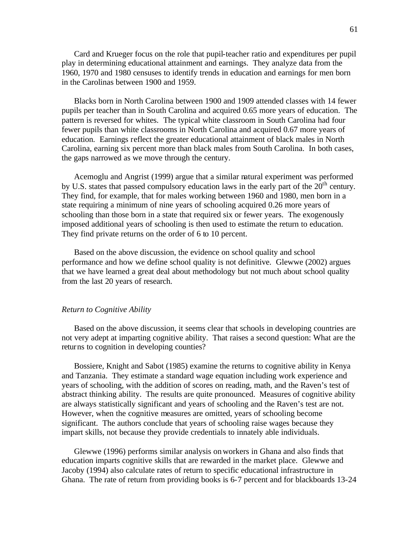Card and Krueger focus on the role that pupil-teacher ratio and expenditures per pupil play in determining educational attainment and earnings. They analyze data from the 1960, 1970 and 1980 censuses to identify trends in education and earnings for men born in the Carolinas between 1900 and 1959.

Blacks born in North Carolina between 1900 and 1909 attended classes with 14 fewer pupils per teacher than in South Carolina and acquired 0.65 more years of education. The pattern is reversed for whites. The typical white classroom in South Carolina had four fewer pupils than white classrooms in North Carolina and acquired 0.67 more years of education. Earnings reflect the greater educational attainment of black males in North Carolina, earning six percent more than black males from South Carolina. In both cases, the gaps narrowed as we move through the century.

Acemoglu and Angrist (1999) argue that a similar natural experiment was performed by U.S. states that passed compulsory education laws in the early part of the  $20<sup>th</sup>$  century. They find, for example, that for males working between 1960 and 1980, men born in a state requiring a minimum of nine years of schooling acquired 0.26 more years of schooling than those born in a state that required six or fewer years. The exogenously imposed additional years of schooling is then used to estimate the return to education. They find private returns on the order of 6 to 10 percent.

Based on the above discussion, the evidence on school quality and school performance and how we define school quality is not definitive. Glewwe (2002) argues that we have learned a great deal about methodology but not much about school quality from the last 20 years of research.

### *Return to Cognitive Ability*

Based on the above discussion, it seems clear that schools in developing countries are not very adept at imparting cognitive ability. That raises a second question: What are the returns to cognition in developing counties?

Bossiere, Knight and Sabot (1985) examine the returns to cognitive ability in Kenya and Tanzania. They estimate a standard wage equation including work experience and years of schooling, with the addition of scores on reading, math, and the Raven's test of abstract thinking ability. The results are quite pronounced. Measures of cognitive ability are always statistically significant and years of schooling and the Raven's test are not. However, when the cognitive measures are omitted, years of schooling become significant. The authors conclude that years of schooling raise wages because they impart skills, not because they provide credentials to innately able individuals.

Glewwe (1996) performs similar analysis on workers in Ghana and also finds that education imparts cognitive skills that are rewarded in the market place. Glewwe and Jacoby (1994) also calculate rates of return to specific educational infrastructure in Ghana. The rate of return from providing books is 6-7 percent and for blackboards 13-24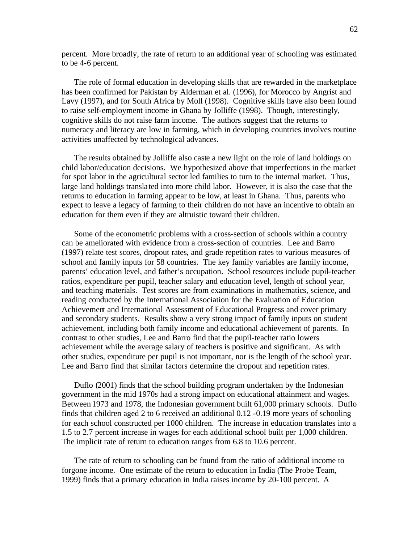percent. More broadly, the rate of return to an additional year of schooling was estimated to be 4-6 percent.

The role of formal education in developing skills that are rewarded in the marketplace has been confirmed for Pakistan by Alderman et al. (1996), for Morocco by Angrist and Lavy (1997), and for South Africa by Moll (1998). Cognitive skills have also been found to raise self-employment income in Ghana by Jolliffe (1998). Though, interestingly, cognitive skills do not raise farm income. The authors suggest that the returns to numeracy and literacy are low in farming, which in developing countries involves routine activities unaffected by technological advances.

The results obtained by Jolliffe also caste a new light on the role of land holdings on child labor/education decisions. We hypothesized above that imperfections in the market for spot labor in the agricultural sector led families to turn to the internal market. Thus, large land holdings transla ted into more child labor. However, it is also the case that the returns to education in farming appear to be low, at least in Ghana. Thus, parents who expect to leave a legacy of farming to their children do not have an incentive to obtain an education for them even if they are altruistic toward their children.

Some of the econometric problems with a cross-section of schools within a country can be ameliorated with evidence from a cross-section of countries. Lee and Barro (1997) relate test scores, dropout rates, and grade repetition rates to various measures of school and family inputs for 58 countries. The key family variables are family income, parents' education level, and father's occupation. School resources include pupil-teacher ratios, expenditure per pupil, teacher salary and education level, length of school year, and teaching materials. Test scores are from examinations in mathematics, science, and reading conducted by the International Association for the Evaluation of Education Achievement and International Assessment of Educational Progress and cover primary and secondary students. Results show a very strong impact of family inputs on student achievement, including both family income and educational achievement of parents. In contrast to other studies, Lee and Barro find that the pupil-teacher ratio lowers achievement while the average salary of teachers is positive and significant. As with other studies, expenditure per pupil is not important, nor is the length of the school year. Lee and Barro find that similar factors determine the dropout and repetition rates.

Duflo (2001) finds that the school building program undertaken by the Indonesian government in the mid 1970s had a strong impact on educational attainment and wages. Between 1973 and 1978, the Indonesian government built 61,000 primary schools. Duflo finds that children aged 2 to 6 received an additional 0.12 -0.19 more years of schooling for each school constructed per 1000 children. The increase in education translates into a 1.5 to 2.7 percent increase in wages for each additional school built per 1,000 children. The implicit rate of return to education ranges from 6.8 to 10.6 percent.

The rate of return to schooling can be found from the ratio of additional income to forgone income. One estimate of the return to education in India (The Probe Team, 1999) finds that a primary education in India raises income by 20-100 percent. A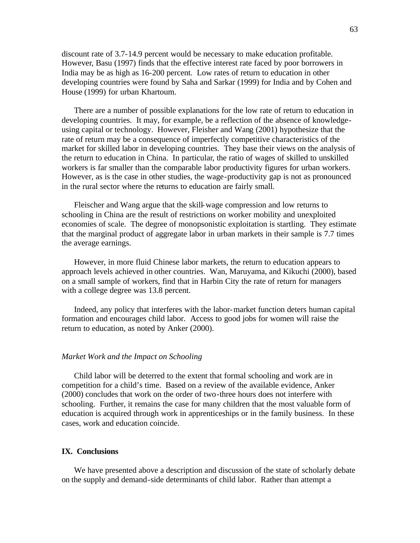discount rate of 3.7-14.9 percent would be necessary to make education profitable. However, Basu (1997) finds that the effective interest rate faced by poor borrowers in India may be as high as 16-200 percent. Low rates of return to education in other developing countries were found by Saha and Sarkar (1999) for India and by Cohen and House (1999) for urban Khartoum.

There are a number of possible explanations for the low rate of return to education in developing countries. It may, for example, be a reflection of the absence of knowledgeusing capital or technology. However, Fleisher and Wang (2001) hypothesize that the rate of return may be a consequence of imperfectly competitive characteristics of the market for skilled labor in developing countries. They base their views on the analysis of the return to education in China. In particular, the ratio of wages of skilled to unskilled workers is far smaller than the comparable labor productivity figures for urban workers. However, as is the case in other studies, the wage-productivity gap is not as pronounced in the rural sector where the returns to education are fairly small.

Fleischer and Wang argue that the skill-wage compression and low returns to schooling in China are the result of restrictions on worker mobility and unexploited economies of scale. The degree of monopsonistic exploitation is startling. They estimate that the marginal product of aggregate labor in urban markets in their sample is 7.7 times the average earnings.

However, in more fluid Chinese labor markets, the return to education appears to approach levels achieved in other countries. Wan, Maruyama, and Kikuchi (2000), based on a small sample of workers, find that in Harbin City the rate of return for managers with a college degree was 13.8 percent.

Indeed, any policy that interferes with the labor-market function deters human capital formation and encourages child labor. Access to good jobs for women will raise the return to education, as noted by Anker (2000).

### *Market Work and the Impact on Schooling*

Child labor will be deterred to the extent that formal schooling and work are in competition for a child's time. Based on a review of the available evidence, Anker (2000) concludes that work on the order of two-three hours does not interfere with schooling. Further, it remains the case for many children that the most valuable form of education is acquired through work in apprenticeships or in the family business. In these cases, work and education coincide.

## **IX. Conclusions**

We have presented above a description and discussion of the state of scholarly debate on the supply and demand-side determinants of child labor. Rather than attempt a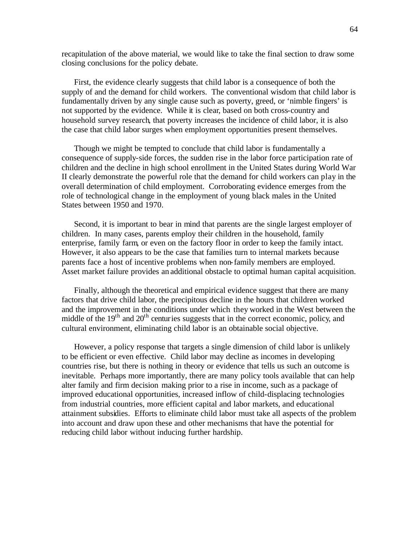recapitulation of the above material, we would like to take the final section to draw some closing conclusions for the policy debate.

First, the evidence clearly suggests that child labor is a consequence of both the supply of and the demand for child workers. The conventional wisdom that child labor is fundamentally driven by any single cause such as poverty, greed, or 'nimble fingers' is not supported by the evidence. While it is clear, based on both cross-country and household survey research, that poverty increases the incidence of child labor, it is also the case that child labor surges when employment opportunities present themselves.

Though we might be tempted to conclude that child labor is fundamentally a consequence of supply-side forces, the sudden rise in the labor force participation rate of children and the decline in high school enrollment in the United States during World War II clearly demonstrate the powerful role that the demand for child workers can play in the overall determination of child employment. Corroborating evidence emerges from the role of technological change in the employment of young black males in the United States between 1950 and 1970.

Second, it is important to bear in mind that parents are the single largest employer of children. In many cases, parents employ their children in the household, family enterprise, family farm, or even on the factory floor in order to keep the family intact. However, it also appears to be the case that families turn to internal markets because parents face a host of incentive problems when non-family members are employed. Asset market failure provides an additional obstacle to optimal human capital acquisition.

Finally, although the theoretical and empirical evidence suggest that there are many factors that drive child labor, the precipitous decline in the hours that children worked and the improvement in the conditions under which they worked in the West between the middle of the  $19<sup>th</sup>$  and  $20<sup>th</sup>$  centuries suggests that in the correct economic, policy, and cultural environment, eliminating child labor is an obtainable social objective.

However, a policy response that targets a single dimension of child labor is unlikely to be efficient or even effective. Child labor may decline as incomes in developing countries rise, but there is nothing in theory or evidence that tells us such an outcome is inevitable. Perhaps more importantly, there are many policy tools available that can help alter family and firm decision making prior to a rise in income, such as a package of improved educational opportunities, increased inflow of child-displacing technologies from industrial countries, more efficient capital and labor markets, and educational attainment subsidies. Efforts to eliminate child labor must take all aspects of the problem into account and draw upon these and other mechanisms that have the potential for reducing child labor without inducing further hardship.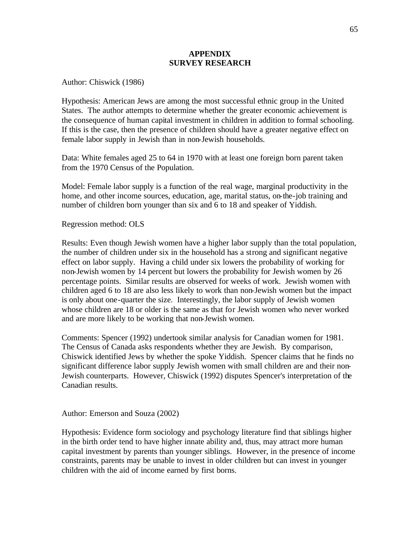# **APPENDIX SURVEY RESEARCH**

Author: Chiswick (1986)

Hypothesis: American Jews are among the most successful ethnic group in the United States. The author attempts to determine whether the greater economic achievement is the consequence of human capital investment in children in addition to formal schooling. If this is the case, then the presence of children should have a greater negative effect on female labor supply in Jewish than in non-Jewish households.

Data: White females aged 25 to 64 in 1970 with at least one foreign born parent taken from the 1970 Census of the Population.

Model: Female labor supply is a function of the real wage, marginal productivity in the home, and other income sources, education, age, marital status, on-the-job training and number of children born younger than six and 6 to 18 and speaker of Yiddish.

Regression method: OLS

Results: Even though Jewish women have a higher labor supply than the total population, the number of children under six in the household has a strong and significant negative effect on labor supply. Having a child under six lowers the probability of working for non-Jewish women by 14 percent but lowers the probability for Jewish women by 26 percentage points. Similar results are observed for weeks of work. Jewish women with children aged 6 to 18 are also less likely to work than non-Jewish women but the impact is only about one-quarter the size. Interestingly, the labor supply of Jewish women whose children are 18 or older is the same as that for Jewish women who never worked and are more likely to be working that non-Jewish women.

Comments: Spencer (1992) undertook similar analysis for Canadian women for 1981. The Census of Canada asks respondents whether they are Jewish. By comparison, Chiswick identified Jews by whether the spoke Yiddish. Spencer claims that he finds no significant difference labor supply Jewish women with small children are and their non-Jewish counterparts. However, Chiswick (1992) disputes Spencer's interpretation of the Canadian results.

Author: Emerson and Souza (2002)

Hypothesis: Evidence form sociology and psychology literature find that siblings higher in the birth order tend to have higher innate ability and, thus, may attract more human capital investment by parents than younger siblings. However, in the presence of income constraints, parents may be unable to invest in older children but can invest in younger children with the aid of income earned by first borns.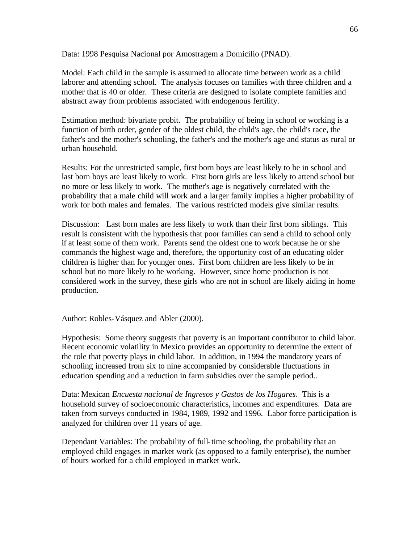Data: 1998 Pesquisa Nacional por Amostragem a Domicílio (PNAD).

Model: Each child in the sample is assumed to allocate time between work as a child laborer and attending school. The analysis focuses on families with three children and a mother that is 40 or older. These criteria are designed to isolate complete families and abstract away from problems associated with endogenous fertility.

Estimation method: bivariate probit. The probability of being in school or working is a function of birth order, gender of the oldest child, the child's age, the child's race, the father's and the mother's schooling, the father's and the mother's age and status as rural or urban household.

Results: For the unrestricted sample, first born boys are least likely to be in school and last born boys are least likely to work. First born girls are less likely to attend school but no more or less likely to work. The mother's age is negatively correlated with the probability that a male child will work and a larger family implies a higher probability of work for both males and females. The various restricted models give similar results.

Discussion: Last born males are less likely to work than their first born siblings. This result is consistent with the hypothesis that poor families can send a child to school only if at least some of them work. Parents send the oldest one to work because he or she commands the highest wage and, therefore, the opportunity cost of an educating older children is higher than for younger ones. First born children are less likely to be in school but no more likely to be working. However, since home production is not considered work in the survey, these girls who are not in school are likely aiding in home production.

Author: Robles-Vásquez and Abler (2000).

Hypothesis: Some theory suggests that poverty is an important contributor to child labor. Recent economic volatility in Mexico provides an opportunity to determine the extent of the role that poverty plays in child labor. In addition, in 1994 the mandatory years of schooling increased from six to nine accompanied by considerable fluctuations in education spending and a reduction in farm subsidies over the sample period..

Data: Mexican *Encuesta nacional de Ingresos y Gastos de los Hogares*. This is a household survey of socioeconomic characteristics, incomes and expenditures. Data are taken from surveys conducted in 1984, 1989, 1992 and 1996. Labor force participation is analyzed for children over 11 years of age.

Dependant Variables: The probability of full-time schooling, the probability that an employed child engages in market work (as opposed to a family enterprise), the number of hours worked for a child employed in market work.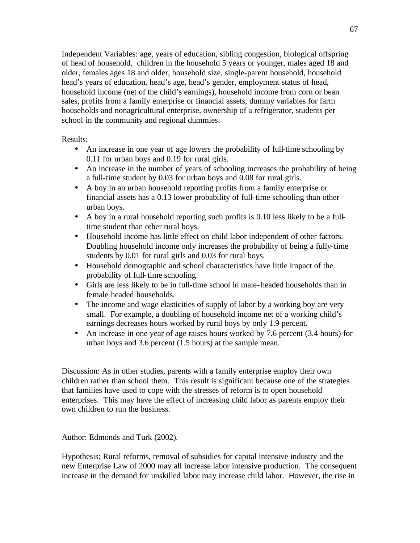Independent Variables: age, years of education, sibling congestion, biological offspring of head of household, children in the household 5 years or younger, males aged 18 and older, females ages 18 and older, household size, single-parent household, household head's years of education, head's age, head's gender, employment status of head, household income (net of the child's earnings), household income from corn or bean sales, profits from a family enterprise or financial assets, dummy variables for farm households and nonagricultural enterprise, ownership of a refrigerator, students per school in the community and regional dummies.

Results:

- An increase in one year of age lowers the probability of full-time schooling by 0.11 for urban boys and 0.19 for rural girls.
- An increase in the number of years of schooling increases the probability of being a full-time student by 0.03 for urban boys and 0.08 for rural girls.
- A boy in an urban household reporting profits from a family enterprise or financial assets has a 0.13 lower probability of full-time schooling than other urban boys.
- A boy in a rural household reporting such profits is 0.10 less likely to be a fulltime student than other rural boys.
- Household income has little effect on child labor independent of other factors. Doubling household income only increases the probability of being a fully-time students by 0.01 for rural girls and 0.03 for rural boys.
- Household demographic and school characteristics have little impact of the probability of full-time schooling.
- Girls are less likely to be in full-time school in male-headed households than in female headed households.
- The income and wage elasticities of supply of labor by a working boy are very small. For example, a doubling of household income net of a working child's earnings decreases hours worked by rural boys by only 1.9 percent.
- An increase in one year of age raises hours worked by 7.6 percent (3.4 hours) for urban boys and 3.6 percent (1.5 hours) at the sample mean.

Discussion: As in other studies, parents with a family enterprise employ their own children rather than school them. This result is significant because one of the strategies that families have used to cope with the stresses of reform is to open household enterprises. This may have the effect of increasing child labor as parents employ their own children to run the business.

Author: Edmonds and Turk (2002).

Hypothesis: Rural reforms, removal of subsidies for capital intensive industry and the new Enterprise Law of 2000 may all increase labor intensive production. The consequent increase in the demand for unskilled labor may increase child labor. However, the rise in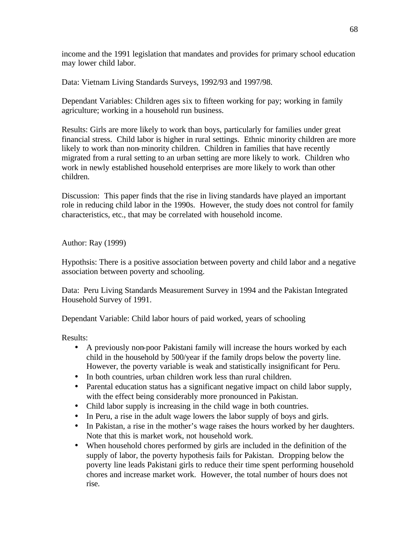income and the 1991 legislation that mandates and provides for primary school education may lower child labor.

Data: Vietnam Living Standards Surveys, 1992/93 and 1997/98.

Dependant Variables: Children ages six to fifteen working for pay; working in family agriculture; working in a household run business.

Results: Girls are more likely to work than boys, particularly for families under great financial stress. Child labor is higher in rural settings. Ethnic minority children are more likely to work than non-minority children. Children in families that have recently migrated from a rural setting to an urban setting are more likely to work. Children who work in newly established household enterprises are more likely to work than other children.

Discussion: This paper finds that the rise in living standards have played an important role in reducing child labor in the 1990s. However, the study does not control for family characteristics, etc., that may be correlated with household income.

Author: Ray (1999)

Hypothsis: There is a positive association between poverty and child labor and a negative association between poverty and schooling.

Data: Peru Living Standards Measurement Survey in 1994 and the Pakistan Integrated Household Survey of 1991.

Dependant Variable: Child labor hours of paid worked, years of schooling

Results:

- A previously non-poor Pakistani family will increase the hours worked by each child in the household by 500/year if the family drops below the poverty line. However, the poverty variable is weak and statistically insignificant for Peru.
- In both countries, urban children work less than rural children.
- Parental education status has a significant negative impact on child labor supply, with the effect being considerably more pronounced in Pakistan.
- Child labor supply is increasing in the child wage in both countries.
- In Peru, a rise in the adult wage lowers the labor supply of boys and girls.
- In Pakistan, a rise in the mother's wage raises the hours worked by her daughters. Note that this is market work, not household work.
- When household chores performed by girls are included in the definition of the supply of labor, the poverty hypothesis fails for Pakistan. Dropping below the poverty line leads Pakistani girls to reduce their time spent performing household chores and increase market work. However, the total number of hours does not rise.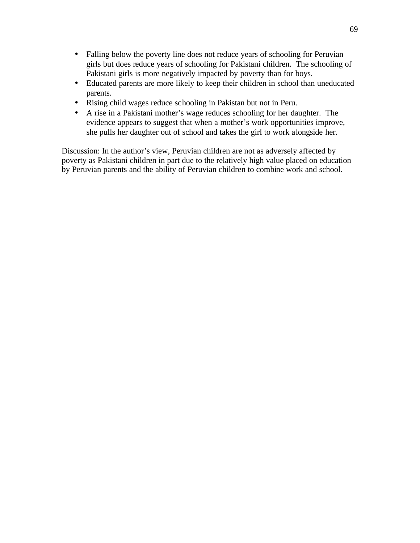- Falling below the poverty line does not reduce years of schooling for Peruvian girls but does reduce years of schooling for Pakistani children. The schooling of Pakistani girls is more negatively impacted by poverty than for boys.
- Educated parents are more likely to keep their children in school than uneducated parents.
- Rising child wages reduce schooling in Pakistan but not in Peru.
- A rise in a Pakistani mother's wage reduces schooling for her daughter. The evidence appears to suggest that when a mother's work opportunities improve, she pulls her daughter out of school and takes the girl to work alongside her.

Discussion: In the author's view, Peruvian children are not as adversely affected by poverty as Pakistani children in part due to the relatively high value placed on education by Peruvian parents and the ability of Peruvian children to combine work and school.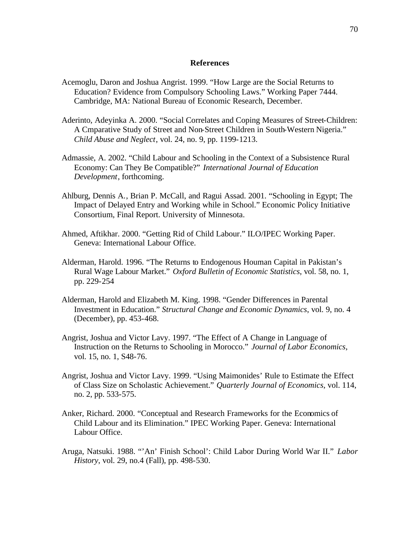#### **References**

- Acemoglu, Daron and Joshua Angrist. 1999. "How Large are the Social Returns to Education? Evidence from Compulsory Schooling Laws." Working Paper 7444. Cambridge, MA: National Bureau of Economic Research, December.
- Aderinto, Adeyinka A. 2000. "Social Correlates and Coping Measures of Street-Children: A Cmparative Study of Street and Non-Street Children in South-Western Nigeria." *Child Abuse and Neglect*, vol. 24, no. 9, pp. 1199-1213.
- Admassie, A. 2002. "Child Labour and Schooling in the Context of a Subsistence Rural Economy: Can They Be Compatible?" *International Journal of Education Development*, forthcoming.
- Ahlburg, Dennis A., Brian P. McCall, and Ragui Assad. 2001. "Schooling in Egypt; The Impact of Delayed Entry and Working while in School." Economic Policy Initiative Consortium, Final Report. University of Minnesota.
- Ahmed, Aftikhar. 2000. "Getting Rid of Child Labour." ILO/IPEC Working Paper. Geneva: International Labour Office.
- Alderman, Harold. 1996. "The Returns to Endogenous Houman Capital in Pakistan's Rural Wage Labour Market." *Oxford Bulletin of Economic Statistics*, vol. 58, no. 1, pp. 229-254
- Alderman, Harold and Elizabeth M. King. 1998. "Gender Differences in Parental Investment in Education." *Structural Change and Economic Dynamics*, vol. 9, no. 4 (December), pp. 453-468.
- Angrist, Joshua and Victor Lavy. 1997. "The Effect of A Change in Language of Instruction on the Returns to Schooling in Morocco." *Journal of Labor Economics*, vol. 15, no. 1, S48-76.
- Angrist, Joshua and Victor Lavy. 1999. "Using Maimonides' Rule to Estimate the Effect of Class Size on Scholastic Achievement." *Quarterly Journal of Economics*, vol. 114, no. 2, pp. 533-575.
- Anker, Richard. 2000. "Conceptual and Research Frameworks for the Economics of Child Labour and its Elimination." IPEC Working Paper. Geneva: International Labour Office.
- Aruga, Natsuki. 1988. "'An' Finish School': Child Labor During World War II." *Labor History*, vol. 29, no.4 (Fall), pp. 498-530.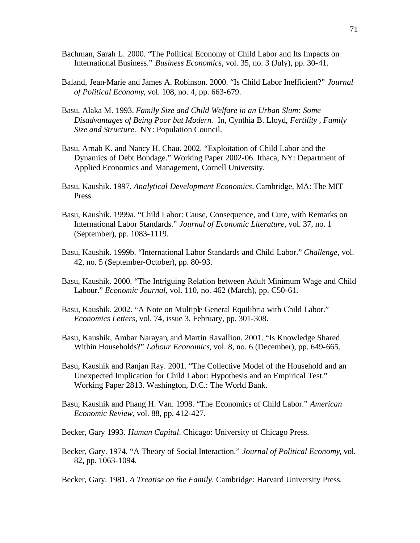- Bachman, Sarah L. 2000. "The Political Economy of Child Labor and Its Impacts on International Business." *Business Economics*, vol. 35, no. 3 (July), pp. 30-41.
- Baland, Jean-Marie and James A. Robinson. 2000. "Is Child Labor Inefficient?" *Journal of Political Economy*, vol. 108, no. 4, pp. 663-679.
- Basu, Alaka M. 1993. *Family Size and Child Welfare in an Urban Slum: Some Disadvantages of Being Poor but Modern.* In, Cynthia B. Lloyd, *Fertility , Family Size and Structure*. NY: Population Council.
- Basu, Arnab K. and Nancy H. Chau. 2002. "Exploitation of Child Labor and the Dynamics of Debt Bondage." Working Paper 2002-06. Ithaca, NY: Department of Applied Economics and Management, Cornell University.
- Basu, Kaushik. 1997. *Analytical Development Economics*. Cambridge, MA: The MIT Press.
- Basu, Kaushik. 1999a. "Child Labor: Cause, Consequence, and Cure, with Remarks on International Labor Standards." *Journal of Economic Literature*, vol. 37, no. 1 (September), pp. 1083-1119.
- Basu, Kaushik. 1999b. "International Labor Standards and Child Labor." *Challenge*, vol. 42, no. 5 (September-October), pp. 80-93.
- Basu, Kaushik. 2000. "The Intriguing Relation between Adult Minimum Wage and Child Labour." *Economic Journal*, vol. 110, no. 462 (March), pp. C50-61.
- Basu, Kaushik. 2002. "A Note on Multiple General Equilibria with Child Labor." *Economics Letters*, vol. 74, issue 3, February, pp. 301-308.
- Basu, Kaushik, Ambar Narayan, and Martin Ravallion. 2001. "Is Knowledge Shared Within Households?" *Labour Economics*, vol. 8, no. 6 (December), pp. 649-665.
- Basu, Kaushik and Ranjan Ray. 2001. "The Collective Model of the Household and an Unexpected Implication for Child Labor: Hypothesis and an Empirical Test." Working Paper 2813. Washington, D.C.: The World Bank.
- Basu, Kaushik and Phang H. Van. 1998. "The Economics of Child Labor." *American Economic Review*, vol. 88, pp. 412-427.
- Becker, Gary 1993. *Human Capital*. Chicago: University of Chicago Press.
- Becker, Gary. 1974. "A Theory of Social Interaction." *Journal of Political Economy*, vol. 82, pp. 1063-1094.

Becker, Gary. 1981. *A Treatise on the Family*. Cambridge: Harvard University Press.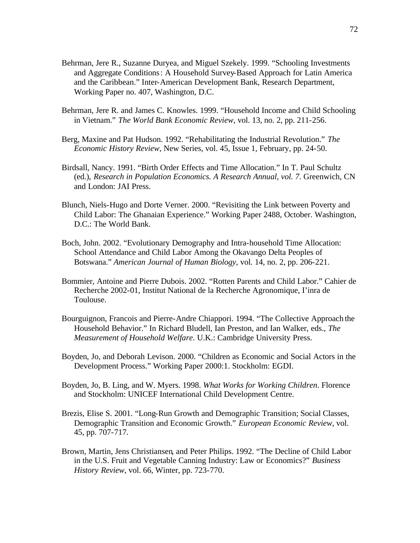- Behrman, Jere R., Suzanne Duryea, and Miguel Szekely. 1999. "Schooling Investments and Aggregate Conditions: A Household Survey-Based Approach for Latin America and the Caribbean." Inter-American Development Bank, Research Department, Working Paper no. 407, Washington, D.C.
- Behrman, Jere R. and James C. Knowles. 1999. "Household Income and Child Schooling in Vietnam." *The World Bank Economic Review*, vol. 13, no. 2, pp. 211-256.
- Berg, Maxine and Pat Hudson. 1992. "Rehabilitating the Industrial Revolution." *The Economic History Review*, New Series, vol. 45, Issue 1, February, pp. 24-50.
- Birdsall, Nancy. 1991. "Birth Order Effects and Time Allocation." In T. Paul Schultz (ed.), *Research in Population Economics. A Research Annual, vol. 7.* Greenwich, CN and London: JAI Press.
- Blunch, Niels-Hugo and Dorte Verner. 2000. "Revisiting the Link between Poverty and Child Labor: The Ghanaian Experience." Working Paper 2488, October. Washington, D.C.: The World Bank.
- Boch, John. 2002. "Evolutionary Demography and Intra-household Time Allocation: School Attendance and Child Labor Among the Okavango Delta Peoples of Botswana." *American Journal of Human Biology*, vol. 14, no. 2, pp. 206-221.
- Bommier, Antoine and Pierre Dubois. 2002. "Rotten Parents and Child Labor." Cahier de Recherche 2002-01, Institut National de la Recherche Agronomique, I'inra de Toulouse.
- Bourguignon, Francois and Pierre-Andre Chiappori. 1994. "The Collective Approach the Household Behavior." In Richard Bludell, Ian Preston, and Ian Walker, eds., *The Measurement of Household Welfare*. U.K.: Cambridge University Press.
- Boyden, Jo, and Deborah Levison. 2000. "Children as Economic and Social Actors in the Development Process." Working Paper 2000:1. Stockholm: EGDI.
- Boyden, Jo, B. Ling, and W. Myers. 1998. *What Works for Working Children*. Florence and Stockholm: UNICEF International Child Development Centre.
- Brezis, Elise S. 2001. "Long-Run Growth and Demographic Transition; Social Classes, Demographic Transition and Economic Growth." *European Economic Review*, vol. 45, pp. 707-717.
- Brown, Martin, Jens Christiansen, and Peter Philips. 1992. "The Decline of Child Labor in the U.S. Fruit and Vegetable Canning Industry: Law or Economics?" *Business History Review*, vol. 66, Winter, pp. 723-770.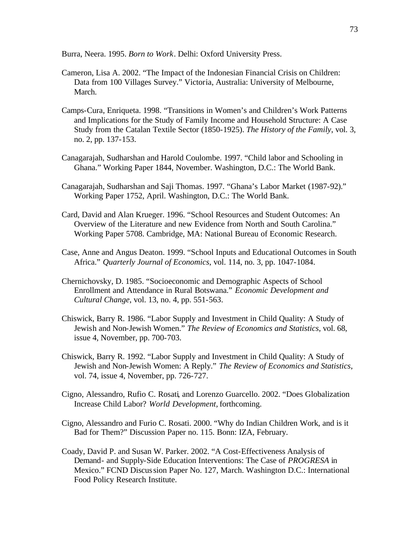Burra, Neera. 1995. *Born to Work*. Delhi: Oxford University Press.

- Cameron, Lisa A. 2002. "The Impact of the Indonesian Financial Crisis on Children: Data from 100 Villages Survey." Victoria, Australia: University of Melbourne, March.
- Camps-Cura, Enriqueta. 1998. "Transitions in Women's and Children's Work Patterns and Implications for the Study of Family Income and Household Structure: A Case Study from the Catalan Textile Sector (1850-1925). *The History of the Family*, vol. 3, no. 2, pp. 137-153.
- Canagarajah, Sudharshan and Harold Coulombe. 1997. "Child labor and Schooling in Ghana." Working Paper 1844, November. Washington, D.C.: The World Bank.
- Canagarajah, Sudharshan and Saji Thomas. 1997. "Ghana's Labor Market (1987-92)." Working Paper 1752, April. Washington, D.C.: The World Bank.
- Card, David and Alan Krueger. 1996. "School Resources and Student Outcomes: An Overview of the Literature and new Evidence from North and South Carolina." Working Paper 5708. Cambridge, MA: National Bureau of Economic Research.
- Case, Anne and Angus Deaton. 1999. "School Inputs and Educational Outcomes in South Africa." *Quarterly Journal of Economics*, vol. 114, no. 3, pp. 1047-1084.
- Chernichovsky, D. 1985. "Socioeconomic and Demographic Aspects of School Enrollment and Attendance in Rural Botswana." *Economic Development and Cultural Change*, vol. 13, no. 4, pp. 551-563.
- Chiswick, Barry R. 1986. "Labor Supply and Investment in Child Quality: A Study of Jewish and Non-Jewish Women." *The Review of Economics and Statistics*, vol. 68, issue 4, November, pp. 700-703.
- Chiswick, Barry R. 1992. "Labor Supply and Investment in Child Quality: A Study of Jewish and Non-Jewish Women: A Reply." *The Review of Economics and Statistics*, vol. 74, issue 4, November, pp. 726-727.
- Cigno, Alessandro, Rufio C. Rosati, and Lorenzo Guarcello. 2002. "Does Globalization Increase Child Labor? *World Development,* forthcoming.
- Cigno, Alessandro and Furio C. Rosati. 2000. "Why do Indian Children Work, and is it Bad for Them?" Discussion Paper no. 115. Bonn: IZA, February.
- Coady, David P. and Susan W. Parker. 2002. "A Cost-Effectiveness Analysis of Demand- and Supply-Side Education Interventions: The Case of *PROGRESA* in Mexico." FCND Discussion Paper No. 127, March. Washington D.C.: International Food Policy Research Institute.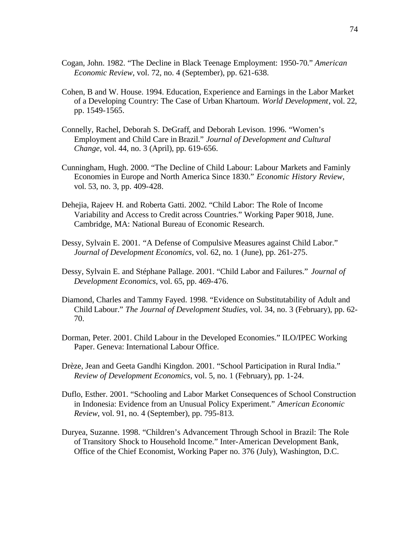- Cogan, John. 1982. "The Decline in Black Teenage Employment: 1950-70." *American Economic Review*, vol. 72, no. 4 (September), pp. 621-638.
- Cohen, B and W. House. 1994. Education, Experience and Earnings in the Labor Market of a Developing Country: The Case of Urban Khartoum. *World Development*, vol. 22, pp. 1549-1565.
- Connelly, Rachel, Deborah S. DeGraff, and Deborah Levison. 1996. "Women's Employment and Child Care in Brazil." *Journal of Development and Cultural Change*, vol. 44, no. 3 (April), pp. 619-656.
- Cunningham, Hugh. 2000. "The Decline of Child Labour: Labour Markets and Faminly Economies in Europe and North America Since 1830." *Economic History Review*, vol. 53, no. 3, pp. 409-428.
- Dehejia, Rajeev H. and Roberta Gatti. 2002. "Child Labor: The Role of Income Variability and Access to Credit across Countries." Working Paper 9018, June. Cambridge, MA: National Bureau of Economic Research.
- Dessy, Sylvain E. 2001. "A Defense of Compulsive Measures against Child Labor." *Journal of Development Economics*, vol. 62, no. 1 (June), pp. 261-275.
- Dessy, Sylvain E. and Stéphane Pallage. 2001. "Child Labor and Failures." *Journal of Development Economics*, vol. 65, pp. 469-476.
- Diamond, Charles and Tammy Fayed. 1998. "Evidence on Substitutability of Adult and Child Labour." *The Journal of Development Studies*, vol. 34, no. 3 (February), pp. 62- 70.
- Dorman, Peter. 2001. Child Labour in the Developed Economies." ILO/IPEC Working Paper. Geneva: International Labour Office.
- Drèze, Jean and Geeta Gandhi Kingdon. 2001. "School Participation in Rural India." *Review of Development Economics*, vol. 5, no. 1 (February), pp. 1-24.
- Duflo, Esther. 2001. "Schooling and Labor Market Consequences of School Construction in Indonesia: Evidence from an Unusual Policy Experiment." *American Economic Review*, vol. 91, no. 4 (September), pp. 795-813.
- Duryea, Suzanne. 1998. "Children's Advancement Through School in Brazil: The Role of Transitory Shock to Household Income." Inter-American Development Bank, Office of the Chief Economist, Working Paper no. 376 (July), Washington, D.C.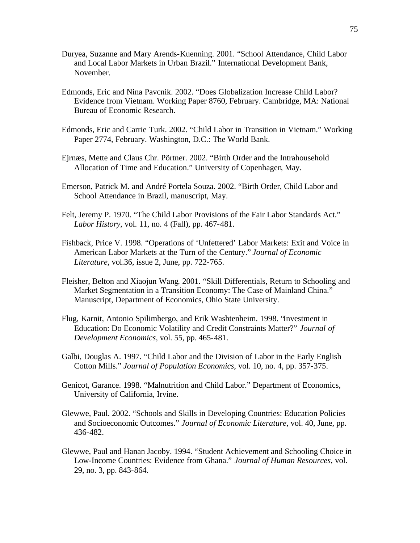- Duryea, Suzanne and Mary Arends-Kuenning. 2001. "School Attendance, Child Labor and Local Labor Markets in Urban Brazil." International Development Bank, November.
- Edmonds, Eric and Nina Pavcnik. 2002. "Does Globalization Increase Child Labor? Evidence from Vietnam. Working Paper 8760, February. Cambridge, MA: National Bureau of Economic Research.
- Edmonds, Eric and Carrie Turk. 2002. "Child Labor in Transition in Vietnam." Working Paper 2774, February. Washington, D.C.: The World Bank.
- Ejrnæs, Mette and Claus Chr. Pörtner. 2002. "Birth Order and the Intrahousehold Allocation of Time and Education." University of Copenhagen, May.
- Emerson, Patrick M. and André Portela Souza. 2002. "Birth Order, Child Labor and School Attendance in Brazil, manuscript, May.
- Felt, Jeremy P. 1970. "The Child Labor Provisions of the Fair Labor Standards Act." *Labor History*, vol. 11, no. 4 (Fall), pp. 467-481.
- Fishback, Price V. 1998. "Operations of 'Unfettered' Labor Markets: Exit and Voice in American Labor Markets at the Turn of the Century." *Journal of Economic Literature*, vol.36, issue 2, June, pp. 722-765.
- Fleisher, Belton and Xiaojun Wang. 2001. "Skill Differentials, Return to Schooling and Market Segmentation in a Transition Economy: The Case of Mainland China." Manuscript, Department of Economics, Ohio State University.
- Flug, Karnit, Antonio Spilimbergo, and Erik Washtenheim. 1998. "Investment in Education: Do Economic Volatility and Credit Constraints Matter?" *Journal of Development Economics*, vol. 55, pp. 465-481.
- Galbi, Douglas A. 1997. "Child Labor and the Division of Labor in the Early English Cotton Mills." *Journal of Population Economics*, vol. 10, no. 4, pp. 357-375.
- Genicot, Garance. 1998. "Malnutrition and Child Labor." Department of Economics, University of California, Irvine.
- Glewwe, Paul. 2002. "Schools and Skills in Developing Countries: Education Policies and Socioeconomic Outcomes." *Journal of Economic Literature*, vol. 40, June, pp. 436-482.
- Glewwe, Paul and Hanan Jacoby. 1994. "Student Achievement and Schooling Choice in Low-Income Countries: Evidence from Ghana." *Journal of Human Resources*, vol. 29, no. 3, pp. 843-864.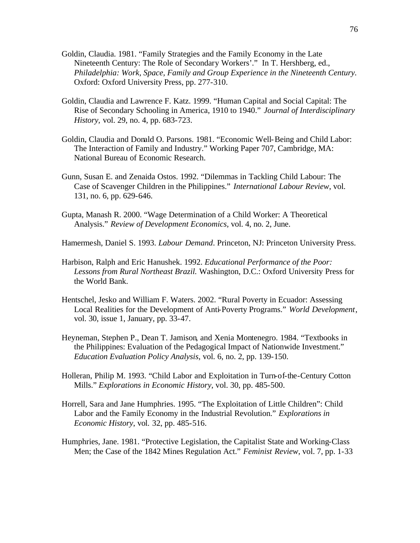- Goldin, Claudia. 1981. "Family Strategies and the Family Economy in the Late Nineteenth Century: The Role of Secondary Workers'." In T. Hershberg, ed., *Philadelphia: Work, Space, Family and Group Experience in the Nineteenth Century.* Oxford: Oxford University Press, pp. 277-310.
- Goldin, Claudia and Lawrence F. Katz. 1999. "Human Capital and Social Capital: The Rise of Secondary Schooling in America, 1910 to 1940." *Journal of Interdisciplinary History,* vol. 29, no. 4, pp. 683-723.
- Goldin, Claudia and Donald O. Parsons. 1981. "Economic Well-Being and Child Labor: The Interaction of Family and Industry." Working Paper 707, Cambridge, MA: National Bureau of Economic Research.
- Gunn, Susan E. and Zenaida Ostos. 1992. "Dilemmas in Tackling Child Labour: The Case of Scavenger Children in the Philippines." *International Labour Review*, vol. 131, no. 6, pp. 629-646.
- Gupta, Manash R. 2000. "Wage Determination of a Child Worker: A Theoretical Analysis." *Review of Development Economics,* vol. 4, no. 2, June.
- Hamermesh, Daniel S. 1993. *Labour Demand*. Princeton, NJ: Princeton University Press.
- Harbison, Ralph and Eric Hanushek. 1992. *Educational Performance of the Poor: Lessons from Rural Northeast Brazil.* Washington, D.C.: Oxford University Press for the World Bank.
- Hentschel, Jesko and William F. Waters. 2002. "Rural Poverty in Ecuador: Assessing Local Realities for the Development of Anti-Poverty Programs." *World Development*, vol. 30, issue 1, January, pp. 33-47.
- Heyneman, Stephen P., Dean T. Jamison, and Xenia Montenegro. 1984. "Textbooks in the Philippines: Evaluation of the Pedagogical Impact of Nationwide Investment." *Education Evaluation Policy Analysis*, vol. 6, no. 2, pp. 139-150.
- Holleran, Philip M. 1993. "Child Labor and Exploitation in Turn-of-the-Century Cotton Mills." *Explorations in Economic History*, vol. 30, pp. 485-500.
- Horrell, Sara and Jane Humphries. 1995. "The Exploitation of Little Children": Child Labor and the Family Economy in the Industrial Revolution." *Explorations in Economic History*, vol. 32, pp. 485-516.
- Humphries, Jane. 1981. "Protective Legislation, the Capitalist State and Working-Class Men; the Case of the 1842 Mines Regulation Act." *Feminist Review*, vol. 7, pp. 1-33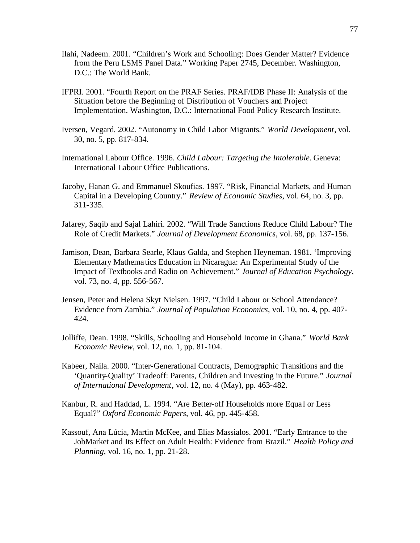- Ilahi, Nadeem. 2001. "Children's Work and Schooling: Does Gender Matter? Evidence from the Peru LSMS Panel Data." Working Paper 2745, December. Washington, D.C.: The World Bank.
- IFPRI. 2001. "Fourth Report on the PRAF Series. PRAF/IDB Phase II: Analysis of the Situation before the Beginning of Distribution of Vouchers and Project Implementation. Washington, D.C.: International Food Policy Research Institute.
- Iversen, Vegard. 2002. "Autonomy in Child Labor Migrants." *World Development*, vol. 30, no. 5, pp. 817-834.
- International Labour Office. 1996. *Child Labour: Targeting the Intolerable*. Geneva: International Labour Office Publications.
- Jacoby, Hanan G. and Emmanuel Skoufias. 1997. "Risk, Financial Markets, and Human Capital in a Developing Country." *Review of Economic Studies*, vol. 64, no. 3, pp. 311-335.
- Jafarey, Saqib and Sajal Lahiri. 2002. "Will Trade Sanctions Reduce Child Labour? The Role of Credit Markets." *Journal of Development Economics*, vol. 68, pp. 137-156.
- Jamison, Dean, Barbara Searle, Klaus Galda, and Stephen Heyneman. 1981. 'Improving Elementary Mathema tics Education in Nicaragua: An Experimental Study of the Impact of Textbooks and Radio on Achievement." *Journal of Education Psychology*, vol. 73, no. 4, pp. 556-567.
- Jensen, Peter and Helena Skyt Nielsen. 1997. "Child Labour or School Attendance? Evidence from Zambia." *Journal of Population Economics*, vol. 10, no. 4, pp. 407- 424.
- Jolliffe, Dean. 1998. "Skills, Schooling and Household Income in Ghana." *World Bank Economic Review*, vol. 12, no. 1, pp. 81-104.
- Kabeer, Naila. 2000. "Inter-Generational Contracts, Demographic Transitions and the 'Quantity-Quality' Tradeoff: Parents, Children and Investing in the Future." *Journal of International Development*, vol. 12, no. 4 (May), pp. 463-482.
- Kanbur, R. and Haddad, L. 1994. "Are Better-off Households more Equal or Less Equal?" *Oxford Economic Papers*, vol. 46, pp. 445-458.
- Kassouf, Ana Lúcia, Martin McKee, and Elias Massialos. 2001. "Early Entrance to the JobMarket and Its Effect on Adult Health: Evidence from Brazil." *Health Policy and Planning*, vol. 16, no. 1, pp. 21-28.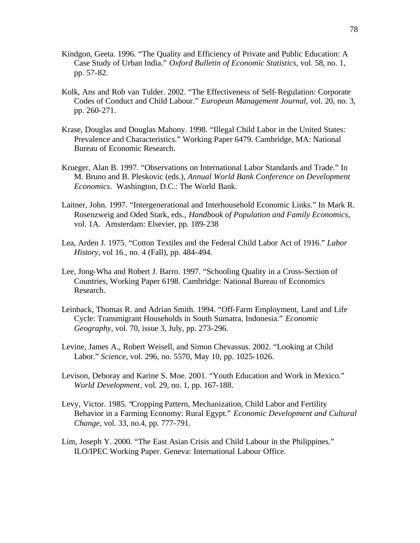- Kindgon, Geeta. 1996. "The Quality and Efficiency of Private and Public Education: A Case Study of Urban India." *Oxford Bulletin of Economic Statistics*, vol. 58, no. 1, pp. 57-82.
- Kolk, Ans and Rob van Tulder. 2002. "The Effectiveness of Self-Regulation: Corporate Codes of Conduct and Child Labour." *European Management Journal*, vol. 20, no. 3, pp. 260-271.
- Krase, Douglas and Douglas Mahony. 1998. "Illegal Child Labor in the United States: Prevalence and Characteristics." Working Paper 6479. Cambridge, MA: National Bureau of Economic Research.
- Krueger, Alan B. 1997. "Observations on International Labor Standards and Trade." In M. Bruno and B. Pleskovic (eds.), *Annual World Bank Conference on Development Economics*. Washington, D.C.: The World Bank.
- Laitner, John. 1997. "Intergenerational and Interhousehold Economic Links." In Mark R. Rosenzweig and Oded Stark, eds., *Handbook of Population and Family Economics*, vol. 1A. Amsterdam: Elsevier, pp. 189-238
- Lea, Arden J. 1975. "Cotton Textiles and the Federal Child Labor Act of 1916." *Labor History*, vol 16., no. 4 (Fall), pp. 484-494.
- Lee, Jong-Wha and Robert J. Barro. 1997. "Schooling Quality in a Cross-Section of Countries, Working Paper 6198. Cambridge: National Bureau of Economics Research.
- Leinback, Thomas R. and Adrian Smith. 1994. "Off-Farm Employment, Land and Life Cycle: Transmigrant Households in South Sumatra, Indonesia." *Economic Geography*, vol. 70, issue 3, July, pp. 273-296.
- Levine, James A., Robert Weisell, and Simon Chevassus. 2002. "Looking at Child Labor." *Science*, vol. 296, no. 5570, May 10, pp. 1025-1026.
- Levison, Deboray and Karine S. Moe. 2001. "Youth Education and Work in Mexico." *World Development*, vol. 29, no. 1, pp. 167-188.
- Levy, Victor. 1985. "Cropping Pattern, Mechanization, Child Labor and Fertility Behavior in a Farming Economy: Rural Egypt." *Economic Development and Cultural Change*, vol. 33, no.4, pp. 777-791.
- Lim, Joseph Y. 2000. "The East Asian Crisis and Child Labour in the Philippines." ILO/IPEC Working Paper. Geneva: International Labour Office.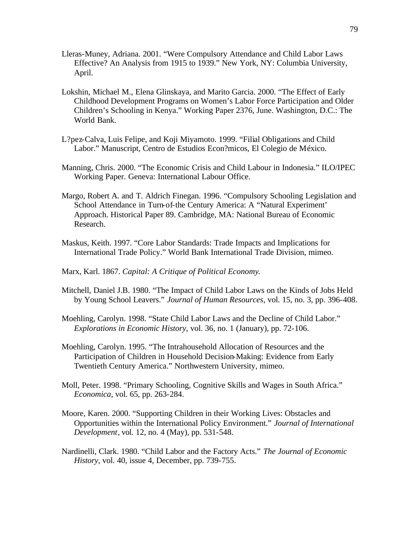- Lleras-Muney, Adriana. 2001. "Were Compulsory Attendance and Child Labor Laws Effective? An Analysis from 1915 to 1939." New York, NY: Columbia University, April.
- Lokshin, Michael M., Elena Glinskaya, and Marito Garcia. 2000. "The Effect of Early Childhood Development Programs on Women's Labor Force Participation and Older Children's Schooling in Kenya." Working Paper 2376, June. Washington, D.C.: The World Bank.
- L?pez-Calva, Luis Felipe, and Koji Miyamoto. 1999. "Filial Obligations and Child Labor." Manuscript, Centro de Estudios Econ?micos, El Colegio de México.
- Manning, Chris. 2000. "The Economic Crisis and Child Labour in Indonesia." ILO/IPEC Working Paper. Geneva: International Labour Office.
- Margo, Robert A. and T. Aldrich Finegan. 1996. "Compulsory Schooling Legislation and School Attendance in Turn-of-the Century America: A "Natural Experiment' Approach. Historical Paper 89. Cambridge, MA: National Bureau of Economic Research.
- Maskus, Keith. 1997. "Core Labor Standards: Trade Impacts and Implications for International Trade Policy." World Bank International Trade Division, mimeo.
- Marx, Karl. 1867. *Capital: A Critique of Political Economy*.
- Mitchell, Daniel J.B. 1980. "The Impact of Child Labor Laws on the Kinds of Jobs Held by Young School Leavers." *Journal of Human Resources*, vol. 15, no. 3, pp. 396-408.
- Moehling, Carolyn. 1998. "State Child Labor Laws and the Decline of Child Labor." *Explorations in Economic History*, vol. 36, no. 1 (January), pp. 72-106.
- Moehling, Carolyn. 1995. "The Intrahousehold Allocation of Resources and the Participation of Children in Household Decision-Making: Evidence from Early Twentieth Century America." Northwestern University, mimeo.
- Moll, Peter. 1998. "Primary Schooling, Cognitive Skills and Wages in South Africa." *Economica*, vol. 65, pp. 263-284.
- Moore, Karen. 2000. "Supporting Children in their Working Lives: Obstacles and Opportunities within the International Policy Environment." *Journal of International Development*, vol. 12, no. 4 (May), pp. 531-548.
- Nardinelli, Clark. 1980. "Child Labor and the Factory Acts." *The Journal of Economic History*, vol. 40, issue 4, December, pp. 739-755.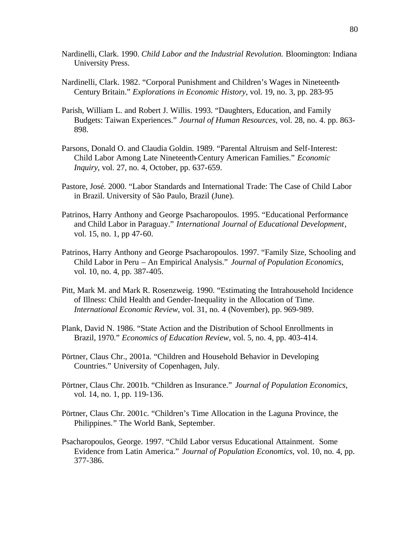- Nardinelli, Clark. 1990. *Child Labor and the Industrial Revolution.* Bloomington: Indiana University Press.
- Nardinelli, Clark. 1982. "Corporal Punishment and Children's Wages in Nineteenth-Century Britain." *Explorations in Economic History*, vol. 19, no. 3, pp. 283-95
- Parish, William L. and Robert J. Willis. 1993. "Daughters, Education, and Family Budgets: Taiwan Experiences." *Journal of Human Resources*, vol. 28, no. 4. pp. 863- 898.
- Parsons, Donald O. and Claudia Goldin. 1989. "Parental Altruism and Self-Interest: Child Labor Among Late Nineteenth-Century American Families." *Economic Inquiry*, vol. 27, no. 4, October, pp. 637-659.
- Pastore, José. 2000. "Labor Standards and International Trade: The Case of Child Labor in Brazil. University of São Paulo, Brazil (June).
- Patrinos, Harry Anthony and George Psacharopoulos. 1995. "Educational Performance and Child Labor in Paraguay." *International Journal of Educational Development*, vol. 15, no. 1, pp 47-60.
- Patrinos, Harry Anthony and George Psacharopoulos. 1997. "Family Size, Schooling and Child Labor in Peru – An Empirical Analysis." *Journal of Population Economics*, vol. 10, no. 4, pp. 387-405.
- Pitt, Mark M. and Mark R. Rosenzweig. 1990. "Estimating the Intrahousehold Incidence of Illness: Child Health and Gender-Inequality in the Allocation of Time. *International Economic Review*, vol. 31, no. 4 (November), pp. 969-989.
- Plank, David N. 1986. "State Action and the Distribution of School Enrollments in Brazil, 1970." *Economics of Education Review*, vol. 5, no. 4, pp. 403-414.
- Pörtner, Claus Chr., 2001a. "Children and Household Behavior in Developing Countries." University of Copenhagen, July.
- Pörtner, Claus Chr. 2001b. "Children as Insurance." *Journal of Population Economics*, vol. 14, no. 1, pp. 119-136.
- Pörtner, Claus Chr. 2001c. "Children's Time Allocation in the Laguna Province, the Philippines." The World Bank, September.
- Psacharopoulos, George. 1997. "Child Labor versus Educational Attainment. Some Evidence from Latin America." *Journal of Population Economics*, vol. 10, no. 4, pp. 377-386.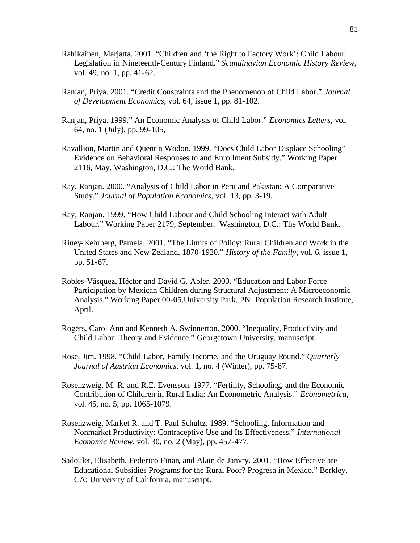- Rahikainen, Marjatta. 2001. "Children and 'the Right to Factory Work': Child Labour Legislation in Nineteenth-Century Finland." *Scandinavian Economic History Review*, vol. 49, no. 1, pp. 41-62.
- Ranjan, Priya. 2001. "Credit Constraints and the Phenomenon of Child Labor." *Journal of Development Economics*, vol. 64, issue 1, pp. 81-102.
- Ranjan, Priya. 1999." An Economic Analysis of Child Labor." *Economics Letters*, vol. 64, no. 1 (July), pp. 99-105,
- Ravallion, Martin and Quentin Wodon. 1999. "Does Child Labor Displace Schooling" Evidence on Behavioral Responses to and Enrollment Subsidy." Working Paper 2116, May. Washington, D.C.: The World Bank.
- Ray, Ranjan. 2000. "Analysis of Child Labor in Peru and Pakistan: A Comparative Study." *Journal of Population Economics*, vol. 13, pp. 3-19.
- Ray, Ranjan. 1999. "How Child Labour and Child Schooling Interact with Adult Labour." Working Paper 2179, September. Washington, D.C.: The World Bank.
- Riney-Kehrberg, Pamela. 2001. "The Limits of Policy: Rural Children and Work in the United States and New Zealand, 1870-1920." *History of the Family*, vol. 6, issue 1, pp. 51-67.
- Robles-Vásquez, Héctor and David G. Abler. 2000. "Education and Labor Force Participation by Mexican Children during Structural Adjustment: A Microeconomic Analysis." Working Paper 00-05.University Park, PN: Population Research Institute, April.
- Rogers, Carol Ann and Kenneth A. Swinnerton. 2000. "Inequality, Productivity and Child Labor: Theory and Evidence." Georgetown University, manuscript.
- Rose, Jim. 1998. "Child Labor, Family Income, and the Uruguay Round." *Quarterly Journal of Austrian Economics*, vol. 1, no. 4 (Winter), pp. 75-87.
- Rosenzweig, M. R. and R.E. Evensson. 1977. "Fertility, Schooling, and the Economic Contribution of Children in Rural India: An Econometric Analysis." *Econometrica*, vol. 45, no. 5, pp. 1065-1079.
- Rosenzweig, Market R. and T. Paul Schultz. 1989. "Schooling, Information and Nonmarket Productivity: Contraceptive Use and Its Effectiveness." *International Economic Review*, vol. 30, no. 2 (May), pp. 457-477.
- Sadoulet, Elisabeth, Federico Finan, and Alain de Janvry. 2001. "How Effective are Educational Subsidies Programs for the Rural Poor? Progresa in Mexico." Berkley, CA: University of California, manuscript.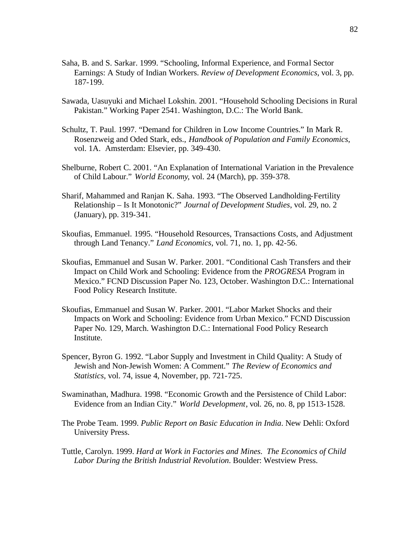- Saha, B. and S. Sarkar. 1999. "Schooling, Informal Experience, and Formal Sector Earnings: A Study of Indian Workers. *Review of Development Economics*, vol. 3, pp. 187-199.
- Sawada, Uasuyuki and Michael Lokshin. 2001. "Household Schooling Decisions in Rural Pakistan." Working Paper 2541. Washington, D.C.: The World Bank.
- Schultz, T. Paul. 1997. "Demand for Children in Low Income Countries." In Mark R. Rosenzweig and Oded Stark, eds., *Handbook of Population and Family Economics*, vol. 1A. Amsterdam: Elsevier, pp. 349-430.
- Shelburne, Robert C. 2001. "An Explanation of International Variation in the Prevalence of Child Labour." *World Economy*, vol. 24 (March), pp. 359-378.
- Sharif, Mahammed and Ranjan K. Saha. 1993. "The Observed Landholding-Fertility Relationship – Is It Monotonic?" *Journal of Development Studies*, vol. 29, no. 2 (January), pp. 319-341.
- Skoufias, Emmanuel. 1995. "Household Resources, Transactions Costs, and Adjustment through Land Tenancy." *Land Economics*, vol. 71, no. 1, pp. 42-56.
- Skoufias, Emmanuel and Susan W. Parker. 2001. "Conditional Cash Transfers and their Impact on Child Work and Schooling: Evidence from the *PROGRESA* Program in Mexico." FCND Discussion Paper No. 123, October. Washington D.C.: International Food Policy Research Institute.
- Skoufias, Emmanuel and Susan W. Parker. 2001. "Labor Market Shocks and their Impacts on Work and Schooling: Evidence from Urban Mexico." FCND Discussion Paper No. 129, March. Washington D.C.: International Food Policy Research Institute.
- Spencer, Byron G. 1992. "Labor Supply and Investment in Child Quality: A Study of Jewish and Non-Jewish Women: A Comment." *The Review of Economics and Statistics*, vol. 74, issue 4, November, pp. 721-725.
- Swaminathan, Madhura. 1998. "Economic Growth and the Persistence of Child Labor: Evidence from an Indian City." *World Development*, vol. 26, no. 8, pp 1513-1528.
- The Probe Team. 1999. *Public Report on Basic Education in India*. New Dehli: Oxford University Press.
- Tuttle, Carolyn. 1999. *Hard at Work in Factories and Mines. The Economics of Child Labor During the British Industrial Revolution*. Boulder: Westview Press.